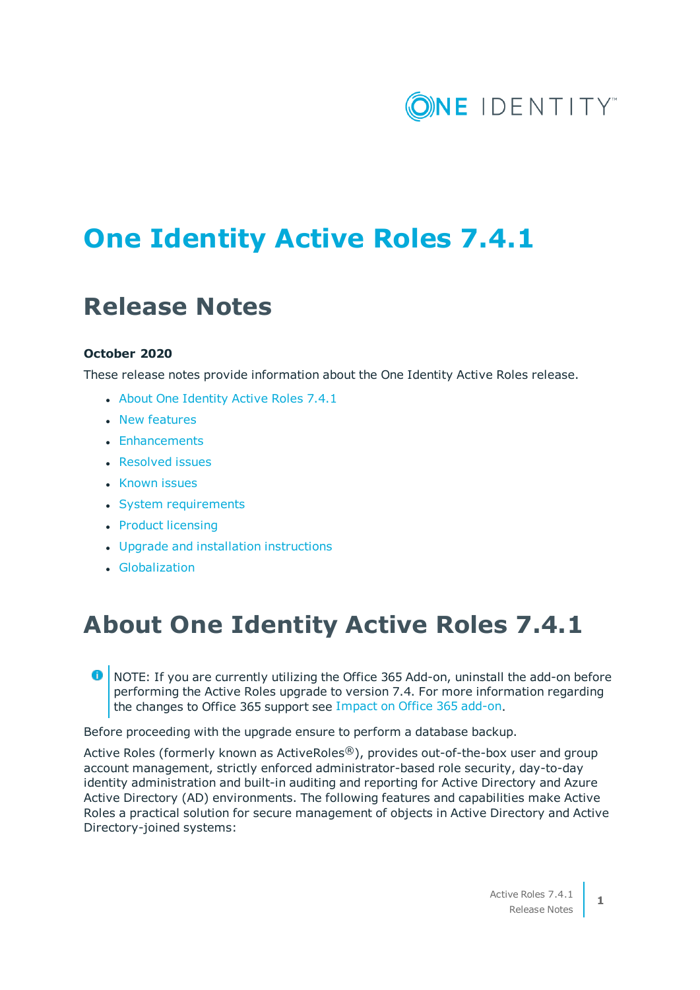# ONE IDENTITY

# **One Identity Active Roles 7.4.1**

# **Release Notes**

#### **October 2020**

These release notes provide information about the One Identity Active Roles release.

- About One [Identity](#page-0-0) Active Roles 7.4.1
- New [features](#page-12-0)
- [Enhancements](#page-13-0)
- [Resolved](#page-16-0) issues
- [Known](#page-28-0) issues
- System [requirements](#page-2-0)
- Product [licensing](#page-74-0)
- Upgrade and installation [instructions](#page-74-1)
- **.** [Globalization](#page-76-0)

### <span id="page-0-0"></span>**About One Identity Active Roles 7.4.1**

O NOTE: If you are currently utilizing the Office 365 Add-on, uninstall the add-on before performing the Active Roles upgrade to version 7.4. For more information regarding the changes to Office 365 support see Impact on Office 365 [add-on.](#page-76-1)

Before proceeding with the upgrade ensure to perform a database backup.

Active Roles (formerly known as ActiveRoles<sup>®</sup>), provides out-of-the-box user and group account management, strictly enforced administrator-based role security, day-to-day identity administration and built-in auditing and reporting for Active Directory and Azure Active Directory (AD) environments. The following features and capabilities make Active Roles a practical solution for secure management of objects in Active Directory and Active Directory-joined systems: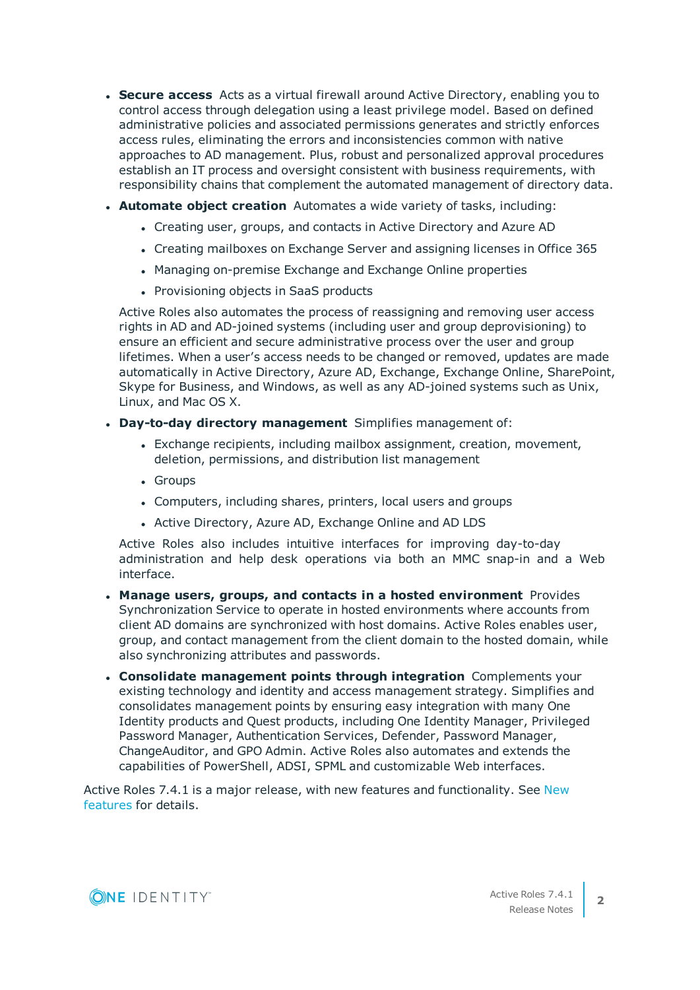- **Secure access** Acts as a virtual firewall around Active Directory, enabling you to control access through delegation using a least privilege model. Based on defined administrative policies and associated permissions generates and strictly enforces access rules, eliminating the errors and inconsistencies common with native approaches to AD management. Plus, robust and personalized approval procedures establish an IT process and oversight consistent with business requirements, with responsibility chains that complement the automated management of directory data.
- **Automate object creation** Automates a wide variety of tasks, including:
	- Creating user, groups, and contacts in Active Directory and Azure AD
	- Creating mailboxes on Exchange Server and assigning licenses in Office 365
	- Managing on-premise Exchange and Exchange Online properties
	- Provisioning objects in SaaS products

Active Roles also automates the process of reassigning and removing user access rights in AD and AD-joined systems (including user and group deprovisioning) to ensure an efficient and secure administrative process over the user and group lifetimes. When a user's access needs to be changed or removed, updates are made automatically in Active Directory, Azure AD, Exchange, Exchange Online, SharePoint, Skype for Business, and Windows, as well as any AD-joined systems such as Unix, Linux, and Mac OS X.

- <sup>l</sup> **Day-to-day directory management** Simplifies management of:
	- <sup>l</sup> Exchange recipients, including mailbox assignment, creation, movement, deletion, permissions, and distribution list management
	- Groups
	- Computers, including shares, printers, local users and groups
	- Active Directory, Azure AD, Exchange Online and AD LDS

Active Roles also includes intuitive interfaces for improving day-to-day administration and help desk operations via both an MMC snap-in and a Web interface.

- <sup>l</sup> **Manage users, groups, and contacts in a hosted environment** Provides Synchronization Service to operate in hosted environments where accounts from client AD domains are synchronized with host domains. Active Roles enables user, group, and contact management from the client domain to the hosted domain, while also synchronizing attributes and passwords.
- <sup>l</sup> **Consolidate management points through integration** Complements your existing technology and identity and access management strategy. Simplifies and consolidates management points by ensuring easy integration with many One Identity products and Quest products, including One Identity Manager, Privileged Password Manager, Authentication Services, Defender, Password Manager, ChangeAuditor, and GPO Admin. Active Roles also automates and extends the capabilities of PowerShell, ADSI, SPML and customizable Web interfaces.

Active Roles 7.4.1 is a major release, with new features and functionality. See [New](#page-12-0) [features](#page-12-0) for details.

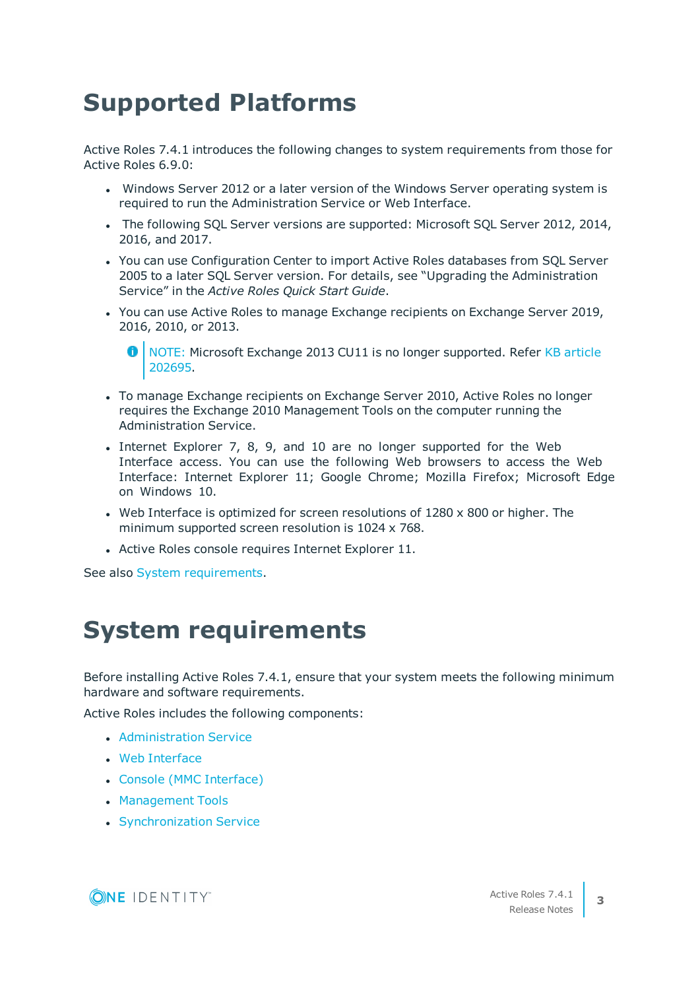# **Supported Platforms**

Active Roles 7.4.1 introduces the following changes to system requirements from those for Active Roles 6.9.0:

- Windows Server 2012 or a later version of the Windows Server operating system is required to run the Administration Service or Web Interface.
- The following SQL Server versions are supported: Microsoft SQL Server 2012, 2014, 2016, and 2017.
- You can use Configuration Center to import Active Roles databases from SQL Server 2005 to a later SQL Server version. For details, see "Upgrading the Administration Service" in the *Active Roles Quick Start Guide*.
- You can use Active Roles to manage Exchange recipients on Exchange Server 2019, 2016, 2010, or 2013.

- To manage Exchange recipients on Exchange Server 2010, Active Roles no longer requires the Exchange 2010 Management Tools on the computer running the Administration Service.
- Internet Explorer 7, 8, 9, and 10 are no longer supported for the Web Interface access. You can use the following Web browsers to access the Web Interface: Internet Explorer 11; Google Chrome; Mozilla Firefox; Microsoft Edge on Windows 10.
- Web Interface is optimized for screen resolutions of  $1280 \times 800$  or higher. The minimum supported screen resolution is 1024 x 768.
- Active Roles console requires Internet Explorer 11.

<span id="page-2-0"></span>See also System [requirements.](#page-2-0)

### **System requirements**

Before installing Active Roles 7.4.1, ensure that your system meets the following minimum hardware and software requirements.

Active Roles includes the following components:

- **[Administration](#page-3-0) Service**
- Web [Interface](#page-5-0)
- Console (MMC [Interface\)](#page-6-0)
- [Management](#page-7-0) Tools
- **.** [Synchronization](#page-9-0) Service



<sup>6</sup> NOTE: Microsoft Exchange 2013 CU11 is no longer supported. Refer KB [article](https://support.quest.com/kb/202695) [202695.](https://support.quest.com/kb/202695)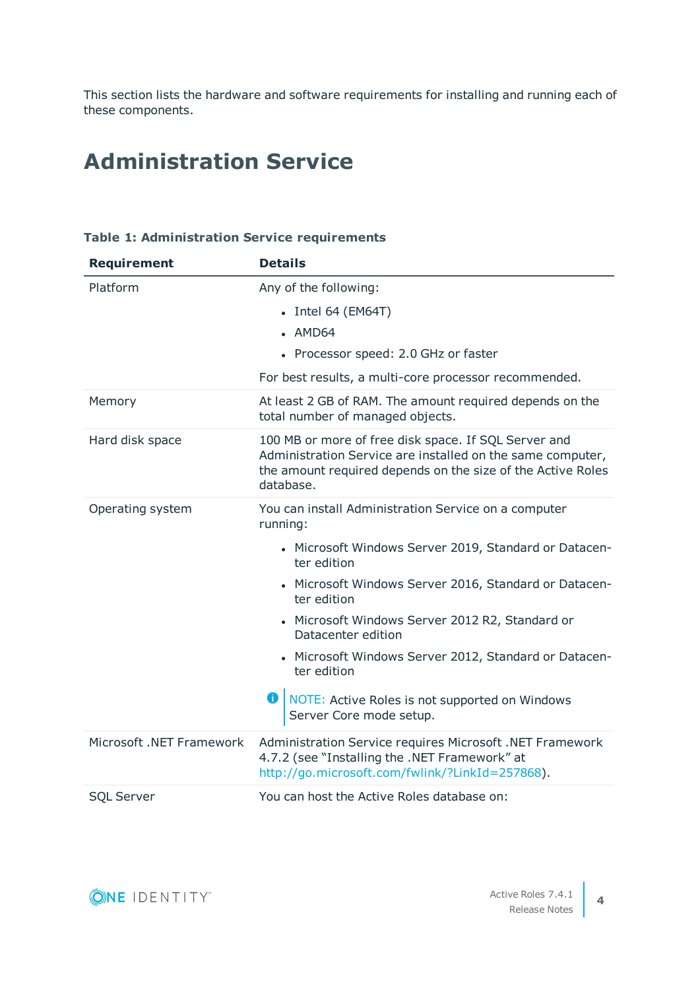This section lists the hardware and software requirements for installing and running each of these components.

### <span id="page-3-0"></span>**Administration Service**

| <b>Requirement</b>       | <b>Details</b>                                                                                                                                                                                 |
|--------------------------|------------------------------------------------------------------------------------------------------------------------------------------------------------------------------------------------|
| Platform                 | Any of the following:                                                                                                                                                                          |
|                          | • Intel 64 (EM64T)                                                                                                                                                                             |
|                          | $-MD64$                                                                                                                                                                                        |
|                          | • Processor speed: 2.0 GHz or faster                                                                                                                                                           |
|                          | For best results, a multi-core processor recommended.                                                                                                                                          |
| Memory                   | At least 2 GB of RAM. The amount required depends on the<br>total number of managed objects.                                                                                                   |
| Hard disk space          | 100 MB or more of free disk space. If SQL Server and<br>Administration Service are installed on the same computer,<br>the amount required depends on the size of the Active Roles<br>database. |
| Operating system         | You can install Administration Service on a computer<br>running:                                                                                                                               |
|                          | • Microsoft Windows Server 2019, Standard or Datacen-<br>ter edition                                                                                                                           |
|                          | • Microsoft Windows Server 2016, Standard or Datacen-<br>ter edition                                                                                                                           |
|                          | • Microsoft Windows Server 2012 R2, Standard or<br>Datacenter edition                                                                                                                          |
|                          | • Microsoft Windows Server 2012, Standard or Datacen-<br>ter edition                                                                                                                           |
|                          | o<br>NOTE: Active Roles is not supported on Windows<br>Server Core mode setup.                                                                                                                 |
| Microsoft .NET Framework | Administration Service requires Microsoft .NET Framework<br>4.7.2 (see "Installing the .NET Framework" at<br>http://go.microsoft.com/fwlink/?LinkId=257868).                                   |
| <b>SQL Server</b>        | You can host the Active Roles database on:                                                                                                                                                     |

#### **Table 1: Administration Service requirements**

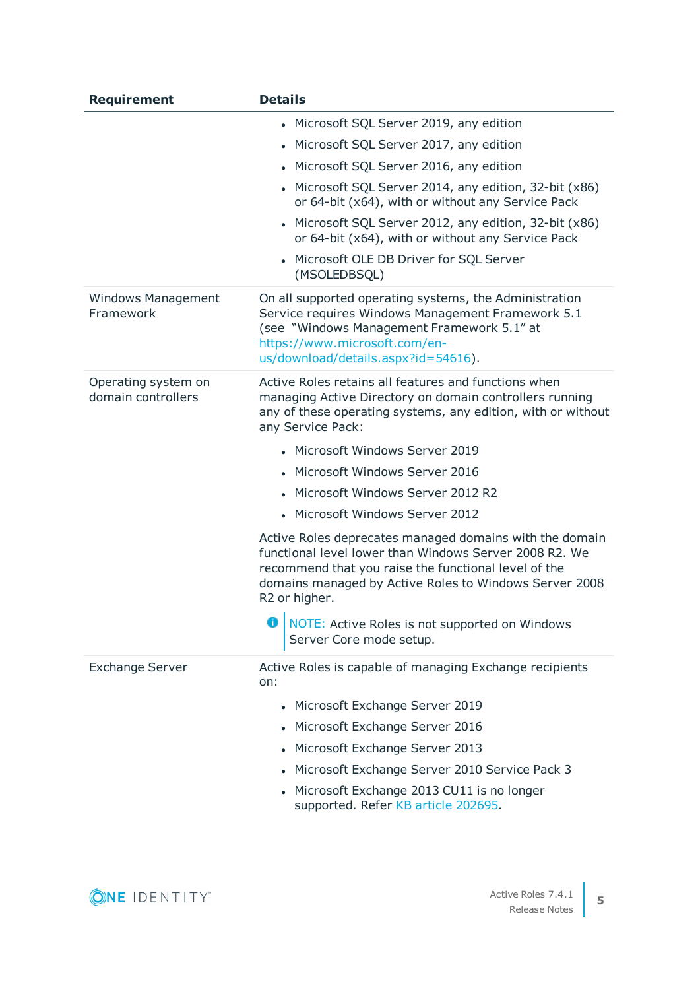| <b>Requirement</b>                        | <b>Details</b>                                                                                                                                                                                                                                       |
|-------------------------------------------|------------------------------------------------------------------------------------------------------------------------------------------------------------------------------------------------------------------------------------------------------|
|                                           | • Microsoft SQL Server 2019, any edition                                                                                                                                                                                                             |
|                                           | • Microsoft SQL Server 2017, any edition                                                                                                                                                                                                             |
|                                           | • Microsoft SQL Server 2016, any edition                                                                                                                                                                                                             |
|                                           | • Microsoft SQL Server 2014, any edition, 32-bit (x86)<br>or 64-bit (x64), with or without any Service Pack                                                                                                                                          |
|                                           | • Microsoft SQL Server 2012, any edition, 32-bit (x86)<br>or 64-bit (x64), with or without any Service Pack                                                                                                                                          |
|                                           | • Microsoft OLE DB Driver for SQL Server<br>(MSOLEDBSQL)                                                                                                                                                                                             |
| <b>Windows Management</b><br>Framework    | On all supported operating systems, the Administration<br>Service requires Windows Management Framework 5.1<br>(see "Windows Management Framework 5.1" at<br>https://www.microsoft.com/en-<br>us/download/details.aspx?id=54616).                    |
| Operating system on<br>domain controllers | Active Roles retains all features and functions when<br>managing Active Directory on domain controllers running<br>any of these operating systems, any edition, with or without<br>any Service Pack:                                                 |
|                                           | • Microsoft Windows Server 2019                                                                                                                                                                                                                      |
|                                           | • Microsoft Windows Server 2016                                                                                                                                                                                                                      |
|                                           | Microsoft Windows Server 2012 R2                                                                                                                                                                                                                     |
|                                           | • Microsoft Windows Server 2012                                                                                                                                                                                                                      |
|                                           | Active Roles deprecates managed domains with the domain<br>functional level lower than Windows Server 2008 R2, We<br>recommend that you raise the functional level of the<br>domains managed by Active Roles to Windows Server 2008<br>R2 or higher. |
|                                           | O NOTE: Active Roles is not supported on Windows<br>Server Core mode setup.                                                                                                                                                                          |
| <b>Exchange Server</b>                    | Active Roles is capable of managing Exchange recipients<br>on:                                                                                                                                                                                       |
|                                           | • Microsoft Exchange Server 2019                                                                                                                                                                                                                     |
|                                           | • Microsoft Exchange Server 2016                                                                                                                                                                                                                     |
|                                           | • Microsoft Exchange Server 2013                                                                                                                                                                                                                     |
|                                           | • Microsoft Exchange Server 2010 Service Pack 3                                                                                                                                                                                                      |
|                                           | • Microsoft Exchange 2013 CU11 is no longer<br>supported. Refer KB article 202695.                                                                                                                                                                   |

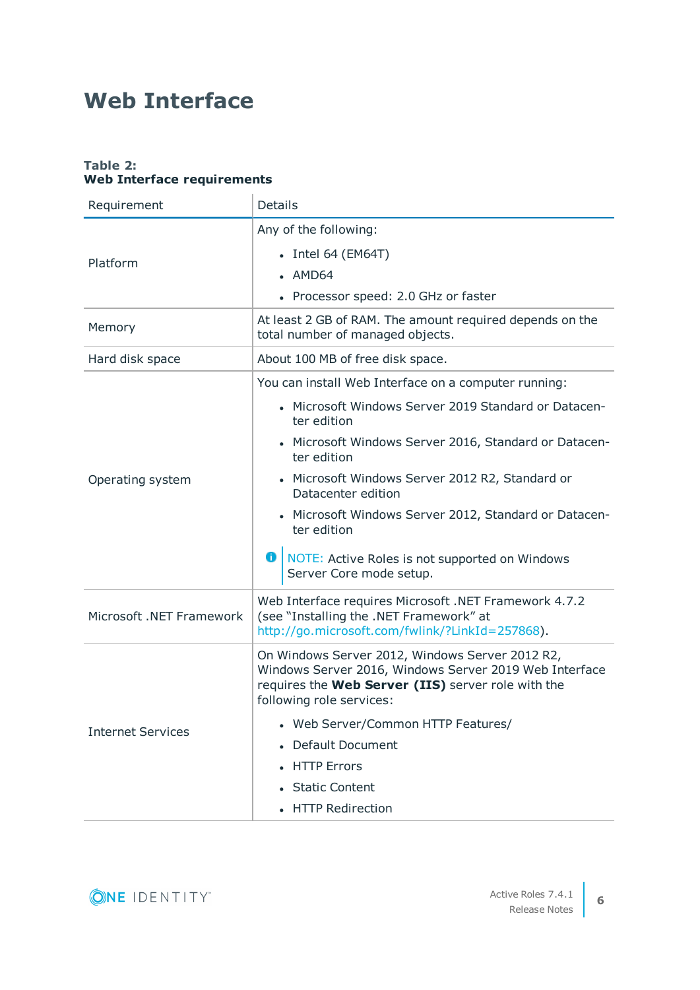### <span id="page-5-0"></span>**Web Interface**

#### **Table 2: Web Interface requirements**

| Requirement              | <b>Details</b>                                                                                                                                                                              |
|--------------------------|---------------------------------------------------------------------------------------------------------------------------------------------------------------------------------------------|
|                          | Any of the following:                                                                                                                                                                       |
| Platform                 | • Intel 64 (EM64T)                                                                                                                                                                          |
|                          | • AMD64                                                                                                                                                                                     |
|                          | • Processor speed: 2.0 GHz or faster                                                                                                                                                        |
| Memory                   | At least 2 GB of RAM. The amount required depends on the<br>total number of managed objects.                                                                                                |
| Hard disk space          | About 100 MB of free disk space.                                                                                                                                                            |
|                          | You can install Web Interface on a computer running:                                                                                                                                        |
|                          | • Microsoft Windows Server 2019 Standard or Datacen-<br>ter edition                                                                                                                         |
|                          | Microsoft Windows Server 2016, Standard or Datacen-<br>ter edition                                                                                                                          |
| Operating system         | • Microsoft Windows Server 2012 R2, Standard or<br>Datacenter edition                                                                                                                       |
|                          | Microsoft Windows Server 2012, Standard or Datacen-<br>ter edition                                                                                                                          |
|                          | <b>O</b>   NOTE: Active Roles is not supported on Windows<br>Server Core mode setup.                                                                                                        |
| Microsoft .NET Framework | Web Interface requires Microsoft .NET Framework 4.7.2<br>(see "Installing the .NET Framework" at<br>http://go.microsoft.com/fwlink/?LinkId=257868).                                         |
|                          | On Windows Server 2012, Windows Server 2012 R2,<br>Windows Server 2016, Windows Server 2019 Web Interface<br>requires the Web Server (IIS) server role with the<br>following role services: |
| <b>Internet Services</b> | Web Server/Common HTTP Features/                                                                                                                                                            |
|                          | • Default Document                                                                                                                                                                          |
|                          | <b>HTTP Errors</b>                                                                                                                                                                          |
|                          | • Static Content                                                                                                                                                                            |
|                          | • HTTP Redirection                                                                                                                                                                          |

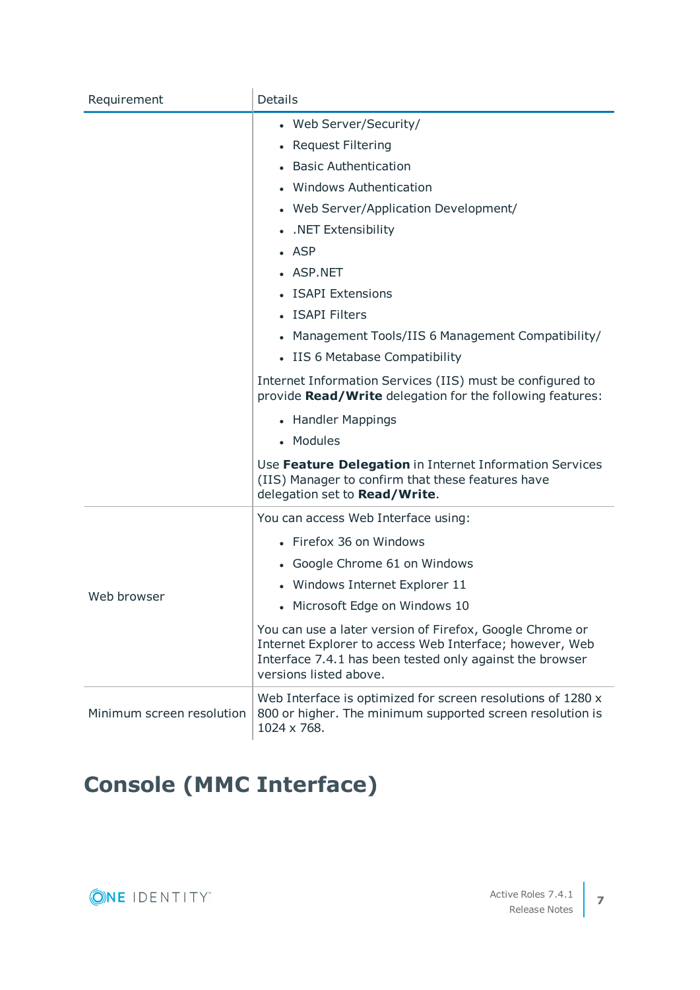| Requirement               | <b>Details</b>                                                                                                                                                                                            |
|---------------------------|-----------------------------------------------------------------------------------------------------------------------------------------------------------------------------------------------------------|
|                           | • Web Server/Security/                                                                                                                                                                                    |
|                           | • Request Filtering                                                                                                                                                                                       |
|                           | <b>Basic Authentication</b>                                                                                                                                                                               |
|                           | • Windows Authentication                                                                                                                                                                                  |
|                           | • Web Server/Application Development/                                                                                                                                                                     |
|                           | • . NET Extensibility                                                                                                                                                                                     |
|                           | $-$ ASP                                                                                                                                                                                                   |
|                           | • ASP.NET                                                                                                                                                                                                 |
|                           | <b>ISAPI Extensions</b>                                                                                                                                                                                   |
|                           | • ISAPI Filters                                                                                                                                                                                           |
|                           | • Management Tools/IIS 6 Management Compatibility/                                                                                                                                                        |
|                           | • IIS 6 Metabase Compatibility                                                                                                                                                                            |
|                           | Internet Information Services (IIS) must be configured to<br>provide Read/Write delegation for the following features:                                                                                    |
|                           | • Handler Mappings                                                                                                                                                                                        |
|                           | • Modules                                                                                                                                                                                                 |
|                           | Use Feature Delegation in Internet Information Services<br>(IIS) Manager to confirm that these features have<br>delegation set to Read/Write.                                                             |
|                           | You can access Web Interface using:                                                                                                                                                                       |
|                           | • Firefox 36 on Windows                                                                                                                                                                                   |
|                           | • Google Chrome 61 on Windows                                                                                                                                                                             |
|                           | • Windows Internet Explorer 11                                                                                                                                                                            |
| Web browser               | • Microsoft Edge on Windows 10                                                                                                                                                                            |
|                           | You can use a later version of Firefox, Google Chrome or<br>Internet Explorer to access Web Interface; however, Web<br>Interface 7.4.1 has been tested only against the browser<br>versions listed above. |
| Minimum screen resolution | Web Interface is optimized for screen resolutions of 1280 x<br>800 or higher. The minimum supported screen resolution is<br>1024 x 768.                                                                   |

# <span id="page-6-0"></span>**Console (MMC Interface)**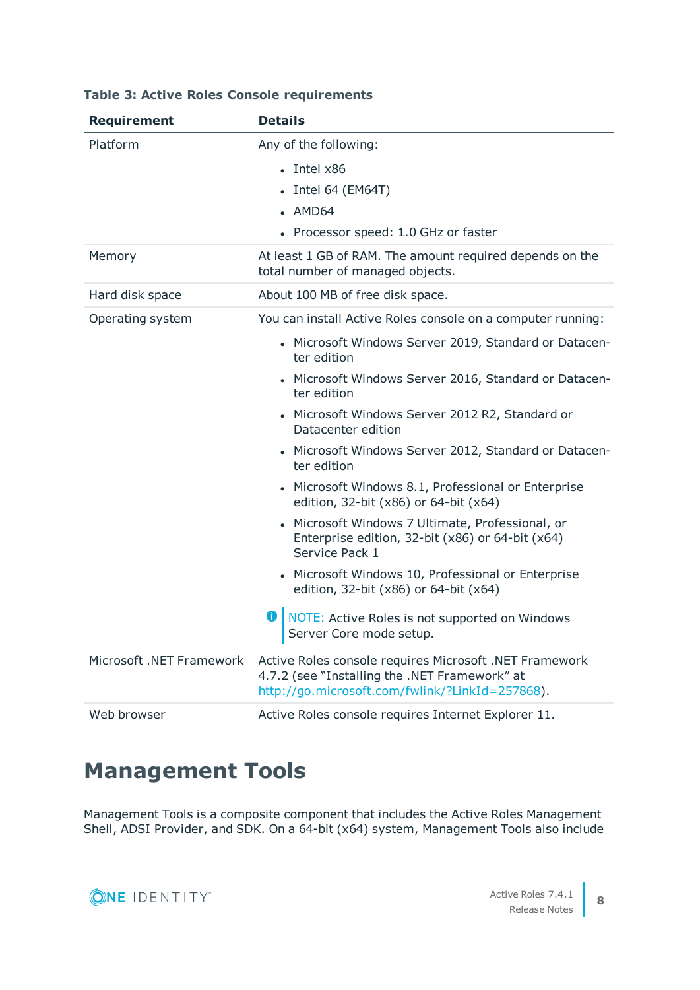| <b>Requirement</b>       | <b>Details</b>                                                                                                                                             |
|--------------------------|------------------------------------------------------------------------------------------------------------------------------------------------------------|
| Platform                 | Any of the following:                                                                                                                                      |
|                          | $\cdot$ Intel $\times$ 86                                                                                                                                  |
|                          | • Intel 64 (EM64T)                                                                                                                                         |
|                          | $-MD64$                                                                                                                                                    |
|                          | • Processor speed: 1.0 GHz or faster                                                                                                                       |
| Memory                   | At least 1 GB of RAM. The amount required depends on the<br>total number of managed objects.                                                               |
| Hard disk space          | About 100 MB of free disk space.                                                                                                                           |
| Operating system         | You can install Active Roles console on a computer running:                                                                                                |
|                          | • Microsoft Windows Server 2019, Standard or Datacen-<br>ter edition                                                                                       |
|                          | • Microsoft Windows Server 2016, Standard or Datacen-<br>ter edition                                                                                       |
|                          | • Microsoft Windows Server 2012 R2, Standard or<br>Datacenter edition                                                                                      |
|                          | • Microsoft Windows Server 2012, Standard or Datacen-<br>ter edition                                                                                       |
|                          | • Microsoft Windows 8.1, Professional or Enterprise<br>edition, 32-bit (x86) or 64-bit (x64)                                                               |
|                          | Microsoft Windows 7 Ultimate, Professional, or<br>Enterprise edition, 32-bit (x86) or 64-bit (x64)<br>Service Pack 1                                       |
|                          | • Microsoft Windows 10, Professional or Enterprise<br>edition, 32-bit (x86) or 64-bit (x64)                                                                |
|                          | o<br>NOTE: Active Roles is not supported on Windows<br>Server Core mode setup.                                                                             |
| Microsoft .NET Framework | Active Roles console requires Microsoft .NET Framework<br>4.7.2 (see "Installing the .NET Framework" at<br>http://go.microsoft.com/fwlink/?LinkId=257868). |
| Web browser              | Active Roles console requires Internet Explorer 11.                                                                                                        |

#### **Table 3: Active Roles Console requirements**

### <span id="page-7-0"></span>**Management Tools**

Management Tools is a composite component that includes the Active Roles Management Shell, ADSI Provider, and SDK. On a 64-bit (x64) system, Management Tools also include

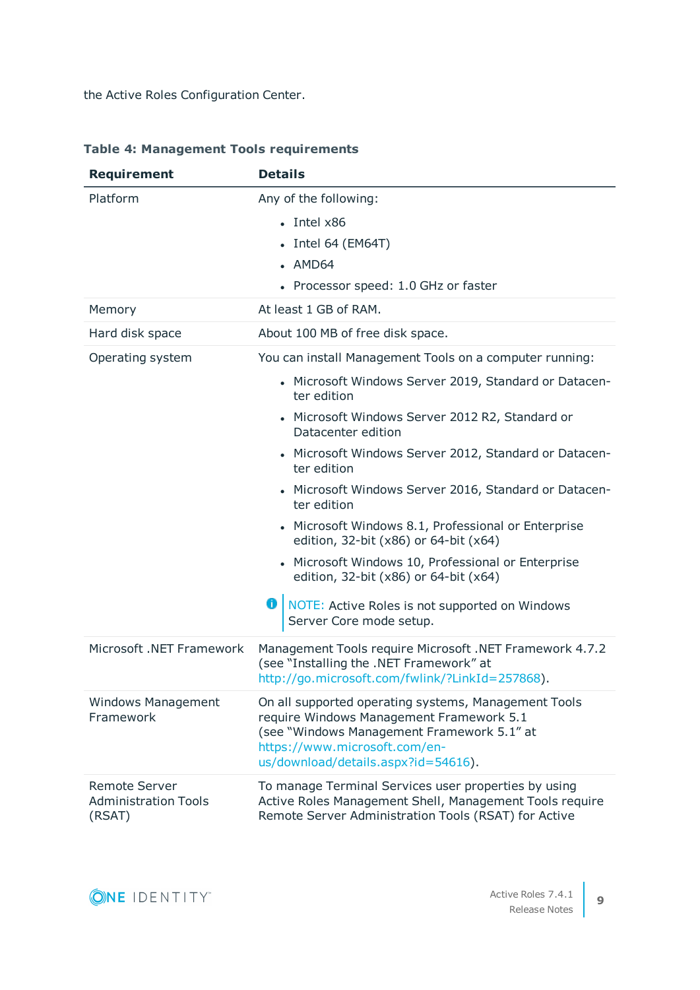the Active Roles Configuration Center.

| <b>Requirement</b>                                            | <b>Details</b>                                                                                                                                                                                                         |
|---------------------------------------------------------------|------------------------------------------------------------------------------------------------------------------------------------------------------------------------------------------------------------------------|
| Platform                                                      | Any of the following:                                                                                                                                                                                                  |
|                                                               | $\cdot$ Intel $x86$                                                                                                                                                                                                    |
|                                                               | $\bullet$ Intel 64 (EM64T)                                                                                                                                                                                             |
|                                                               | • AMD64                                                                                                                                                                                                                |
|                                                               | • Processor speed: 1.0 GHz or faster                                                                                                                                                                                   |
| Memory                                                        | At least 1 GB of RAM.                                                                                                                                                                                                  |
| Hard disk space                                               | About 100 MB of free disk space.                                                                                                                                                                                       |
| Operating system                                              | You can install Management Tools on a computer running:                                                                                                                                                                |
|                                                               | • Microsoft Windows Server 2019, Standard or Datacen-<br>ter edition                                                                                                                                                   |
|                                                               | Microsoft Windows Server 2012 R2, Standard or<br>Datacenter edition                                                                                                                                                    |
|                                                               | • Microsoft Windows Server 2012, Standard or Datacen-<br>ter edition                                                                                                                                                   |
|                                                               | Microsoft Windows Server 2016, Standard or Datacen-<br>ter edition                                                                                                                                                     |
|                                                               | Microsoft Windows 8.1, Professional or Enterprise<br>edition, 32-bit (x86) or 64-bit (x64)                                                                                                                             |
|                                                               | • Microsoft Windows 10, Professional or Enterprise<br>edition, 32-bit (x86) or 64-bit (x64)                                                                                                                            |
|                                                               | o<br>NOTE: Active Roles is not supported on Windows<br>Server Core mode setup.                                                                                                                                         |
| Microsoft .NET Framework                                      | Management Tools require Microsoft .NET Framework 4.7.2<br>(see "Installing the .NET Framework" at<br>http://go.microsoft.com/fwlink/?LinkId=257868).                                                                  |
| <b>Windows Management</b><br>Framework                        | On all supported operating systems, Management Tools<br>require Windows Management Framework 5.1<br>(see "Windows Management Framework 5.1" at<br>https://www.microsoft.com/en-<br>us/download/details.aspx?id=54616). |
| <b>Remote Server</b><br><b>Administration Tools</b><br>(RSAT) | To manage Terminal Services user properties by using<br>Active Roles Management Shell, Management Tools require<br>Remote Server Administration Tools (RSAT) for Active                                                |

#### **Table 4: Management Tools requirements**

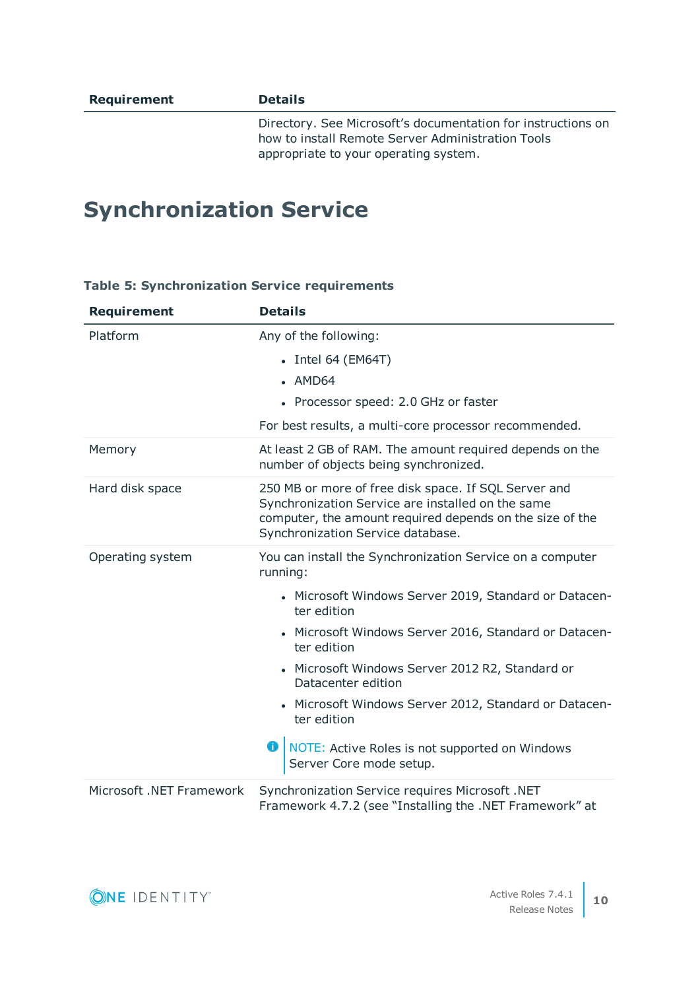Directory. See Microsoft's documentation for instructions on how to install Remote Server Administration Tools appropriate to your operating system.

### <span id="page-9-0"></span>**Synchronization Service**

| <b>Requirement</b>       | <b>Details</b>                                                                                                                                                                                             |
|--------------------------|------------------------------------------------------------------------------------------------------------------------------------------------------------------------------------------------------------|
| Platform                 | Any of the following:                                                                                                                                                                                      |
|                          | $\bullet$ Intel 64 (EM64T)                                                                                                                                                                                 |
|                          | • AMD64                                                                                                                                                                                                    |
|                          | • Processor speed: 2.0 GHz or faster                                                                                                                                                                       |
|                          | For best results, a multi-core processor recommended.                                                                                                                                                      |
| Memory                   | At least 2 GB of RAM. The amount required depends on the<br>number of objects being synchronized.                                                                                                          |
| Hard disk space          | 250 MB or more of free disk space. If SQL Server and<br>Synchronization Service are installed on the same<br>computer, the amount required depends on the size of the<br>Synchronization Service database. |
| Operating system         | You can install the Synchronization Service on a computer<br>running:                                                                                                                                      |
|                          | • Microsoft Windows Server 2019, Standard or Datacen-<br>ter edition                                                                                                                                       |
|                          | • Microsoft Windows Server 2016, Standard or Datacen-<br>ter edition                                                                                                                                       |
|                          | • Microsoft Windows Server 2012 R2, Standard or<br>Datacenter edition                                                                                                                                      |
|                          | • Microsoft Windows Server 2012, Standard or Datacen-<br>ter edition                                                                                                                                       |
|                          | O<br>NOTE: Active Roles is not supported on Windows<br>Server Core mode setup.                                                                                                                             |
| Microsoft .NET Framework | Synchronization Service requires Microsoft .NET<br>Framework 4.7.2 (see "Installing the .NET Framework" at                                                                                                 |

#### **Table 5: Synchronization Service requirements**

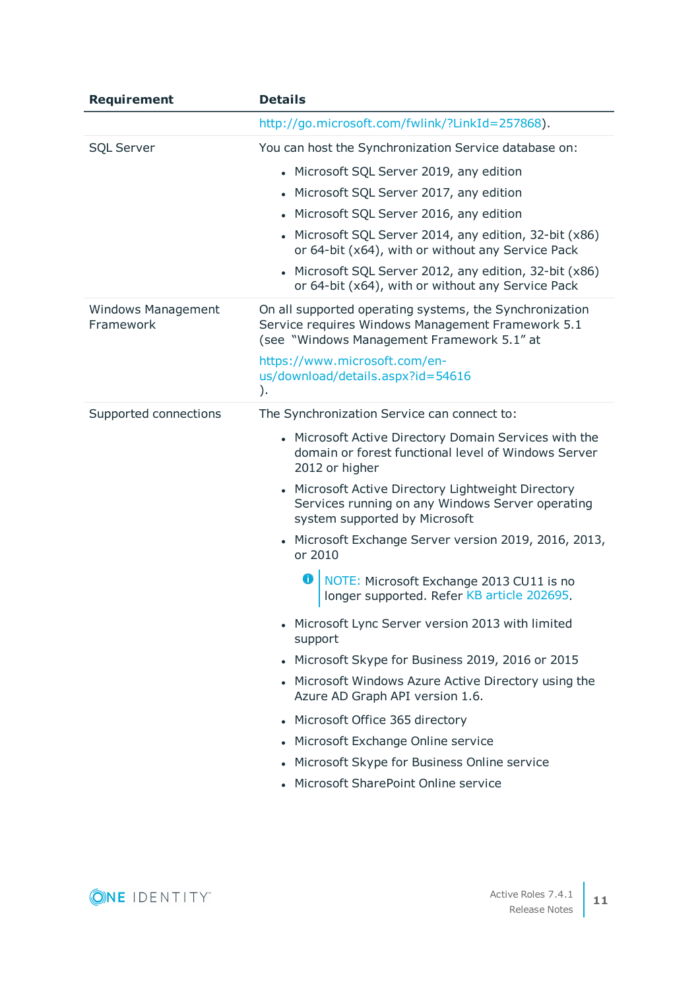| <b>Requirement</b>                     | <b>Details</b>                                                                                                                                             |
|----------------------------------------|------------------------------------------------------------------------------------------------------------------------------------------------------------|
|                                        | http://go.microsoft.com/fwlink/?LinkId=257868).                                                                                                            |
| <b>SQL Server</b>                      | You can host the Synchronization Service database on:                                                                                                      |
|                                        | • Microsoft SQL Server 2019, any edition                                                                                                                   |
|                                        | Microsoft SQL Server 2017, any edition                                                                                                                     |
|                                        | Microsoft SQL Server 2016, any edition                                                                                                                     |
|                                        | • Microsoft SQL Server 2014, any edition, 32-bit (x86)<br>or 64-bit (x64), with or without any Service Pack                                                |
|                                        | Microsoft SQL Server 2012, any edition, 32-bit (x86)<br>or 64-bit (x64), with or without any Service Pack                                                  |
| <b>Windows Management</b><br>Framework | On all supported operating systems, the Synchronization<br>Service requires Windows Management Framework 5.1<br>(see "Windows Management Framework 5.1" at |
|                                        | https://www.microsoft.com/en-<br>us/download/details.aspx?id=54616<br>).                                                                                   |
| Supported connections                  | The Synchronization Service can connect to:                                                                                                                |
|                                        | • Microsoft Active Directory Domain Services with the<br>domain or forest functional level of Windows Server<br>2012 or higher                             |
|                                        | Microsoft Active Directory Lightweight Directory<br>Services running on any Windows Server operating<br>system supported by Microsoft                      |
|                                        | • Microsoft Exchange Server version 2019, 2016, 2013,<br>or 2010                                                                                           |
|                                        | NOTE: Microsoft Exchange 2013 CU11 is no<br>0<br>longer supported. Refer KB article 202695.                                                                |
|                                        | • Microsoft Lync Server version 2013 with limited<br>support                                                                                               |
|                                        | • Microsoft Skype for Business 2019, 2016 or 2015                                                                                                          |
|                                        | • Microsoft Windows Azure Active Directory using the<br>Azure AD Graph API version 1.6.                                                                    |
|                                        | • Microsoft Office 365 directory                                                                                                                           |
|                                        | • Microsoft Exchange Online service                                                                                                                        |
|                                        | • Microsoft Skype for Business Online service                                                                                                              |
|                                        | • Microsoft SharePoint Online service                                                                                                                      |

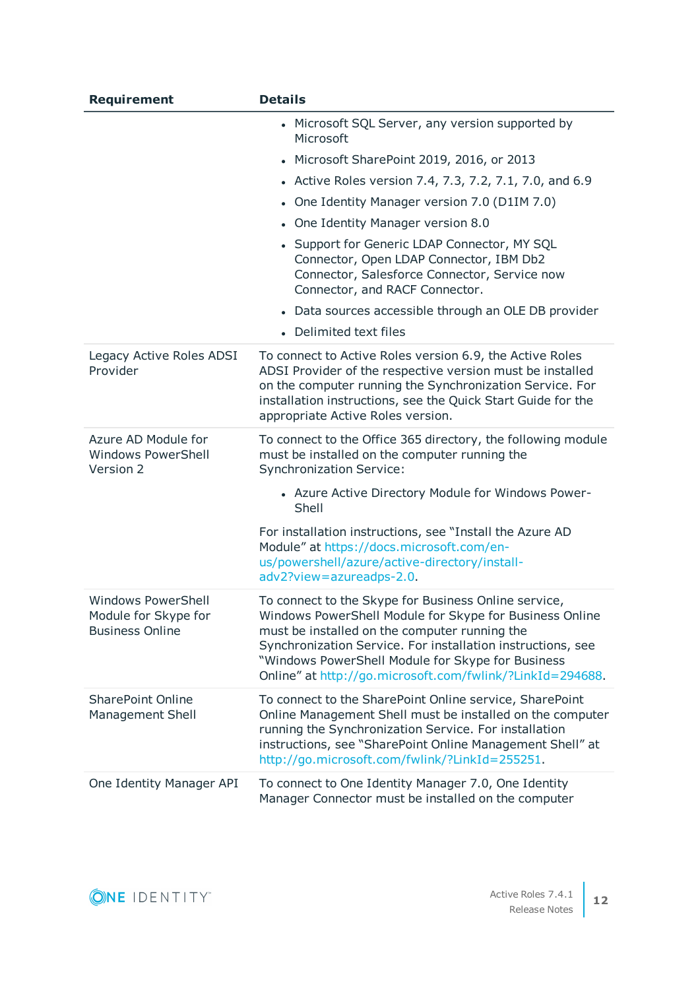| <b>Requirement</b>                                                          | <b>Details</b>                                                                                                                                                                                                                                                                                                                                    |
|-----------------------------------------------------------------------------|---------------------------------------------------------------------------------------------------------------------------------------------------------------------------------------------------------------------------------------------------------------------------------------------------------------------------------------------------|
|                                                                             | • Microsoft SQL Server, any version supported by<br>Microsoft                                                                                                                                                                                                                                                                                     |
|                                                                             | • Microsoft SharePoint 2019, 2016, or 2013                                                                                                                                                                                                                                                                                                        |
|                                                                             | • Active Roles version 7.4, 7.3, 7.2, 7.1, 7.0, and 6.9                                                                                                                                                                                                                                                                                           |
|                                                                             | • One Identity Manager version 7.0 (D1IM 7.0)                                                                                                                                                                                                                                                                                                     |
|                                                                             | • One Identity Manager version 8.0                                                                                                                                                                                                                                                                                                                |
|                                                                             | Support for Generic LDAP Connector, MY SQL<br>Connector, Open LDAP Connector, IBM Db2<br>Connector, Salesforce Connector, Service now<br>Connector, and RACF Connector.                                                                                                                                                                           |
|                                                                             | • Data sources accessible through an OLE DB provider                                                                                                                                                                                                                                                                                              |
|                                                                             | • Delimited text files                                                                                                                                                                                                                                                                                                                            |
| Legacy Active Roles ADSI<br>Provider                                        | To connect to Active Roles version 6.9, the Active Roles<br>ADSI Provider of the respective version must be installed<br>on the computer running the Synchronization Service. For<br>installation instructions, see the Quick Start Guide for the<br>appropriate Active Roles version.                                                            |
| Azure AD Module for<br><b>Windows PowerShell</b><br>Version 2               | To connect to the Office 365 directory, the following module<br>must be installed on the computer running the<br><b>Synchronization Service:</b>                                                                                                                                                                                                  |
|                                                                             | • Azure Active Directory Module for Windows Power-<br>Shell                                                                                                                                                                                                                                                                                       |
|                                                                             | For installation instructions, see "Install the Azure AD<br>Module" at https://docs.microsoft.com/en-<br>us/powershell/azure/active-directory/install-<br>adv2?view=azureadps-2.0.                                                                                                                                                                |
| <b>Windows PowerShell</b><br>Module for Skype for<br><b>Business Online</b> | To connect to the Skype for Business Online service,<br>Windows PowerShell Module for Skype for Business Online<br>must be installed on the computer running the<br>Synchronization Service. For installation instructions, see<br>"Windows PowerShell Module for Skype for Business<br>Online" at http://go.microsoft.com/fwlink/?LinkId=294688. |
| <b>SharePoint Online</b><br><b>Management Shell</b>                         | To connect to the SharePoint Online service, SharePoint<br>Online Management Shell must be installed on the computer<br>running the Synchronization Service. For installation<br>instructions, see "SharePoint Online Management Shell" at<br>http://go.microsoft.com/fwlink/?LinkId=255251.                                                      |
| One Identity Manager API                                                    | To connect to One Identity Manager 7.0, One Identity<br>Manager Connector must be installed on the computer                                                                                                                                                                                                                                       |

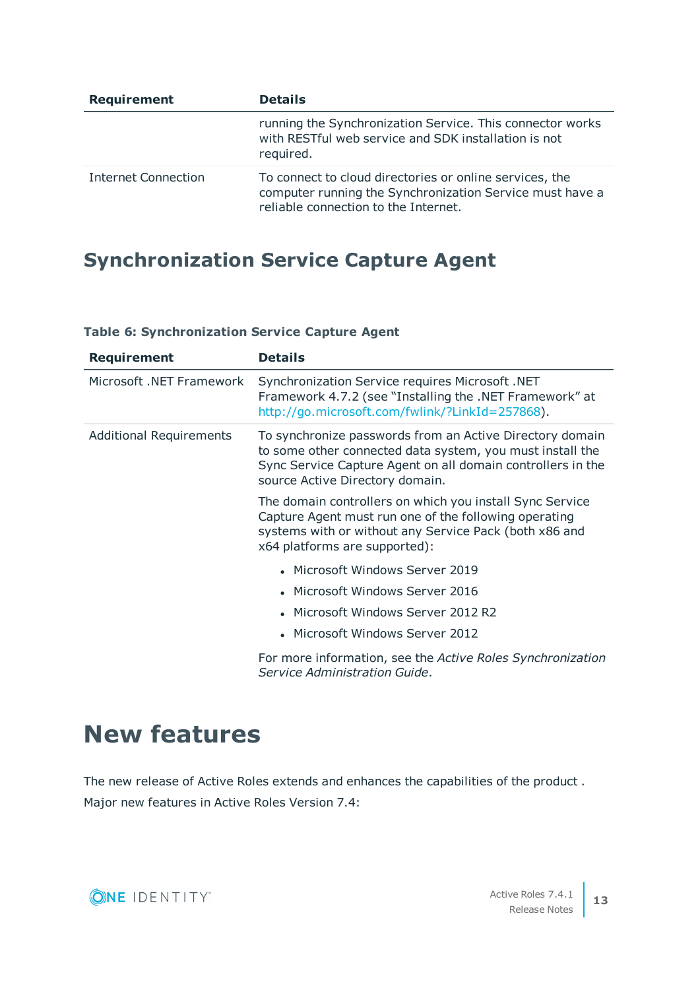| <b>Requirement</b>  | <b>Details</b>                                                                                                                                              |
|---------------------|-------------------------------------------------------------------------------------------------------------------------------------------------------------|
|                     | running the Synchronization Service. This connector works<br>with RESTful web service and SDK installation is not<br>required.                              |
| Internet Connection | To connect to cloud directories or online services, the<br>computer running the Synchronization Service must have a<br>reliable connection to the Internet. |

### **Synchronization Service Capture Agent**

| <b>Requirement</b>             | <b>Details</b>                                                                                                                                                                                                          |
|--------------------------------|-------------------------------------------------------------------------------------------------------------------------------------------------------------------------------------------------------------------------|
| Microsoft .NET Framework       | Synchronization Service requires Microsoft .NET<br>Framework 4.7.2 (see "Installing the .NET Framework" at<br>http://go.microsoft.com/fwlink/?LinkId=257868).                                                           |
| <b>Additional Requirements</b> | To synchronize passwords from an Active Directory domain<br>to some other connected data system, you must install the<br>Sync Service Capture Agent on all domain controllers in the<br>source Active Directory domain. |
|                                | The domain controllers on which you install Sync Service<br>Capture Agent must run one of the following operating<br>systems with or without any Service Pack (both x86 and<br>x64 platforms are supported):            |
|                                | • Microsoft Windows Server 2019                                                                                                                                                                                         |
|                                | • Microsoft Windows Server 2016                                                                                                                                                                                         |
|                                | Microsoft Windows Server 2012 R2                                                                                                                                                                                        |
|                                | • Microsoft Windows Server 2012                                                                                                                                                                                         |
|                                | For more information, see the Active Roles Synchronization<br>Service Administration Guide.                                                                                                                             |

#### **Table 6: Synchronization Service Capture Agent**

# <span id="page-12-0"></span>**New features**

The new release of Active Roles extends and enhances the capabilities of the product . Major new features in Active Roles Version 7.4:

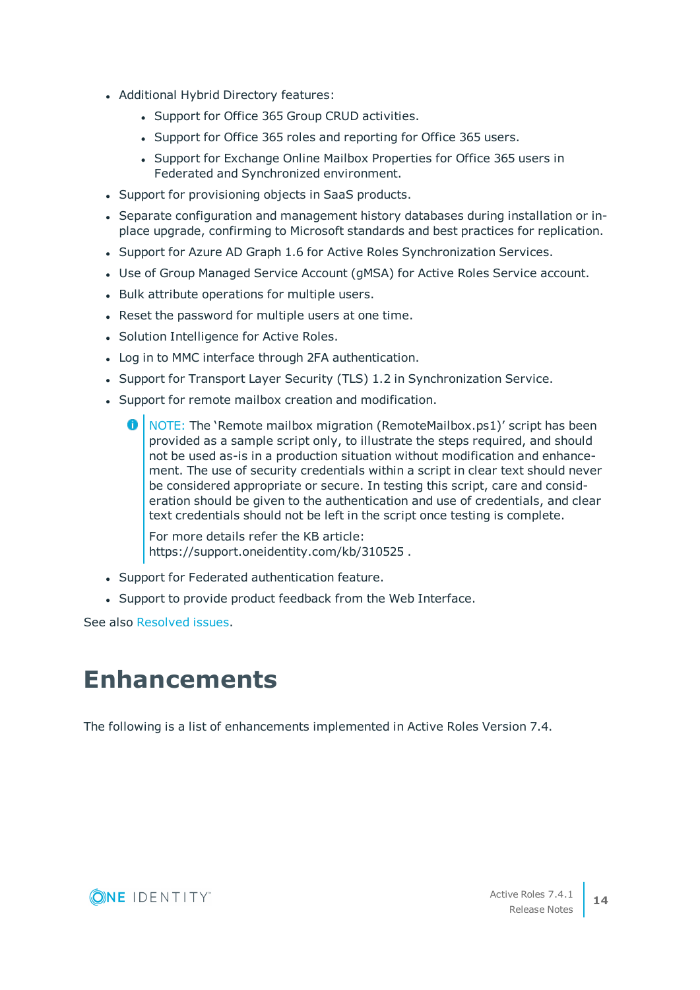- Additional Hybrid Directory features:
	- Support for Office 365 Group CRUD activities.
	- Support for Office 365 roles and reporting for Office 365 users.
	- Support for Exchange Online Mailbox Properties for Office 365 users in Federated and Synchronized environment.
- Support for provisioning objects in SaaS products.
- Separate configuration and management history databases during installation or inplace upgrade, confirming to Microsoft standards and best practices for replication.
- Support for Azure AD Graph 1.6 for Active Roles Synchronization Services.
- Use of Group Managed Service Account (gMSA) for Active Roles Service account.
- Bulk attribute operations for multiple users.
- Reset the password for multiple users at one time.
- Solution Intelligence for Active Roles.
- Log in to MMC interface through 2FA authentication.
- Support for Transport Layer Security (TLS) 1.2 in Synchronization Service.
- Support for remote mailbox creation and modification.
	- **O** | NOTE: The 'Remote mailbox migration (RemoteMailbox.ps1)' script has been provided as a sample script only, to illustrate the steps required, and should not be used as-is in a production situation without modification and enhancement. The use of security credentials within a script in clear text should never be considered appropriate or secure. In testing this script, care and consideration should be given to the authentication and use of credentials, and clear text credentials should not be left in the script once testing is complete.

For more details refer the KB article: https://support.oneidentity.com/kb/310525 .

- Support for Federated authentication feature.
- Support to provide product feedback from the Web Interface.

<span id="page-13-0"></span>See also [Resolved](#page-16-0) issues.

### **Enhancements**

The following is a list of enhancements implemented in Active Roles Version 7.4.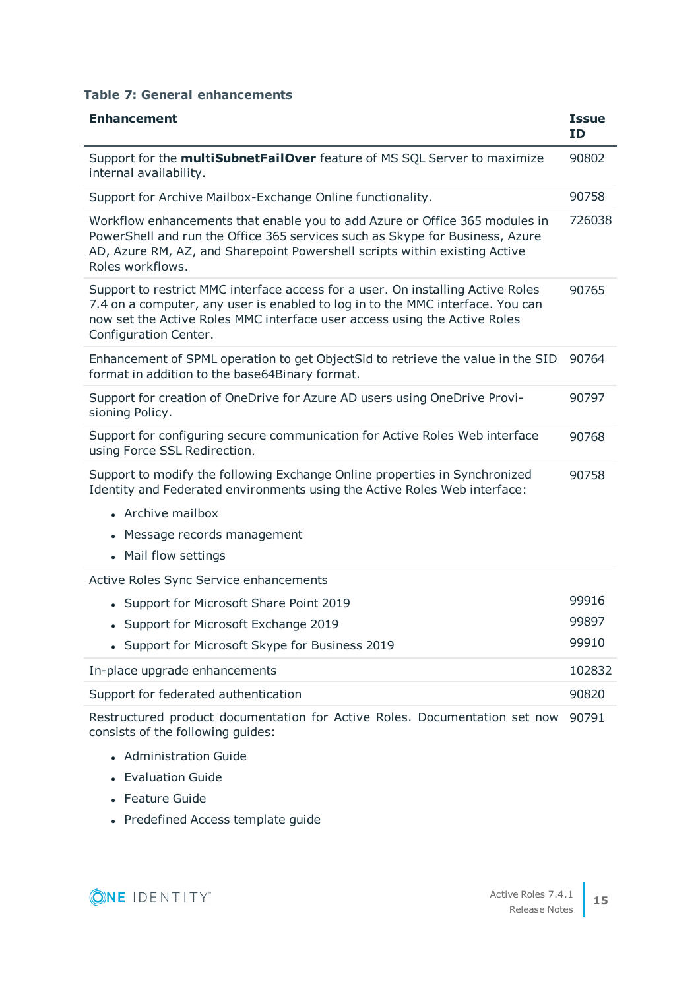#### **Table 7: General enhancements**

| <b>Enhancement</b>                                                                                                                                                                                                                                                      | <b>Issue</b><br><b>ID</b> |
|-------------------------------------------------------------------------------------------------------------------------------------------------------------------------------------------------------------------------------------------------------------------------|---------------------------|
| Support for the <b>multiSubnetFailOver</b> feature of MS SQL Server to maximize<br>internal availability.                                                                                                                                                               | 90802                     |
| Support for Archive Mailbox-Exchange Online functionality.                                                                                                                                                                                                              | 90758                     |
| Workflow enhancements that enable you to add Azure or Office 365 modules in<br>PowerShell and run the Office 365 services such as Skype for Business, Azure<br>AD, Azure RM, AZ, and Sharepoint Powershell scripts within existing Active<br>Roles workflows.           | 726038                    |
| Support to restrict MMC interface access for a user. On installing Active Roles<br>7.4 on a computer, any user is enabled to log in to the MMC interface. You can<br>now set the Active Roles MMC interface user access using the Active Roles<br>Configuration Center. | 90765                     |
| Enhancement of SPML operation to get ObjectSid to retrieve the value in the SID<br>format in addition to the base64Binary format.                                                                                                                                       | 90764                     |
| Support for creation of OneDrive for Azure AD users using OneDrive Provi-<br>sioning Policy.                                                                                                                                                                            | 90797                     |
| Support for configuring secure communication for Active Roles Web interface<br>using Force SSL Redirection.                                                                                                                                                             | 90768                     |
| Support to modify the following Exchange Online properties in Synchronized<br>Identity and Federated environments using the Active Roles Web interface:                                                                                                                 | 90758                     |
| • Archive mailbox                                                                                                                                                                                                                                                       |                           |
| Message records management                                                                                                                                                                                                                                              |                           |
| • Mail flow settings                                                                                                                                                                                                                                                    |                           |
| Active Roles Sync Service enhancements                                                                                                                                                                                                                                  |                           |
| • Support for Microsoft Share Point 2019                                                                                                                                                                                                                                | 99916                     |
| • Support for Microsoft Exchange 2019                                                                                                                                                                                                                                   | 99897                     |
| • Support for Microsoft Skype for Business 2019                                                                                                                                                                                                                         | 99910                     |
| In-place upgrade enhancements                                                                                                                                                                                                                                           | 102832                    |
| Support for federated authentication                                                                                                                                                                                                                                    | 90820                     |
| Restructured product documentation for Active Roles. Documentation set now<br>consists of the following guides:                                                                                                                                                         | 90791                     |

- Administration Guide
- Evaluation Guide
- Feature Guide
- Predefined Access template guide

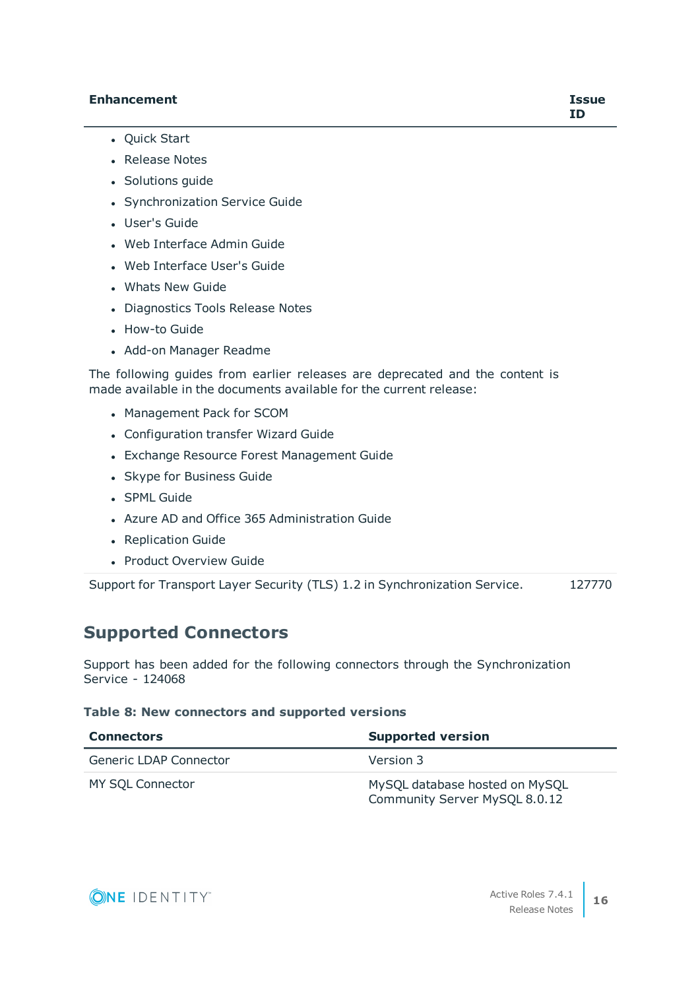#### **Enhancement Issue**

- Quick Start
- Release Notes
- Solutions quide
- Synchronization Service Guide
- User's Guide
- Web Interface Admin Guide
- . Web Interface User's Guide
- Whats New Guide
- Diagnostics Tools Release Notes
- How-to Guide
- Add-on Manager Readme

The following guides from earlier releases are deprecated and the content is made available in the documents available for the current release:

- Management Pack for SCOM
- Configuration transfer Wizard Guide
- Exchange Resource Forest Management Guide
- Skype for Business Guide
- **.** SPML Guide
- Azure AD and Office 365 Administration Guide
- Replication Guide
- Product Overview Guide

Support for Transport Layer Security (TLS) 1.2 in Synchronization Service. 127770

### **Supported Connectors**

Support has been added for the following connectors through the Synchronization Service - 124068

#### **Table 8: New connectors and supported versions**

| <b>Connectors</b>      | <b>Supported version</b>                                        |
|------------------------|-----------------------------------------------------------------|
| Generic LDAP Connector | Version 3                                                       |
| MY SQL Connector       | MySQL database hosted on MySQL<br>Community Server MySQL 8.0.12 |

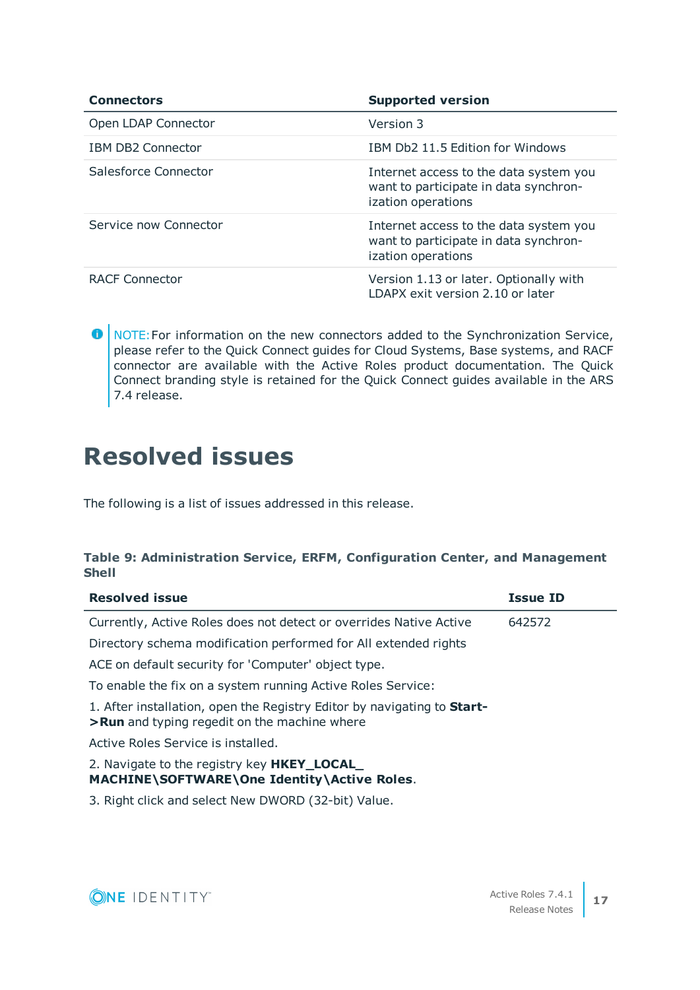| <b>Connectors</b>        | <b>Supported version</b>                                                                              |
|--------------------------|-------------------------------------------------------------------------------------------------------|
| Open LDAP Connector      | Version 3                                                                                             |
| <b>IBM DB2 Connector</b> | IBM Db2 11.5 Edition for Windows                                                                      |
| Salesforce Connector     | Internet access to the data system you<br>want to participate in data synchron-<br>ization operations |
| Service now Connector    | Internet access to the data system you<br>want to participate in data synchron-<br>ization operations |
| RACF Connector           | Version 1.13 or later. Optionally with<br>LDAPX exit version 2.10 or later                            |

**O** NOTE: For information on the new connectors added to the Synchronization Service, please refer to the Quick Connect guides for Cloud Systems, Base systems, and RACF connector are available with the Active Roles product documentation. The Quick Connect branding style is retained for the Quick Connect guides available in the ARS 7.4 release.

### <span id="page-16-0"></span>**Resolved issues**

The following is a list of issues addressed in this release.

#### **Table 9: Administration Service, ERFM, Configuration Center, and Management Shell**

| <b>Resolved issue</b>                                                                                                          | <b>Issue ID</b> |
|--------------------------------------------------------------------------------------------------------------------------------|-----------------|
| Currently, Active Roles does not detect or overrides Native Active                                                             | 642572          |
| Directory schema modification performed for All extended rights                                                                |                 |
| ACE on default security for 'Computer' object type.                                                                            |                 |
| To enable the fix on a system running Active Roles Service:                                                                    |                 |
| 1. After installation, open the Registry Editor by navigating to <b>Start-</b><br>>Run and typing regedit on the machine where |                 |
| Active Roles Service is installed.                                                                                             |                 |
| 2. Navigate to the registry key <b>HKEY_LOCAL</b><br>MACHINE\SOFTWARE\One Identity\Active Roles.                               |                 |
| 3. Right click and select New DWORD (32-bit) Value.                                                                            |                 |

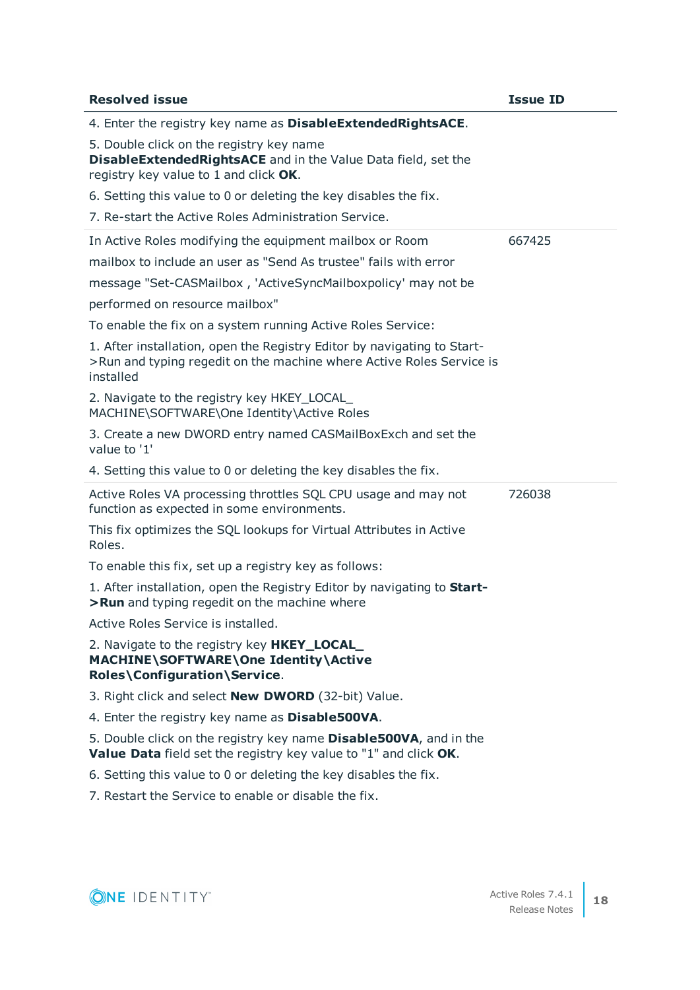| <b>Resolved issue</b>                                                                                                                                        | <b>Issue ID</b> |
|--------------------------------------------------------------------------------------------------------------------------------------------------------------|-----------------|
| 4. Enter the registry key name as DisableExtendedRightsACE.                                                                                                  |                 |
| 5. Double click on the registry key name<br>DisableExtendedRightsACE and in the Value Data field, set the<br>registry key value to 1 and click OK.           |                 |
| 6. Setting this value to 0 or deleting the key disables the fix.                                                                                             |                 |
| 7. Re-start the Active Roles Administration Service.                                                                                                         |                 |
| In Active Roles modifying the equipment mailbox or Room                                                                                                      | 667425          |
| mailbox to include an user as "Send As trustee" fails with error                                                                                             |                 |
| message "Set-CASMailbox, 'ActiveSyncMailboxpolicy' may not be                                                                                                |                 |
| performed on resource mailbox"                                                                                                                               |                 |
| To enable the fix on a system running Active Roles Service:                                                                                                  |                 |
| 1. After installation, open the Registry Editor by navigating to Start-<br>>Run and typing regedit on the machine where Active Roles Service is<br>installed |                 |
| 2. Navigate to the registry key HKEY_LOCAL<br>MACHINE\SOFTWARE\One Identity\Active Roles                                                                     |                 |
| 3. Create a new DWORD entry named CASMailBoxExch and set the<br>value to '1'                                                                                 |                 |
| 4. Setting this value to 0 or deleting the key disables the fix.                                                                                             |                 |
| Active Roles VA processing throttles SQL CPU usage and may not<br>function as expected in some environments.                                                 | 726038          |
| This fix optimizes the SQL lookups for Virtual Attributes in Active<br>Roles.                                                                                |                 |
| To enable this fix, set up a registry key as follows:                                                                                                        |                 |
| 1. After installation, open the Registry Editor by navigating to Start-<br>>Run and typing regedit on the machine where                                      |                 |
| Active Roles Service is installed.                                                                                                                           |                 |
| 2. Navigate to the registry key HKEY_LOCAL_<br>MACHINE\SOFTWARE\One Identity\Active<br>Roles\Configuration\Service.                                          |                 |
| 3. Right click and select <b>New DWORD</b> (32-bit) Value.                                                                                                   |                 |
| 4. Enter the registry key name as Disable500VA.                                                                                                              |                 |
| 5. Double click on the registry key name <b>Disable500VA</b> , and in the                                                                                    |                 |
| Value Data field set the registry key value to "1" and click OK.                                                                                             |                 |
| 6. Setting this value to 0 or deleting the key disables the fix.                                                                                             |                 |
| 7. Restart the Service to enable or disable the fix.                                                                                                         |                 |

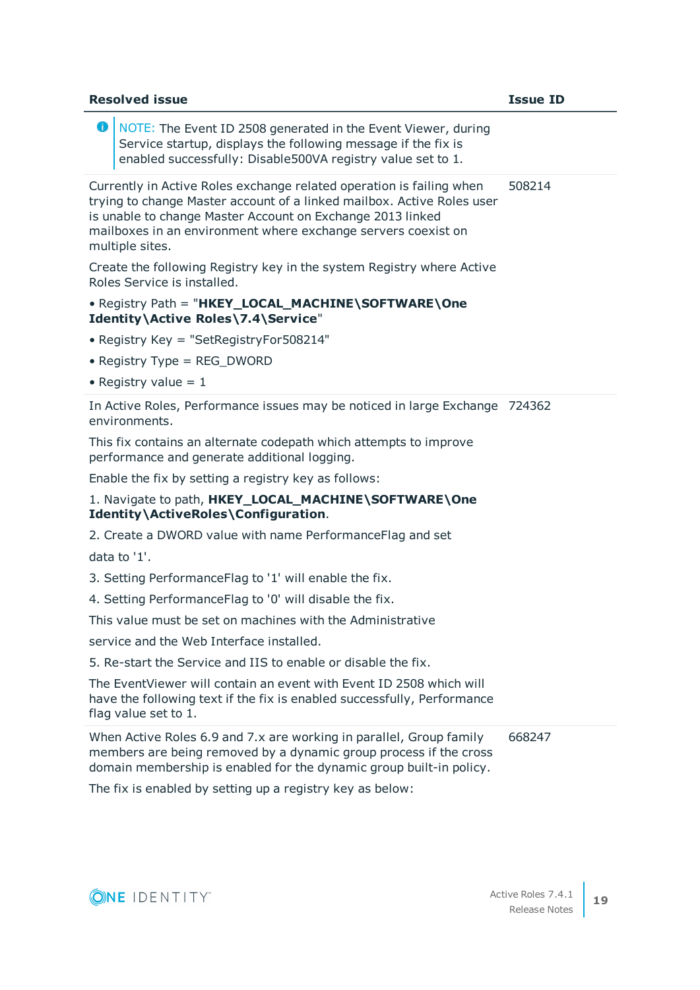| <b>Resolved issue</b>                                                                                                                                                                                                                                                                            | <b>Issue ID</b> |
|--------------------------------------------------------------------------------------------------------------------------------------------------------------------------------------------------------------------------------------------------------------------------------------------------|-----------------|
| 0<br>NOTE: The Event ID 2508 generated in the Event Viewer, during<br>Service startup, displays the following message if the fix is<br>enabled successfully: Disable500VA registry value set to 1.                                                                                               |                 |
| Currently in Active Roles exchange related operation is failing when<br>trying to change Master account of a linked mailbox. Active Roles user<br>is unable to change Master Account on Exchange 2013 linked<br>mailboxes in an environment where exchange servers coexist on<br>multiple sites. | 508214          |
| Create the following Registry key in the system Registry where Active<br>Roles Service is installed.                                                                                                                                                                                             |                 |
| • Registry Path = "HKEY_LOCAL_MACHINE\SOFTWARE\One<br>Identity\Active Roles\7.4\Service"                                                                                                                                                                                                         |                 |
| • Registry Key = "SetRegistryFor508214"                                                                                                                                                                                                                                                          |                 |
| • Registry Type = $REG_DWORD$                                                                                                                                                                                                                                                                    |                 |
| • Registry value = $1$                                                                                                                                                                                                                                                                           |                 |
| In Active Roles, Performance issues may be noticed in large Exchange 724362<br>environments.                                                                                                                                                                                                     |                 |
| This fix contains an alternate codepath which attempts to improve<br>performance and generate additional logging.                                                                                                                                                                                |                 |
| Enable the fix by setting a registry key as follows:                                                                                                                                                                                                                                             |                 |
| 1. Navigate to path, HKEY_LOCAL_MACHINE\SOFTWARE\One<br>Identity\ActiveRoles\Configuration.                                                                                                                                                                                                      |                 |
| 2. Create a DWORD value with name PerformanceFlag and set                                                                                                                                                                                                                                        |                 |
| data to '1'.                                                                                                                                                                                                                                                                                     |                 |
| 3. Setting PerformanceFlag to '1' will enable the fix.                                                                                                                                                                                                                                           |                 |
| 4. Setting PerformanceFlag to '0' will disable the fix.                                                                                                                                                                                                                                          |                 |
| This value must be set on machines with the Administrative                                                                                                                                                                                                                                       |                 |
| service and the Web Interface installed.                                                                                                                                                                                                                                                         |                 |
| 5. Re-start the Service and IIS to enable or disable the fix.                                                                                                                                                                                                                                    |                 |
| The EventViewer will contain an event with Event ID 2508 which will<br>have the following text if the fix is enabled successfully, Performance<br>flag value set to 1.                                                                                                                           |                 |
| When Active Roles 6.9 and 7.x are working in parallel, Group family<br>members are being removed by a dynamic group process if the cross<br>domain membership is enabled for the dynamic group built-in policy.                                                                                  | 668247          |
| The fix is enabled by setting up a registry key as below:                                                                                                                                                                                                                                        |                 |
|                                                                                                                                                                                                                                                                                                  |                 |

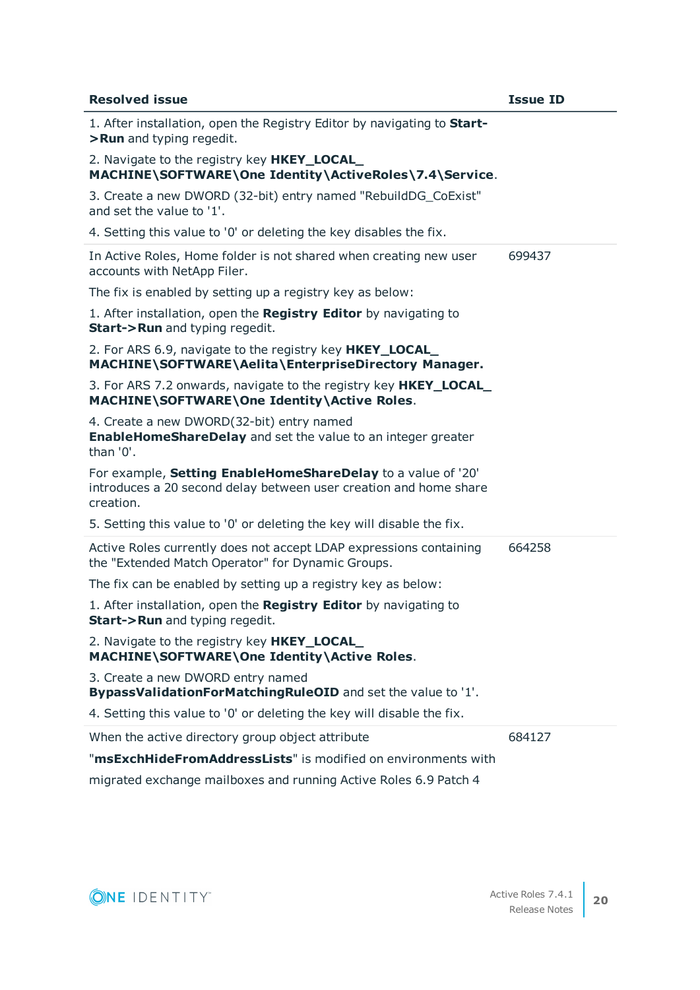| <b>Resolved issue</b>                                                                                                                          | <b>Issue ID</b> |
|------------------------------------------------------------------------------------------------------------------------------------------------|-----------------|
| 1. After installation, open the Registry Editor by navigating to Start-<br>>Run and typing regedit.                                            |                 |
| 2. Navigate to the registry key <b>HKEY_LOCAL</b><br>MACHINE\SOFTWARE\One Identity\ActiveRoles\7.4\Service.                                    |                 |
| 3. Create a new DWORD (32-bit) entry named "RebuildDG_CoExist"<br>and set the value to '1'.                                                    |                 |
| 4. Setting this value to '0' or deleting the key disables the fix.                                                                             |                 |
| In Active Roles, Home folder is not shared when creating new user<br>accounts with NetApp Filer.                                               | 699437          |
| The fix is enabled by setting up a registry key as below:                                                                                      |                 |
| 1. After installation, open the Registry Editor by navigating to<br><b>Start-&gt;Run</b> and typing regedit.                                   |                 |
| 2. For ARS 6.9, navigate to the registry key HKEY_LOCAL_<br>MACHINE\SOFTWARE\Aelita\EnterpriseDirectory Manager.                               |                 |
| 3. For ARS 7.2 onwards, navigate to the registry key HKEY_LOCAL<br>MACHINE\SOFTWARE\One Identity\Active Roles.                                 |                 |
| 4. Create a new DWORD(32-bit) entry named<br><b>EnableHomeShareDelay</b> and set the value to an integer greater<br>than '0'.                  |                 |
| For example, Setting EnableHomeShareDelay to a value of '20'<br>introduces a 20 second delay between user creation and home share<br>creation. |                 |
| 5. Setting this value to '0' or deleting the key will disable the fix.                                                                         |                 |
| Active Roles currently does not accept LDAP expressions containing<br>the "Extended Match Operator" for Dynamic Groups.                        | 664258          |
| The fix can be enabled by setting up a registry key as below:                                                                                  |                 |
| 1. After installation, open the Registry Editor by navigating to<br><b>Start-&gt;Run</b> and typing regedit.                                   |                 |
| 2. Navigate to the registry key <b>HKEY_LOCAL</b><br>MACHINE\SOFTWARE\One Identity\Active Roles.                                               |                 |
| 3. Create a new DWORD entry named<br>BypassValidationForMatchingRuleOID and set the value to '1'.                                              |                 |
| 4. Setting this value to '0' or deleting the key will disable the fix.                                                                         |                 |
| When the active directory group object attribute                                                                                               | 684127          |
| "msExchHideFromAddressLists" is modified on environments with                                                                                  |                 |
| migrated exchange mailboxes and running Active Roles 6.9 Patch 4                                                                               |                 |

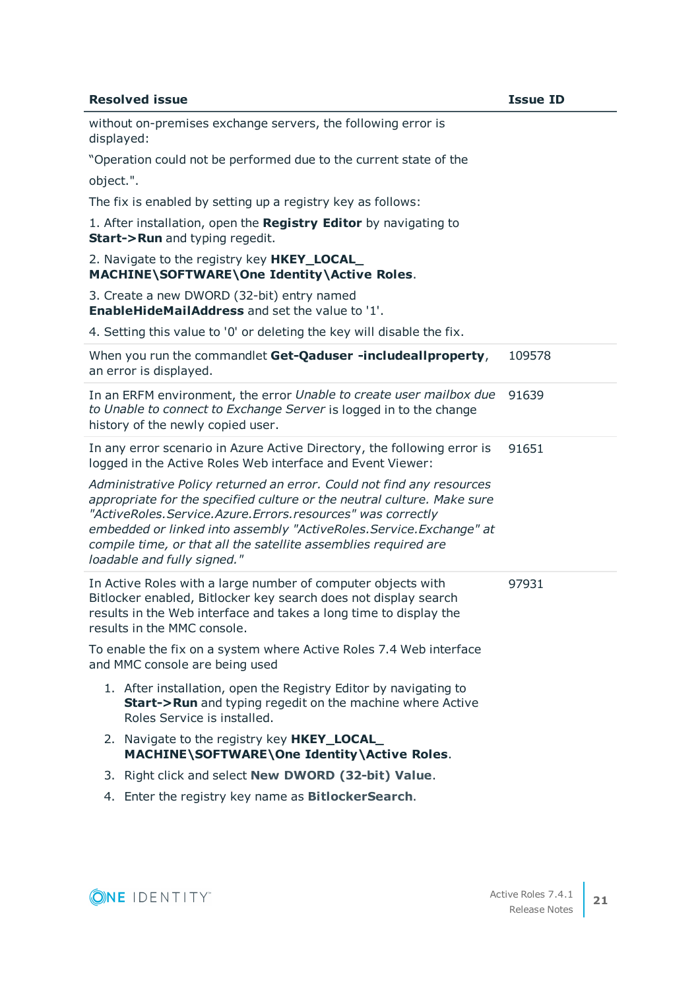| <b>Resolved issue</b>                                                                                                                                                                                                                                                                                                                                                                        | <b>Issue ID</b> |
|----------------------------------------------------------------------------------------------------------------------------------------------------------------------------------------------------------------------------------------------------------------------------------------------------------------------------------------------------------------------------------------------|-----------------|
| without on-premises exchange servers, the following error is<br>displayed:                                                                                                                                                                                                                                                                                                                   |                 |
| "Operation could not be performed due to the current state of the                                                                                                                                                                                                                                                                                                                            |                 |
| object.".                                                                                                                                                                                                                                                                                                                                                                                    |                 |
| The fix is enabled by setting up a registry key as follows:                                                                                                                                                                                                                                                                                                                                  |                 |
| 1. After installation, open the Registry Editor by navigating to<br><b>Start-&gt;Run</b> and typing regedit.                                                                                                                                                                                                                                                                                 |                 |
| 2. Navigate to the registry key HKEY_LOCAL<br>MACHINE\SOFTWARE\One Identity\Active Roles.                                                                                                                                                                                                                                                                                                    |                 |
| 3. Create a new DWORD (32-bit) entry named<br><b>EnableHideMailAddress</b> and set the value to '1'.                                                                                                                                                                                                                                                                                         |                 |
| 4. Setting this value to '0' or deleting the key will disable the fix.                                                                                                                                                                                                                                                                                                                       |                 |
| When you run the commandlet Get-Qaduser -includeallproperty,<br>an error is displayed.                                                                                                                                                                                                                                                                                                       | 109578          |
| In an ERFM environment, the error Unable to create user mailbox due<br>to Unable to connect to Exchange Server is logged in to the change<br>history of the newly copied user.                                                                                                                                                                                                               | 91639           |
| In any error scenario in Azure Active Directory, the following error is<br>logged in the Active Roles Web interface and Event Viewer:                                                                                                                                                                                                                                                        | 91651           |
| Administrative Policy returned an error. Could not find any resources<br>appropriate for the specified culture or the neutral culture. Make sure<br>"ActiveRoles. Service. Azure. Errors. resources" was correctly<br>embedded or linked into assembly "ActiveRoles. Service. Exchange" at<br>compile time, or that all the satellite assemblies required are<br>loadable and fully signed." |                 |
| In Active Roles with a large number of computer objects with<br>Bitlocker enabled, Bitlocker key search does not display search<br>results in the Web interface and takes a long time to display the<br>results in the MMC console.                                                                                                                                                          | 97931           |
| To enable the fix on a system where Active Roles 7.4 Web interface<br>and MMC console are being used                                                                                                                                                                                                                                                                                         |                 |
| 1. After installation, open the Registry Editor by navigating to<br><b>Start-&gt;Run</b> and typing regedit on the machine where Active<br>Roles Service is installed.                                                                                                                                                                                                                       |                 |
| 2. Navigate to the registry key <b>HKEY_LOCAL</b><br>MACHINE\SOFTWARE\One Identity\Active Roles.                                                                                                                                                                                                                                                                                             |                 |
| 3. Right click and select New DWORD (32-bit) Value.                                                                                                                                                                                                                                                                                                                                          |                 |
| 4. Enter the registry key name as BitlockerSearch.                                                                                                                                                                                                                                                                                                                                           |                 |

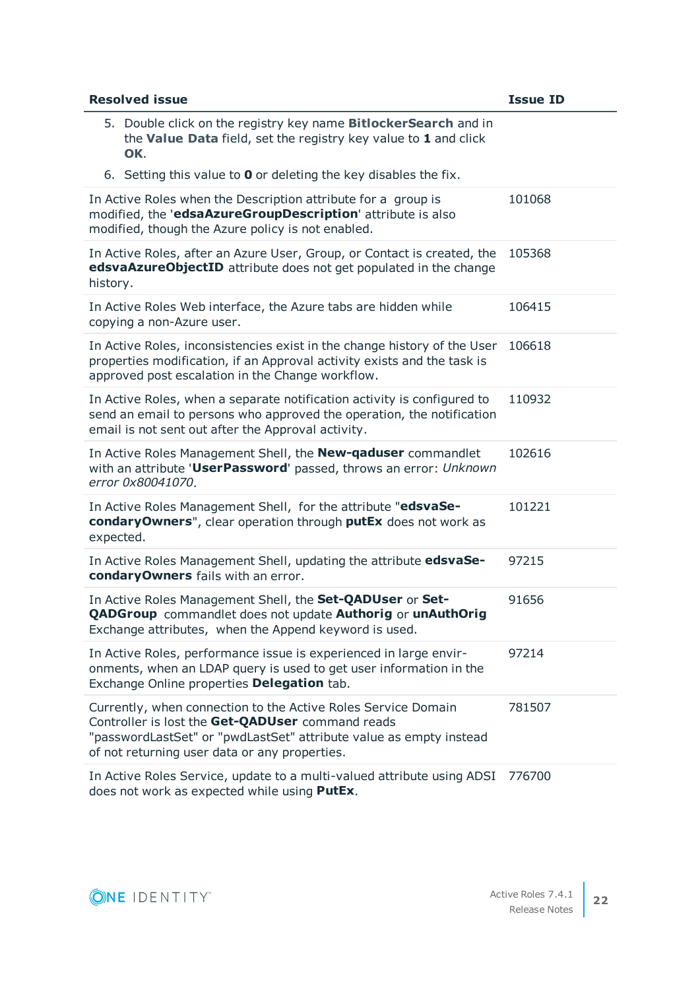| <b>Resolved issue</b>                                                                                                                                                                                                                    | <b>Issue ID</b> |
|------------------------------------------------------------------------------------------------------------------------------------------------------------------------------------------------------------------------------------------|-----------------|
| 5. Double click on the registry key name <b>BitlockerSearch</b> and in<br>the Value Data field, set the registry key value to 1 and click<br>OK.                                                                                         |                 |
| 6. Setting this value to $\bm{0}$ or deleting the key disables the fix.                                                                                                                                                                  |                 |
| In Active Roles when the Description attribute for a group is<br>modified, the 'edsaAzureGroupDescription' attribute is also<br>modified, though the Azure policy is not enabled.                                                        | 101068          |
| In Active Roles, after an Azure User, Group, or Contact is created, the<br>edsvaAzureObjectID attribute does not get populated in the change<br>history.                                                                                 | 105368          |
| In Active Roles Web interface, the Azure tabs are hidden while<br>copying a non-Azure user.                                                                                                                                              | 106415          |
| In Active Roles, inconsistencies exist in the change history of the User<br>properties modification, if an Approval activity exists and the task is<br>approved post escalation in the Change workflow.                                  | 106618          |
| In Active Roles, when a separate notification activity is configured to<br>send an email to persons who approved the operation, the notification<br>email is not sent out after the Approval activity.                                   | 110932          |
| In Active Roles Management Shell, the New-qaduser commandlet<br>with an attribute 'UserPassword' passed, throws an error: Unknown<br>error 0x80041070.                                                                                   | 102616          |
| In Active Roles Management Shell, for the attribute "edsvaSe-<br>condaryOwners", clear operation through putEx does not work as<br>expected.                                                                                             | 101221          |
| In Active Roles Management Shell, updating the attribute edsvaSe-<br>condaryOwners fails with an error.                                                                                                                                  | 97215           |
| In Active Roles Management Shell, the Set-QADUser or Set-<br><b>QADGroup</b> commandlet does not update Authorig or unAuthOrig<br>Exchange attributes, when the Append keyword is used.                                                  | 91656           |
| In Active Roles, performance issue is experienced in large envir-<br>onments, when an LDAP query is used to get user information in the<br>Exchange Online properties Delegation tab.                                                    | 97214           |
| Currently, when connection to the Active Roles Service Domain<br>Controller is lost the Get-QADUser command reads<br>"passwordLastSet" or "pwdLastSet" attribute value as empty instead<br>of not returning user data or any properties. | 781507          |
| In Active Roles Service, update to a multi-valued attribute using ADSI<br>does not work as expected while using PutEx.                                                                                                                   | 776700          |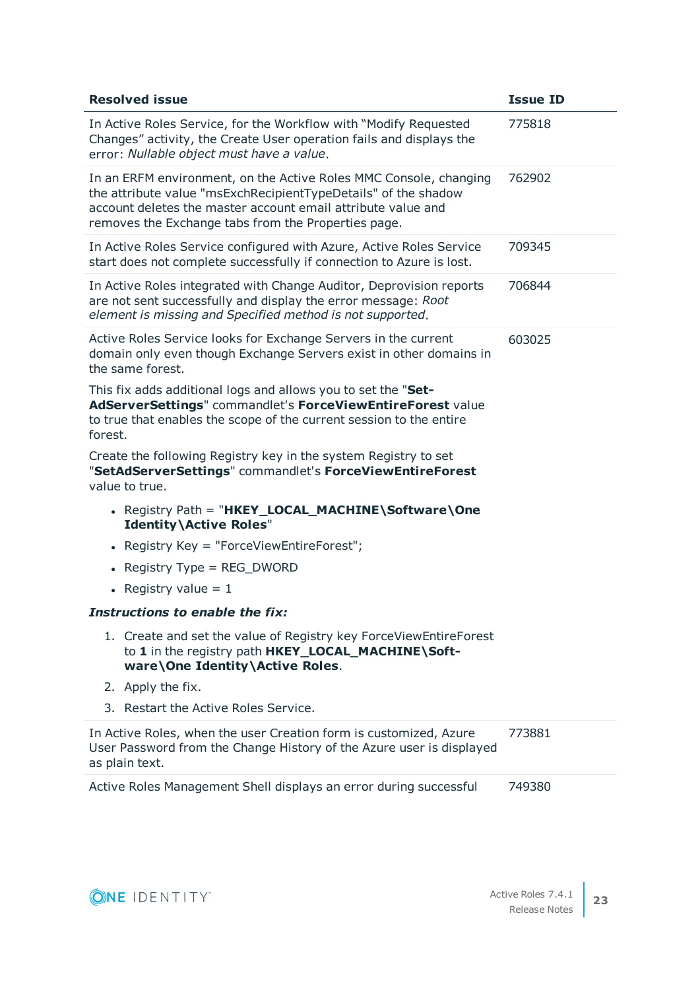| <b>Resolved issue</b>                                                                                                                                                                                                                                      | <b>Issue ID</b> |
|------------------------------------------------------------------------------------------------------------------------------------------------------------------------------------------------------------------------------------------------------------|-----------------|
| In Active Roles Service, for the Workflow with "Modify Requested<br>Changes" activity, the Create User operation fails and displays the<br>error: Nullable object must have a value.                                                                       | 775818          |
| In an ERFM environment, on the Active Roles MMC Console, changing<br>the attribute value "msExchRecipientTypeDetails" of the shadow<br>account deletes the master account email attribute value and<br>removes the Exchange tabs from the Properties page. | 762902          |
| In Active Roles Service configured with Azure, Active Roles Service<br>start does not complete successfully if connection to Azure is lost.                                                                                                                | 709345          |
| In Active Roles integrated with Change Auditor, Deprovision reports<br>are not sent successfully and display the error message: Root<br>element is missing and Specified method is not supported.                                                          | 706844          |
| Active Roles Service looks for Exchange Servers in the current<br>domain only even though Exchange Servers exist in other domains in<br>the same forest.                                                                                                   | 603025          |
| This fix adds additional logs and allows you to set the "Set-<br>AdServerSettings" commandlet's ForceViewEntireForest value<br>to true that enables the scope of the current session to the entire<br>forest.                                              |                 |
| Create the following Registry key in the system Registry to set<br>"SetAdServerSettings" commandlet's ForceViewEntireForest<br>value to true.                                                                                                              |                 |
| • Registry Path = "HKEY_LOCAL_MACHINE\Software\One<br><b>Identity\Active Roles"</b>                                                                                                                                                                        |                 |
| • Registry Key = "ForceViewEntireForest";                                                                                                                                                                                                                  |                 |
| Registry Type = $REG_DWORD$<br>$\bullet$                                                                                                                                                                                                                   |                 |
| • Registry value = $1$                                                                                                                                                                                                                                     |                 |
| Instructions to enable the fix:                                                                                                                                                                                                                            |                 |
| 1. Create and set the value of Registry key ForceViewEntireForest<br>to 1 in the registry path HKEY_LOCAL_MACHINE\Soft-<br>ware\One Identity\Active Roles.                                                                                                 |                 |
| 2. Apply the fix.                                                                                                                                                                                                                                          |                 |
| 3. Restart the Active Roles Service.                                                                                                                                                                                                                       |                 |
| In Active Roles, when the user Creation form is customized, Azure<br>User Password from the Change History of the Azure user is displayed<br>as plain text.                                                                                                | 773881          |
| Active Roles Management Shell displays an error during successful                                                                                                                                                                                          | 749380          |

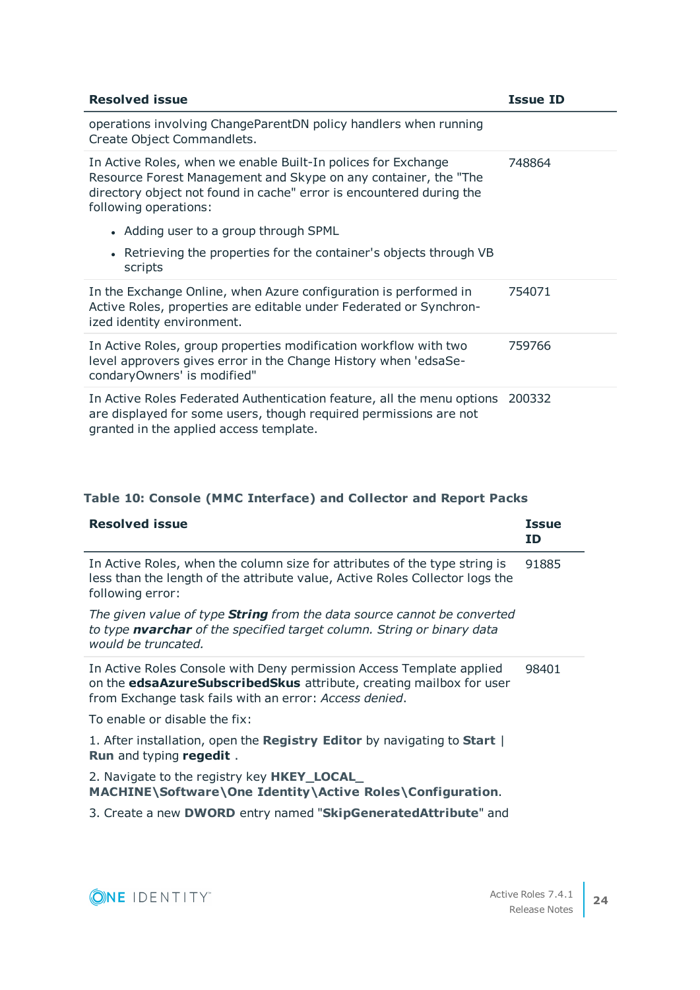| <b>Resolved issue</b>                                                                                                                                                                                                             | <b>Issue ID</b> |
|-----------------------------------------------------------------------------------------------------------------------------------------------------------------------------------------------------------------------------------|-----------------|
| operations involving ChangeParentDN policy handlers when running<br>Create Object Commandlets.                                                                                                                                    |                 |
| In Active Roles, when we enable Built-In polices for Exchange<br>Resource Forest Management and Skype on any container, the "The<br>directory object not found in cache" error is encountered during the<br>following operations: | 748864          |
| • Adding user to a group through SPML                                                                                                                                                                                             |                 |
| • Retrieving the properties for the container's objects through VB<br>scripts                                                                                                                                                     |                 |
| In the Exchange Online, when Azure configuration is performed in<br>Active Roles, properties are editable under Federated or Synchron-<br>ized identity environment.                                                              | 754071          |
| In Active Roles, group properties modification workflow with two<br>level approvers gives error in the Change History when 'edsaSe-<br>condaryOwners' is modified"                                                                | 759766          |
| In Active Roles Federated Authentication feature, all the menu options<br>are displayed for some users, though required permissions are not<br>granted in the applied access template.                                            | 200332          |

### **Table 10: Console (MMC Interface) and Collector and Report Packs**

| <b>Resolved issue</b>                                                                                                                                                                                 | <b>Issue</b><br>ΙD |
|-------------------------------------------------------------------------------------------------------------------------------------------------------------------------------------------------------|--------------------|
| In Active Roles, when the column size for attributes of the type string is<br>less than the length of the attribute value, Active Roles Collector logs the<br>following error:                        | 91885              |
| The given value of type <b>String</b> from the data source cannot be converted<br>to type nvarchar of the specified target column. String or binary data<br>would be truncated.                       |                    |
| In Active Roles Console with Deny permission Access Template applied<br>on the edsaAzureSubscribedSkus attribute, creating mailbox for user<br>from Exchange task fails with an error: Access denied. | 98401              |
| To enable or disable the fix:                                                                                                                                                                         |                    |
| 1. After installation, open the Registry Editor by navigating to Start  <br><b>Run</b> and typing regedit.                                                                                            |                    |
| 2. Navigate to the registry key <b>HKEY_LOCAL_</b><br>MACHINE\Software\One Identity\Active Roles\Configuration.                                                                                       |                    |
| 3. Create a new <b>DWORD</b> entry named "SkipGenerated Attribute" and                                                                                                                                |                    |

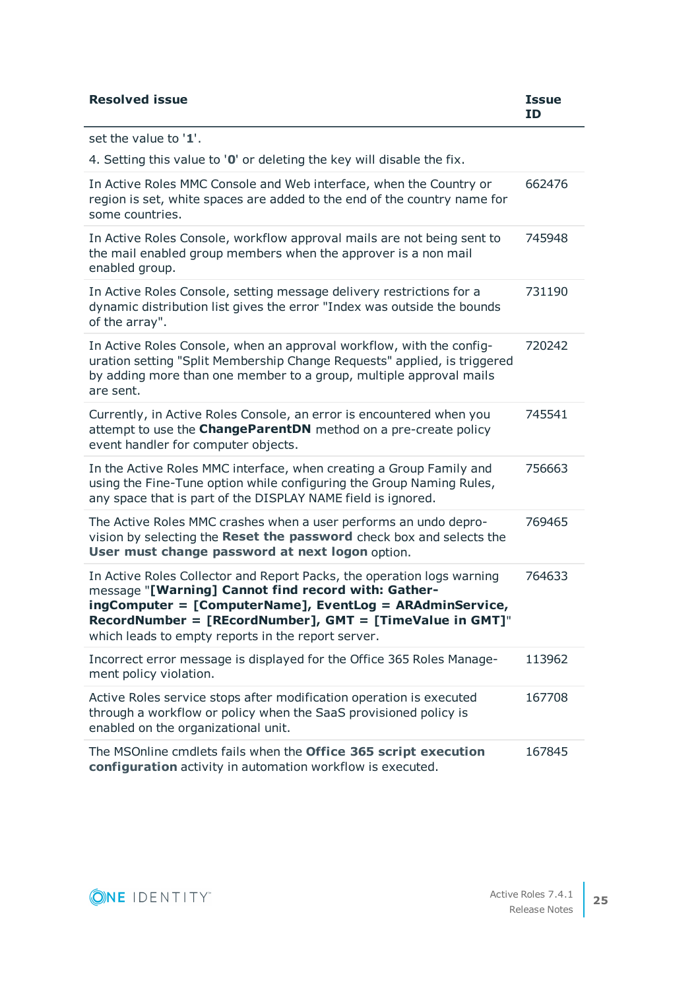| <b>Resolved issue</b>                                                                                                                                                                                                                                                                                       | <b>Issue</b><br>ID |
|-------------------------------------------------------------------------------------------------------------------------------------------------------------------------------------------------------------------------------------------------------------------------------------------------------------|--------------------|
| set the value to '1'.                                                                                                                                                                                                                                                                                       |                    |
| 4. Setting this value to '0' or deleting the key will disable the fix.                                                                                                                                                                                                                                      |                    |
| In Active Roles MMC Console and Web interface, when the Country or<br>region is set, white spaces are added to the end of the country name for<br>some countries.                                                                                                                                           | 662476             |
| In Active Roles Console, workflow approval mails are not being sent to<br>the mail enabled group members when the approver is a non mail<br>enabled group.                                                                                                                                                  | 745948             |
| In Active Roles Console, setting message delivery restrictions for a<br>dynamic distribution list gives the error "Index was outside the bounds<br>of the array".                                                                                                                                           | 731190             |
| In Active Roles Console, when an approval workflow, with the config-<br>uration setting "Split Membership Change Requests" applied, is triggered<br>by adding more than one member to a group, multiple approval mails<br>are sent.                                                                         | 720242             |
| Currently, in Active Roles Console, an error is encountered when you<br>attempt to use the <b>ChangeParentDN</b> method on a pre-create policy<br>event handler for computer objects.                                                                                                                       | 745541             |
| In the Active Roles MMC interface, when creating a Group Family and<br>using the Fine-Tune option while configuring the Group Naming Rules,<br>any space that is part of the DISPLAY NAME field is ignored.                                                                                                 | 756663             |
| The Active Roles MMC crashes when a user performs an undo depro-<br>vision by selecting the Reset the password check box and selects the<br>User must change password at next logon option.                                                                                                                 | 769465             |
| In Active Roles Collector and Report Packs, the operation logs warning<br>message "[Warning] Cannot find record with: Gather-<br>ingComputer = [ComputerName], EventLog = ARAdminService,<br>RecordNumber = [REcordNumber], GMT = [TimeValue in GMT]"<br>which leads to empty reports in the report server. | 764633             |
| Incorrect error message is displayed for the Office 365 Roles Manage-<br>ment policy violation.                                                                                                                                                                                                             | 113962             |
| Active Roles service stops after modification operation is executed<br>through a workflow or policy when the SaaS provisioned policy is<br>enabled on the organizational unit.                                                                                                                              | 167708             |
| The MSOnline cmdlets fails when the Office 365 script execution<br>configuration activity in automation workflow is executed.                                                                                                                                                                               | 167845             |

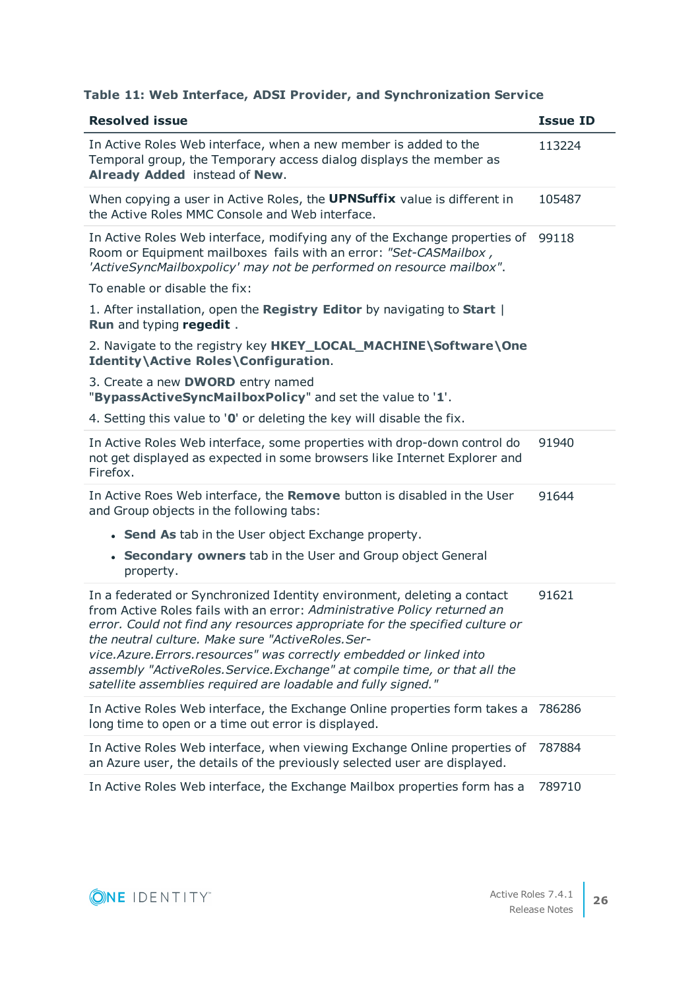#### **Table 11: Web Interface, ADSI Provider, and Synchronization Service**

| <b>Resolved issue</b>                                                                                                                                                                                                                                                                                                                                                                                                                                                                                           | <b>Issue ID</b> |
|-----------------------------------------------------------------------------------------------------------------------------------------------------------------------------------------------------------------------------------------------------------------------------------------------------------------------------------------------------------------------------------------------------------------------------------------------------------------------------------------------------------------|-----------------|
| In Active Roles Web interface, when a new member is added to the<br>Temporal group, the Temporary access dialog displays the member as<br>Already Added instead of New.                                                                                                                                                                                                                                                                                                                                         | 113224          |
| When copying a user in Active Roles, the <b>UPNSuffix</b> value is different in<br>the Active Roles MMC Console and Web interface.                                                                                                                                                                                                                                                                                                                                                                              | 105487          |
| In Active Roles Web interface, modifying any of the Exchange properties of<br>Room or Equipment mailboxes fails with an error: "Set-CASMailbox,<br>'ActiveSyncMailboxpolicy' may not be performed on resource mailbox".                                                                                                                                                                                                                                                                                         | 99118           |
| To enable or disable the fix:                                                                                                                                                                                                                                                                                                                                                                                                                                                                                   |                 |
| 1. After installation, open the Registry Editor by navigating to Start  <br>Run and typing regedit.                                                                                                                                                                                                                                                                                                                                                                                                             |                 |
| 2. Navigate to the registry key HKEY_LOCAL_MACHINE\Software\One<br><b>Identity\Active Roles\Configuration.</b>                                                                                                                                                                                                                                                                                                                                                                                                  |                 |
| 3. Create a new <b>DWORD</b> entry named<br>"BypassActiveSyncMailboxPolicy" and set the value to '1'.                                                                                                                                                                                                                                                                                                                                                                                                           |                 |
| 4. Setting this value to '0' or deleting the key will disable the fix.                                                                                                                                                                                                                                                                                                                                                                                                                                          |                 |
| In Active Roles Web interface, some properties with drop-down control do<br>not get displayed as expected in some browsers like Internet Explorer and<br>Firefox.                                                                                                                                                                                                                                                                                                                                               | 91940           |
| In Active Roes Web interface, the Remove button is disabled in the User<br>and Group objects in the following tabs:                                                                                                                                                                                                                                                                                                                                                                                             | 91644           |
| • Send As tab in the User object Exchange property.                                                                                                                                                                                                                                                                                                                                                                                                                                                             |                 |
| • Secondary owners tab in the User and Group object General<br>property.                                                                                                                                                                                                                                                                                                                                                                                                                                        |                 |
| In a federated or Synchronized Identity environment, deleting a contact<br>from Active Roles fails with an error: Administrative Policy returned an<br>error. Could not find any resources appropriate for the specified culture or<br>the neutral culture. Make sure "ActiveRoles.Ser-<br>vice. Azure. Errors. resources" was correctly embedded or linked into<br>assembly "ActiveRoles. Service. Exchange" at compile time, or that all the<br>satellite assemblies required are loadable and fully signed." | 91621           |
| In Active Roles Web interface, the Exchange Online properties form takes a<br>long time to open or a time out error is displayed.                                                                                                                                                                                                                                                                                                                                                                               | 786286          |
| In Active Roles Web interface, when viewing Exchange Online properties of<br>an Azure user, the details of the previously selected user are displayed.                                                                                                                                                                                                                                                                                                                                                          | 787884          |
| In Active Roles Web interface, the Exchange Mailbox properties form has a                                                                                                                                                                                                                                                                                                                                                                                                                                       | 789710          |

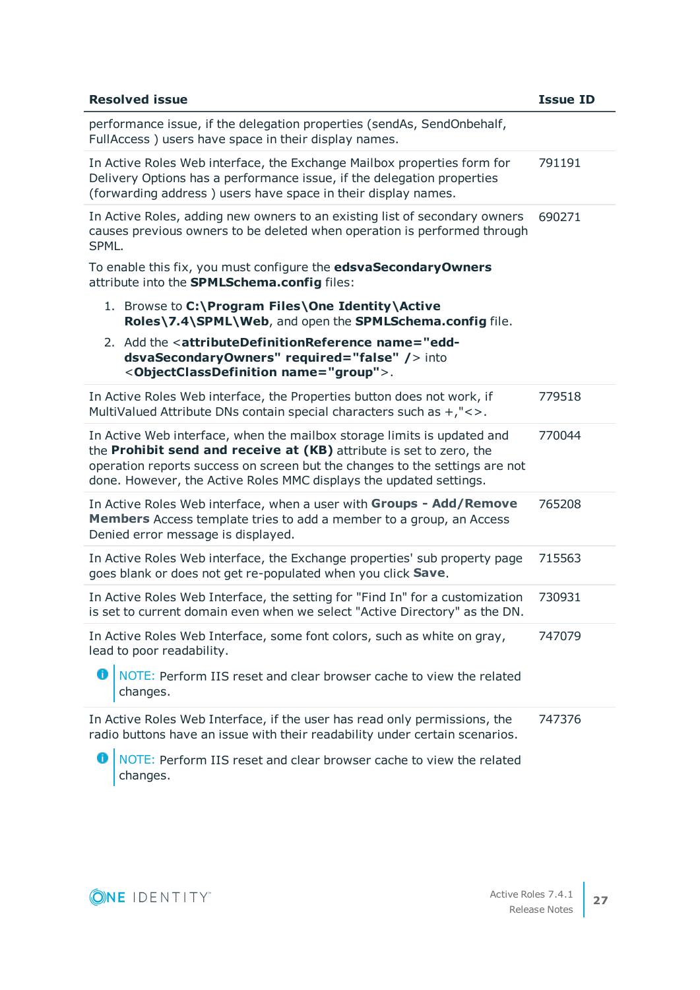| <b>Resolved issue</b>                                                                                                                                                                                                                                                                               | <b>Issue ID</b> |
|-----------------------------------------------------------------------------------------------------------------------------------------------------------------------------------------------------------------------------------------------------------------------------------------------------|-----------------|
| performance issue, if the delegation properties (sendAs, SendOnbehalf,<br>FullAccess) users have space in their display names.                                                                                                                                                                      |                 |
| In Active Roles Web interface, the Exchange Mailbox properties form for<br>Delivery Options has a performance issue, if the delegation properties<br>(forwarding address) users have space in their display names.                                                                                  | 791191          |
| In Active Roles, adding new owners to an existing list of secondary owners<br>causes previous owners to be deleted when operation is performed through<br>SPML.                                                                                                                                     | 690271          |
| To enable this fix, you must configure the edsvaSecondaryOwners<br>attribute into the SPMLSchema.config files:                                                                                                                                                                                      |                 |
| 1. Browse to C:\Program Files\One Identity\Active<br>Roles\7.4\SPML\Web, and open the SPMLSchema.config file.                                                                                                                                                                                       |                 |
| 2. Add the <attributedefinitionreference name="edd-&lt;br&gt;dsvaSecondaryOwners" required="false"></attributedefinitionreference> into<br><objectclassdefinition name="group">.</objectclassdefinition>                                                                                            |                 |
| In Active Roles Web interface, the Properties button does not work, if<br>MultiValued Attribute DNs contain special characters such as $+$ ," $\lt$ >.                                                                                                                                              | 779518          |
| In Active Web interface, when the mailbox storage limits is updated and<br>the Prohibit send and receive at (KB) attribute is set to zero, the<br>operation reports success on screen but the changes to the settings are not<br>done. However, the Active Roles MMC displays the updated settings. | 770044          |
| In Active Roles Web interface, when a user with Groups - Add/Remove<br>Members Access template tries to add a member to a group, an Access<br>Denied error message is displayed.                                                                                                                    | 765208          |
| In Active Roles Web interface, the Exchange properties' sub property page<br>goes blank or does not get re-populated when you click Save.                                                                                                                                                           | 715563          |
| In Active Roles Web Interface, the setting for "Find In" for a customization<br>is set to current domain even when we select "Active Directory" as the DN.                                                                                                                                          | 730931          |
| In Active Roles Web Interface, some font colors, such as white on gray,<br>lead to poor readability.                                                                                                                                                                                                | 747079          |
| NOTE: Perform IIS reset and clear browser cache to view the related<br>changes.                                                                                                                                                                                                                     |                 |
| In Active Roles Web Interface, if the user has read only permissions, the<br>radio buttons have an issue with their readability under certain scenarios.<br>6<br>NOTE: Perform IIS reset and clear browser cache to view the related                                                                | 747376          |
| changes.                                                                                                                                                                                                                                                                                            |                 |



ONE IDENTITY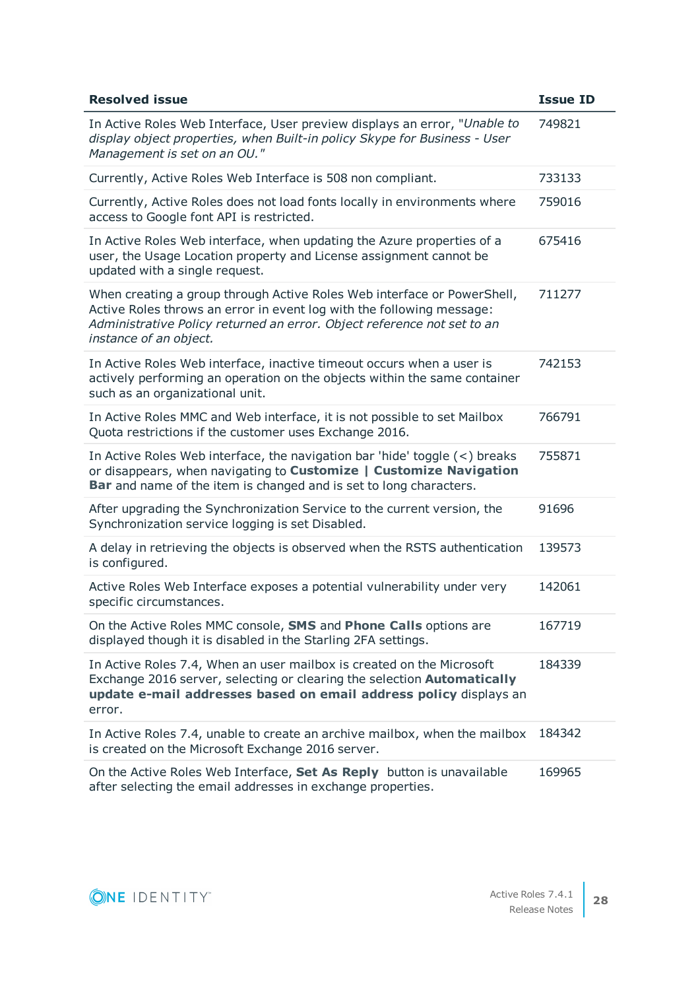| <b>Resolved issue</b>                                                                                                                                                                                                                                 | <b>Issue ID</b> |
|-------------------------------------------------------------------------------------------------------------------------------------------------------------------------------------------------------------------------------------------------------|-----------------|
| In Active Roles Web Interface, User preview displays an error, "Unable to<br>display object properties, when Built-in policy Skype for Business - User<br>Management is set on an OU."                                                                | 749821          |
| Currently, Active Roles Web Interface is 508 non compliant.                                                                                                                                                                                           | 733133          |
| Currently, Active Roles does not load fonts locally in environments where<br>access to Google font API is restricted.                                                                                                                                 | 759016          |
| In Active Roles Web interface, when updating the Azure properties of a<br>user, the Usage Location property and License assignment cannot be<br>updated with a single request.                                                                        | 675416          |
| When creating a group through Active Roles Web interface or PowerShell,<br>Active Roles throws an error in event log with the following message:<br>Administrative Policy returned an error. Object reference not set to an<br>instance of an object. | 711277          |
| In Active Roles Web interface, inactive timeout occurs when a user is<br>actively performing an operation on the objects within the same container<br>such as an organizational unit.                                                                 | 742153          |
| In Active Roles MMC and Web interface, it is not possible to set Mailbox<br>Quota restrictions if the customer uses Exchange 2016.                                                                                                                    | 766791          |
| In Active Roles Web interface, the navigation bar 'hide' toggle $(<)$ breaks<br>or disappears, when navigating to Customize   Customize Navigation<br><b>Bar</b> and name of the item is changed and is set to long characters.                       | 755871          |
| After upgrading the Synchronization Service to the current version, the<br>Synchronization service logging is set Disabled.                                                                                                                           | 91696           |
| A delay in retrieving the objects is observed when the RSTS authentication<br>is configured.                                                                                                                                                          | 139573          |
| Active Roles Web Interface exposes a potential vulnerability under very<br>specific circumstances.                                                                                                                                                    | 142061          |
| On the Active Roles MMC console, SMS and Phone Calls options are<br>displayed though it is disabled in the Starling 2FA settings.                                                                                                                     | 167719          |
| In Active Roles 7.4, When an user mailbox is created on the Microsoft<br>Exchange 2016 server, selecting or clearing the selection Automatically<br>update e-mail addresses based on email address policy displays an<br>error.                       | 184339          |
| In Active Roles 7.4, unable to create an archive mailbox, when the mailbox<br>is created on the Microsoft Exchange 2016 server.                                                                                                                       | 184342          |
| On the Active Roles Web Interface, Set As Reply button is unavailable<br>after selecting the email addresses in exchange properties.                                                                                                                  | 169965          |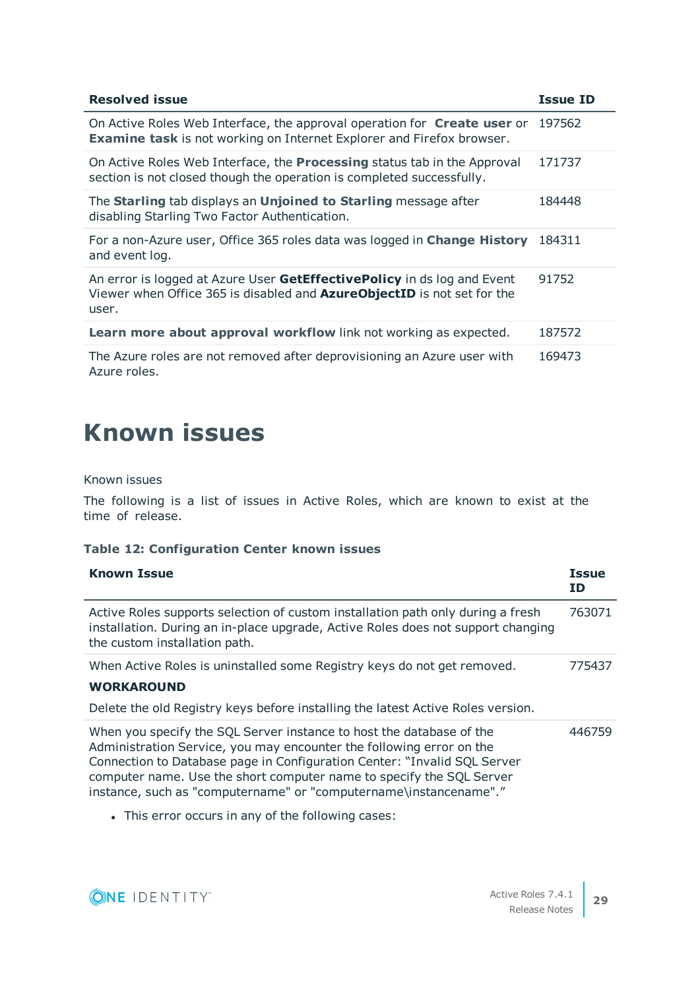| <b>Resolved issue</b>                                                                                                                                              | <b>Issue ID</b> |
|--------------------------------------------------------------------------------------------------------------------------------------------------------------------|-----------------|
| On Active Roles Web Interface, the approval operation for Create user or<br><b>Examine task</b> is not working on Internet Explorer and Firefox browser.           | 197562          |
| On Active Roles Web Interface, the <b>Processing</b> status tab in the Approval<br>section is not closed though the operation is completed successfully.           | 171737          |
| The Starling tab displays an Unjoined to Starling message after<br>disabling Starling Two Factor Authentication.                                                   | 184448          |
| For a non-Azure user, Office 365 roles data was logged in <b>Change History</b><br>and event log.                                                                  | 184311          |
| An error is logged at Azure User GetEffectivePolicy in ds log and Event<br>Viewer when Office 365 is disabled and <b>AzureObjectID</b> is not set for the<br>user. | 91752           |
| Learn more about approval workflow link not working as expected.                                                                                                   | 187572          |
| The Azure roles are not removed after deprovisioning an Azure user with<br>Azure roles.                                                                            | 169473          |

# <span id="page-28-0"></span>**Known issues**

Known issues

The following is a list of issues in Active Roles, which are known to exist at the time of release.

#### **Table 12: Configuration Center known issues**

| <b>Known Issue</b>                                                                                                                                                                                                                                                                                                                                                    | <b>Issue</b><br>ID. |
|-----------------------------------------------------------------------------------------------------------------------------------------------------------------------------------------------------------------------------------------------------------------------------------------------------------------------------------------------------------------------|---------------------|
| Active Roles supports selection of custom installation path only during a fresh<br>installation. During an in-place upgrade, Active Roles does not support changing<br>the custom installation path.                                                                                                                                                                  | 763071              |
| When Active Roles is uninstalled some Registry keys do not get removed.<br><b>WORKAROUND</b><br>Delete the old Registry keys before installing the latest Active Roles version.                                                                                                                                                                                       | 775437              |
| When you specify the SQL Server instance to host the database of the<br>Administration Service, you may encounter the following error on the<br>Connection to Database page in Configuration Center: "Invalid SQL Server<br>computer name. Use the short computer name to specify the SQL Server<br>instance, such as "computername" or "computername\instancename"." | 446759              |

• This error occurs in any of the following cases:

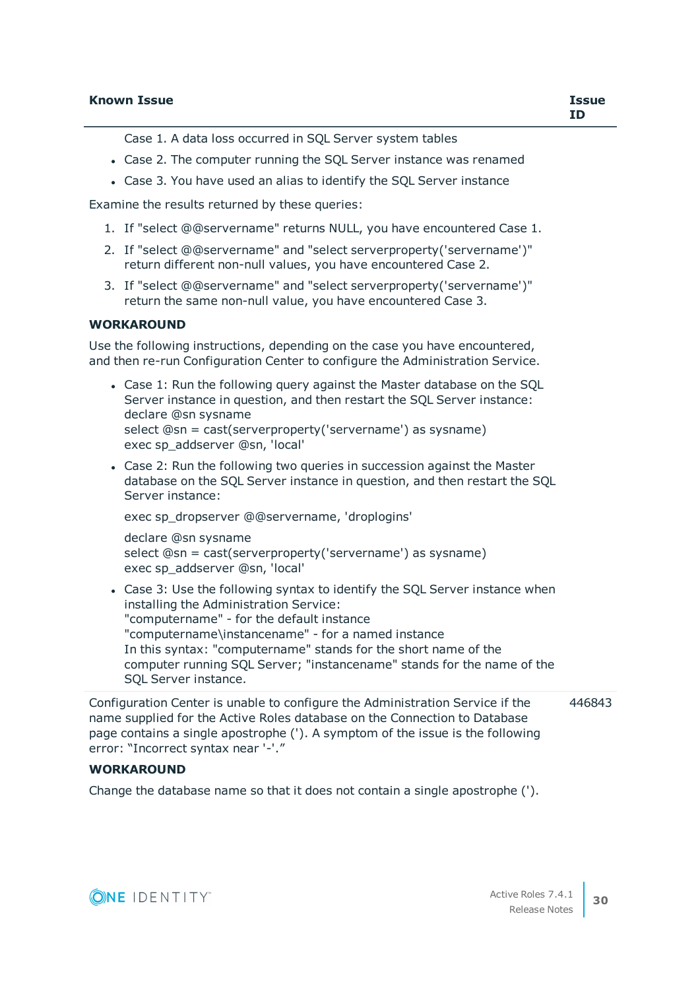Case 1. A data loss occurred in SQL Server system tables

- Case 2. The computer running the SQL Server instance was renamed
- Case 3. You have used an alias to identify the SQL Server instance

Examine the results returned by these queries:

- 1. If "select @@servername" returns NULL, you have encountered Case 1.
- 2. If "select @@servername" and "select serverproperty('servername')" return different non-null values, you have encountered Case 2.
- 3. If "select @@servername" and "select serverproperty('servername')" return the same non-null value, you have encountered Case 3.

#### **WORKAROUND**

Use the following instructions, depending on the case you have encountered, and then re-run Configuration Center to configure the Administration Service.

- Case 1: Run the following query against the Master database on the SOL Server instance in question, and then restart the SQL Server instance: declare @sn sysname select @sn = cast(serverproperty('servername') as sysname) exec sp\_addserver @sn, 'local'
- Case 2: Run the following two queries in succession against the Master database on the SQL Server instance in question, and then restart the SQL Server instance:

exec sp\_dropserver @@servername, 'droplogins'

declare @sn sysname select @sn = cast(serverproperty('servername') as sysname) exec sp\_addserver @sn, 'local'

• Case 3: Use the following syntax to identify the SQL Server instance when installing the Administration Service: "computername" - for the default instance "computername\instancename" - for a named instance In this syntax: "computername" stands for the short name of the computer running SQL Server; "instancename" stands for the name of the SQL Server instance.

Configuration Center is unable to configure the Administration Service if the name supplied for the Active Roles database on the Connection to Database page contains a single apostrophe ('). A symptom of the issue is the following error: "Incorrect syntax near '-'." 446843

#### **WORKAROUND**

Change the database name so that it does not contain a single apostrophe (').

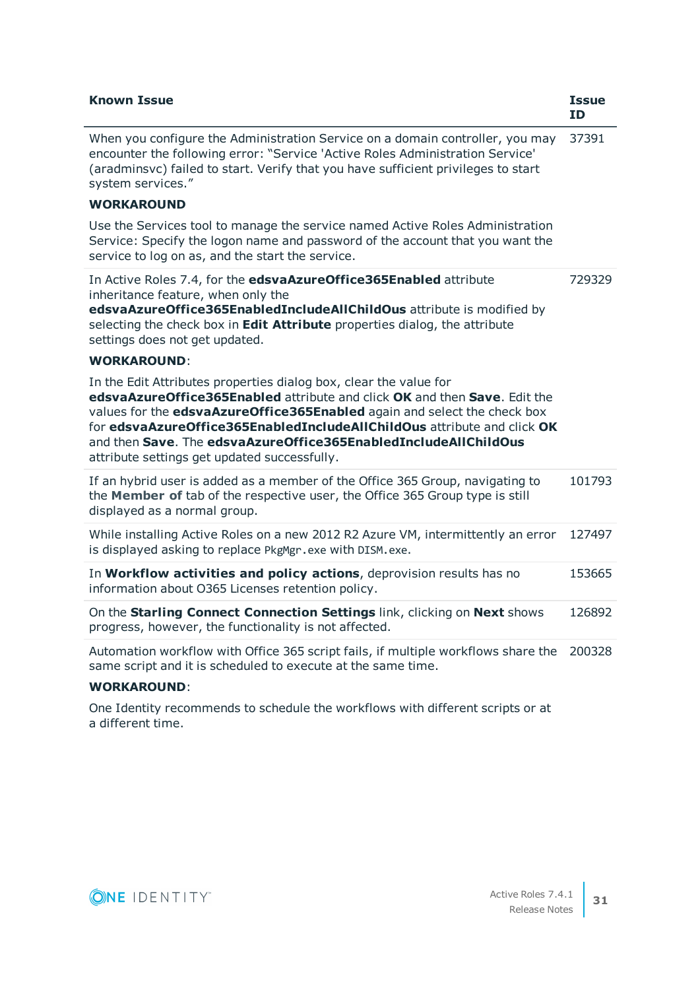| <b>Known Issue</b>                                                                                                                                                                                                                                                                                                                                                                                                       | <b>Issue</b><br><b>ID</b> |
|--------------------------------------------------------------------------------------------------------------------------------------------------------------------------------------------------------------------------------------------------------------------------------------------------------------------------------------------------------------------------------------------------------------------------|---------------------------|
| When you configure the Administration Service on a domain controller, you may<br>encounter the following error: "Service 'Active Roles Administration Service'<br>(aradminsvc) failed to start. Verify that you have sufficient privileges to start<br>system services."                                                                                                                                                 | 37391                     |
| <b>WORKAROUND</b>                                                                                                                                                                                                                                                                                                                                                                                                        |                           |
| Use the Services tool to manage the service named Active Roles Administration<br>Service: Specify the logon name and password of the account that you want the<br>service to log on as, and the start the service.                                                                                                                                                                                                       |                           |
| In Active Roles 7.4, for the edsvaAzureOffice365Enabled attribute<br>inheritance feature, when only the<br>edsvaAzureOffice365EnabledIncludeAllChildOus attribute is modified by<br>selecting the check box in Edit Attribute properties dialog, the attribute<br>settings does not get updated.                                                                                                                         | 729329                    |
| <b>WORKAROUND:</b>                                                                                                                                                                                                                                                                                                                                                                                                       |                           |
| In the Edit Attributes properties dialog box, clear the value for<br>edsvaAzureOffice365Enabled attribute and click OK and then Save. Edit the<br>values for the edsvaAzureOffice365Enabled again and select the check box<br>for edsvaAzureOffice365EnabledIncludeAllChildOus attribute and click OK<br>and then Save. The edsvaAzureOffice365EnabledIncludeAllChildOus<br>attribute settings get updated successfully. |                           |
| If an hybrid user is added as a member of the Office 365 Group, navigating to<br>the Member of tab of the respective user, the Office 365 Group type is still<br>displayed as a normal group.                                                                                                                                                                                                                            | 101793                    |
| While installing Active Roles on a new 2012 R2 Azure VM, intermittently an error<br>is displayed asking to replace PkgMgr.exe with DISM.exe.                                                                                                                                                                                                                                                                             | 127497                    |
| In Workflow activities and policy actions, deprovision results has no<br>information about O365 Licenses retention policy.                                                                                                                                                                                                                                                                                               | 153665                    |
| On the Starling Connect Connection Settings link, clicking on Next shows<br>progress, however, the functionality is not affected.                                                                                                                                                                                                                                                                                        | 126892                    |
| Automation workflow with Office 365 script fails, if multiple workflows share the<br>same script and it is scheduled to execute at the same time.                                                                                                                                                                                                                                                                        | 200328                    |
| <b>WORKAROUND:</b>                                                                                                                                                                                                                                                                                                                                                                                                       |                           |
| One Identity recommends to schedule the workflows with different scripts or at<br>a different time.                                                                                                                                                                                                                                                                                                                      |                           |

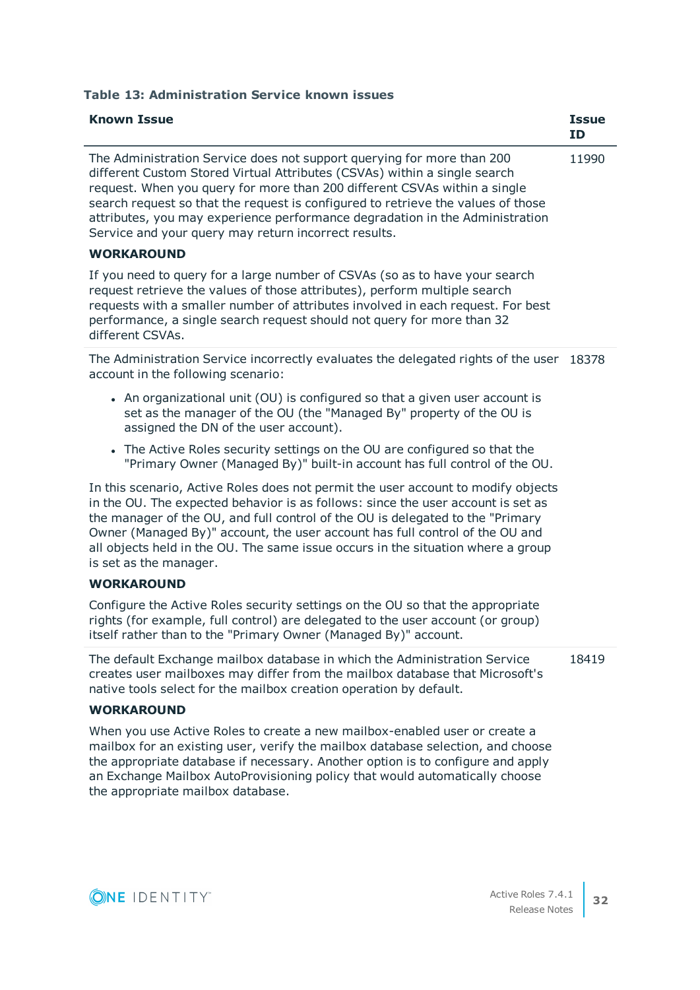**Table 13: Administration Service known issues**

| <b>Known Issue</b>                                                                                                                                                                                                                                                                                                                                                                                                                                           | <b>Issue</b><br><b>ID</b> |
|--------------------------------------------------------------------------------------------------------------------------------------------------------------------------------------------------------------------------------------------------------------------------------------------------------------------------------------------------------------------------------------------------------------------------------------------------------------|---------------------------|
| The Administration Service does not support querying for more than 200<br>different Custom Stored Virtual Attributes (CSVAs) within a single search<br>request. When you query for more than 200 different CSVAs within a single<br>search request so that the request is configured to retrieve the values of those<br>attributes, you may experience performance degradation in the Administration<br>Service and your query may return incorrect results. | 11990                     |
| <b>WORKAROUND</b>                                                                                                                                                                                                                                                                                                                                                                                                                                            |                           |
| If you need to query for a large number of CSVAs (so as to have your search<br>request retrieve the values of those attributes), perform multiple search<br>requests with a smaller number of attributes involved in each request. For best<br>performance, a single search request should not query for more than 32<br>different CSVAs.                                                                                                                    |                           |
| The Administration Service incorrectly evaluates the delegated rights of the user<br>account in the following scenario:                                                                                                                                                                                                                                                                                                                                      | 18378                     |
| • An organizational unit (OU) is configured so that a given user account is<br>set as the manager of the OU (the "Managed By" property of the OU is<br>assigned the DN of the user account).                                                                                                                                                                                                                                                                 |                           |
| • The Active Roles security settings on the OU are configured so that the<br>"Primary Owner (Managed By)" built-in account has full control of the OU.                                                                                                                                                                                                                                                                                                       |                           |
| In this scenario, Active Roles does not permit the user account to modify objects<br>in the OU. The expected behavior is as follows: since the user account is set as<br>the manager of the OU, and full control of the OU is delegated to the "Primary<br>Owner (Managed By)" account, the user account has full control of the OU and<br>all objects held in the OU. The same issue occurs in the situation where a group<br>is set as the manager.        |                           |
| <b>WORKAROUND</b>                                                                                                                                                                                                                                                                                                                                                                                                                                            |                           |
| Configure the Active Roles security settings on the OU so that the appropriate<br>rights (for example, full control) are delegated to the user account (or group)<br>itself rather than to the "Primary Owner (Managed By)" account.                                                                                                                                                                                                                         |                           |
| The default Exchange mailbox database in which the Administration Service<br>creates user mailboxes may differ from the mailbox database that Microsoft's<br>native tools select for the mailbox creation operation by default.                                                                                                                                                                                                                              | 18419                     |
| <b>WORKAROUND</b>                                                                                                                                                                                                                                                                                                                                                                                                                                            |                           |
| When you use Active Roles to create a new mailbox-enabled user or create a                                                                                                                                                                                                                                                                                                                                                                                   |                           |

mailbox for an existing user, verify the mailbox database selection, and choose the appropriate database if necessary. Another option is to configure and apply an Exchange Mailbox AutoProvisioning policy that would automatically choose the appropriate mailbox database.

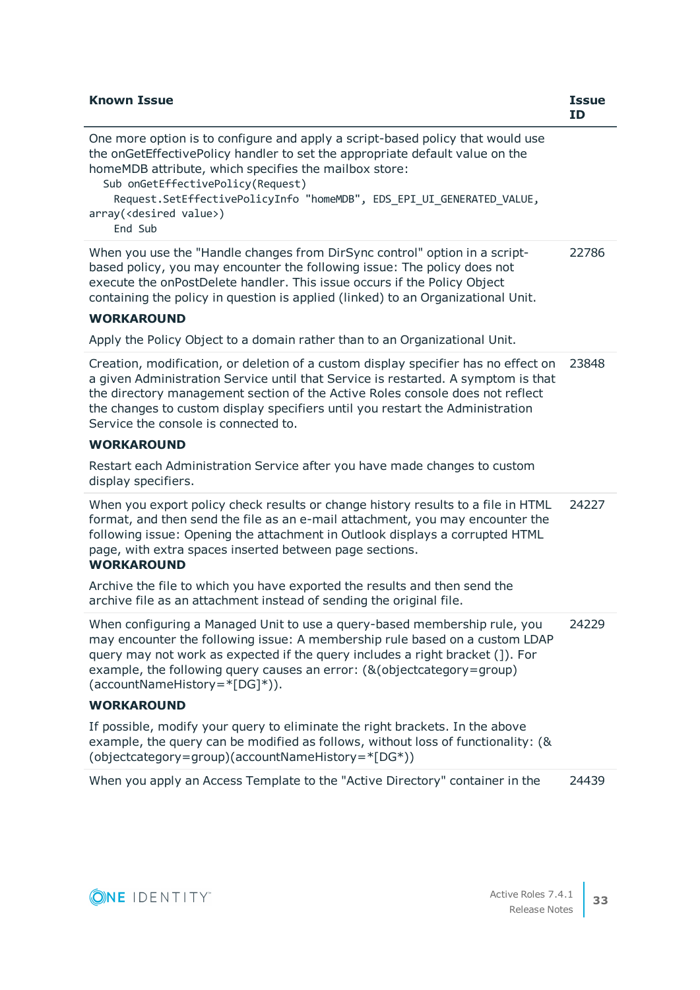| <b>Known Issue</b>                                                                                                                                                                                                                                                                                                                                                                        | <b>Issue</b><br><b>ID</b> |
|-------------------------------------------------------------------------------------------------------------------------------------------------------------------------------------------------------------------------------------------------------------------------------------------------------------------------------------------------------------------------------------------|---------------------------|
| One more option is to configure and apply a script-based policy that would use<br>the onGetEffectivePolicy handler to set the appropriate default value on the<br>homeMDB attribute, which specifies the mailbox store:<br>Sub onGetEffectivePolicy(Request)<br>Request.SetEffectivePolicyInfo "homeMDB", EDS_EPI_UI_GENERATED_VALUE,<br>array( <desired value="">)<br/>End Sub</desired> |                           |
| When you use the "Handle changes from DirSync control" option in a script-<br>based policy, you may encounter the following issue: The policy does not<br>execute the onPostDelete handler. This issue occurs if the Policy Object<br>containing the policy in question is applied (linked) to an Organizational Unit.<br><b>WORKAROUND</b>                                               | 22786                     |
| Apply the Policy Object to a domain rather than to an Organizational Unit.                                                                                                                                                                                                                                                                                                                |                           |
| Creation, modification, or deletion of a custom display specifier has no effect on<br>a given Administration Service until that Service is restarted. A symptom is that<br>the directory management section of the Active Roles console does not reflect<br>the changes to custom display specifiers until you restart the Administration<br>Service the console is connected to.         | 23848                     |
| <b>WORKAROUND</b>                                                                                                                                                                                                                                                                                                                                                                         |                           |
| Restart each Administration Service after you have made changes to custom<br>display specifiers.                                                                                                                                                                                                                                                                                          |                           |
| When you export policy check results or change history results to a file in HTML<br>format, and then send the file as an e-mail attachment, you may encounter the<br>following issue: Opening the attachment in Outlook displays a corrupted HTML<br>page, with extra spaces inserted between page sections.<br><b>WORKAROUND</b>                                                         | 24227                     |
| Archive the file to which you have exported the results and then send the<br>archive file as an attachment instead of sending the original file.                                                                                                                                                                                                                                          |                           |
| When configuring a Managed Unit to use a query-based membership rule, you<br>may encounter the following issue: A membership rule based on a custom LDAP<br>query may not work as expected if the query includes a right bracket (]). For<br>example, the following query causes an error: (& (objectcategory = group)<br>$(\text{accountNameHistory} = *[DG]*)).$                        | 24229                     |
| <b>WORKAROUND</b>                                                                                                                                                                                                                                                                                                                                                                         |                           |
| If possible, modify your query to eliminate the right brackets. In the above<br>example, the query can be modified as follows, without loss of functionality: (&<br>(objectcategory=group)(accountNameHistory=*[DG*))                                                                                                                                                                     |                           |
|                                                                                                                                                                                                                                                                                                                                                                                           |                           |

When you apply an Access Template to the "Active Directory" container in the 24439

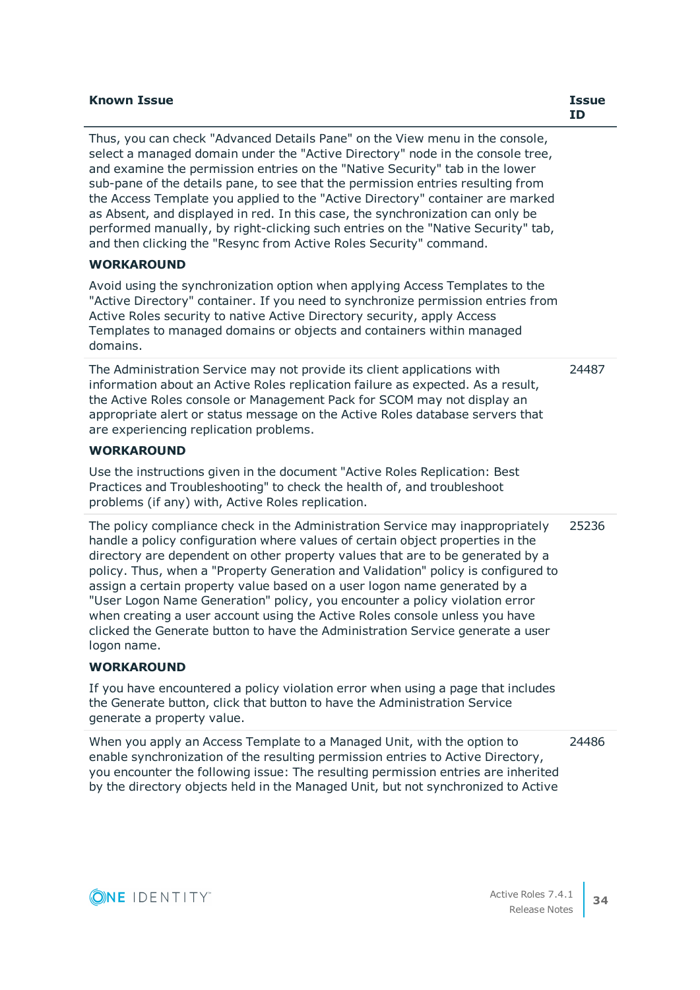| <b>Known Issue</b> | Issue |
|--------------------|-------|
|                    |       |

Thus, you can check "Advanced Details Pane" on the View menu in the console, select a managed domain under the "Active Directory" node in the console tree, and examine the permission entries on the "Native Security" tab in the lower sub-pane of the details pane, to see that the permission entries resulting from the Access Template you applied to the "Active Directory" container are marked as Absent, and displayed in red. In this case, the synchronization can only be performed manually, by right-clicking such entries on the "Native Security" tab, and then clicking the "Resync from Active Roles Security" command. **WORKAROUND** Avoid using the synchronization option when applying Access Templates to the "Active Directory" container. If you need to synchronize permission entries from Active Roles security to native Active Directory security, apply Access Templates to managed domains or objects and containers within managed domains. The Administration Service may not provide its client applications with information about an Active Roles replication failure as expected. As a result, the Active Roles console or Management Pack for SCOM may not display an appropriate alert or status message on the Active Roles database servers that are experiencing replication problems. **WORKAROUND** Use the instructions given in the document "Active Roles Replication: Best Practices and Troubleshooting" to check the health of, and troubleshoot problems (if any) with, Active Roles replication. 24487 The policy compliance check in the Administration Service may inappropriately handle a policy configuration where values of certain object properties in the directory are dependent on other property values that are to be generated by a policy. Thus, when a "Property Generation and Validation" policy is configured to assign a certain property value based on a user logon name generated by a "User Logon Name Generation" policy, you encounter a policy violation error when creating a user account using the Active Roles console unless you have clicked the Generate button to have the Administration Service generate a user logon name. **WORKAROUND** If you have encountered a policy violation error when using a page that includes the Generate button, click that button to have the Administration Service generate a property value. 25236 When you apply an Access Template to a Managed Unit, with the option to enable synchronization of the resulting permission entries to Active Directory, you encounter the following issue: The resulting permission entries are inherited by the directory objects held in the Managed Unit, but not synchronized to Active 24486

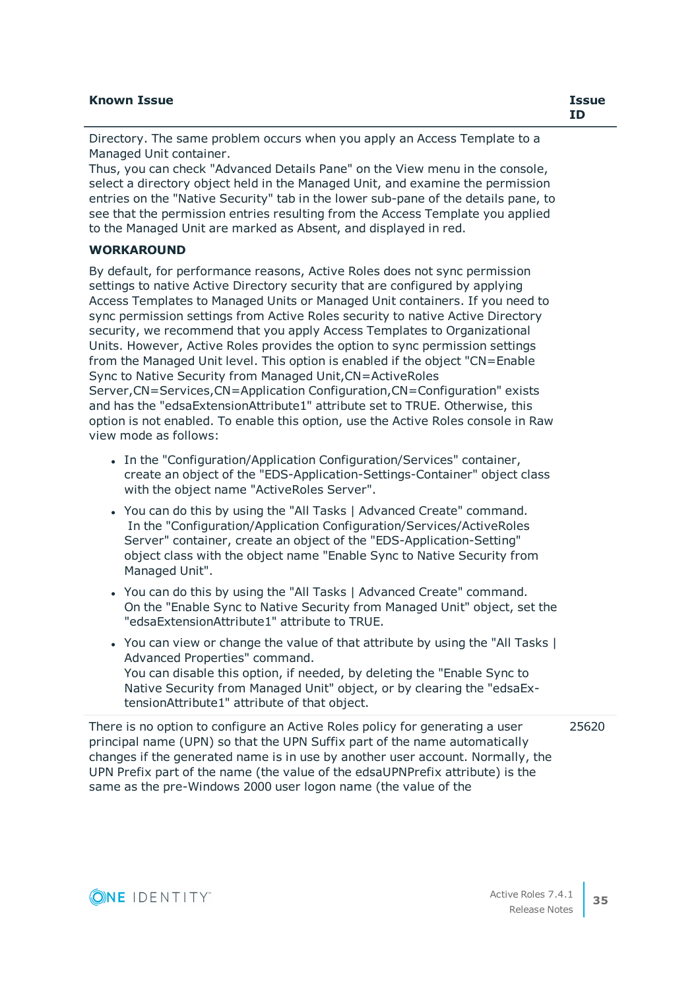| <b>Known Issue</b>                                                        | <b>Issue</b><br>ΙD |
|---------------------------------------------------------------------------|--------------------|
| Directory. The same problem occurs when you apply an Access Template to a |                    |

Managed Unit container. Thus, you can check "Advanced Details Pane" on the View menu in the console, select a directory object held in the Managed Unit, and examine the permission entries on the "Native Security" tab in the lower sub-pane of the details pane, to see that the permission entries resulting from the Access Template you applied to the Managed Unit are marked as Absent, and displayed in red.

#### **WORKAROUND**

By default, for performance reasons, Active Roles does not sync permission settings to native Active Directory security that are configured by applying Access Templates to Managed Units or Managed Unit containers. If you need to sync permission settings from Active Roles security to native Active Directory security, we recommend that you apply Access Templates to Organizational Units. However, Active Roles provides the option to sync permission settings from the Managed Unit level. This option is enabled if the object "CN=Enable Sync to Native Security from Managed Unit,CN=ActiveRoles Server,CN=Services,CN=Application Configuration,CN=Configuration" exists and has the "edsaExtensionAttribute1" attribute set to TRUE. Otherwise, this option is not enabled. To enable this option, use the Active Roles console in Raw view mode as follows:

- In the "Configuration/Application Configuration/Services" container, create an object of the "EDS-Application-Settings-Container" object class with the object name "ActiveRoles Server".
- You can do this by using the "All Tasks | Advanced Create" command. In the "Configuration/Application Configuration/Services/ActiveRoles Server" container, create an object of the "EDS-Application-Setting" object class with the object name "Enable Sync to Native Security from Managed Unit".
- You can do this by using the "All Tasks | Advanced Create" command. On the "Enable Sync to Native Security from Managed Unit" object, set the "edsaExtensionAttribute1" attribute to TRUE.
- You can view or change the value of that attribute by using the "All Tasks I Advanced Properties" command. You can disable this option, if needed, by deleting the "Enable Sync to Native Security from Managed Unit" object, or by clearing the "edsaExtensionAttribute1" attribute of that object.

There is no option to configure an Active Roles policy for generating a user principal name (UPN) so that the UPN Suffix part of the name automatically changes if the generated name is in use by another user account. Normally, the UPN Prefix part of the name (the value of the edsaUPNPrefix attribute) is the same as the pre-Windows 2000 user logon name (the value of the 25620

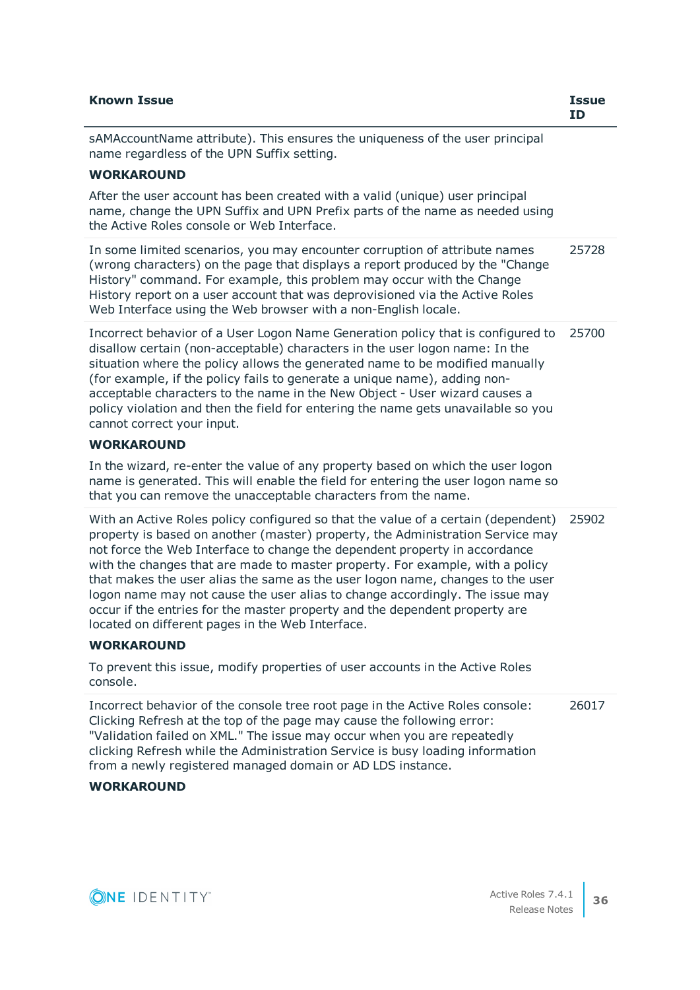| <b>Known Issue</b>                                                                                                                                                                                                                                                                                                                                                                                                                                                                                                                                                                                                                                           | <b>Issue</b><br><b>ID</b> |
|--------------------------------------------------------------------------------------------------------------------------------------------------------------------------------------------------------------------------------------------------------------------------------------------------------------------------------------------------------------------------------------------------------------------------------------------------------------------------------------------------------------------------------------------------------------------------------------------------------------------------------------------------------------|---------------------------|
| sAMAccountName attribute). This ensures the uniqueness of the user principal<br>name regardless of the UPN Suffix setting.                                                                                                                                                                                                                                                                                                                                                                                                                                                                                                                                   |                           |
| <b>WORKAROUND</b>                                                                                                                                                                                                                                                                                                                                                                                                                                                                                                                                                                                                                                            |                           |
| After the user account has been created with a valid (unique) user principal<br>name, change the UPN Suffix and UPN Prefix parts of the name as needed using<br>the Active Roles console or Web Interface.                                                                                                                                                                                                                                                                                                                                                                                                                                                   |                           |
| In some limited scenarios, you may encounter corruption of attribute names<br>(wrong characters) on the page that displays a report produced by the "Change<br>History" command. For example, this problem may occur with the Change<br>History report on a user account that was deprovisioned via the Active Roles<br>Web Interface using the Web browser with a non-English locale.                                                                                                                                                                                                                                                                       | 25728                     |
| Incorrect behavior of a User Logon Name Generation policy that is configured to<br>disallow certain (non-acceptable) characters in the user logon name: In the<br>situation where the policy allows the generated name to be modified manually<br>(for example, if the policy fails to generate a unique name), adding non-<br>acceptable characters to the name in the New Object - User wizard causes a<br>policy violation and then the field for entering the name gets unavailable so you<br>cannot correct your input.                                                                                                                                 | 25700                     |
| <b>WORKAROUND</b>                                                                                                                                                                                                                                                                                                                                                                                                                                                                                                                                                                                                                                            |                           |
| In the wizard, re-enter the value of any property based on which the user logon<br>name is generated. This will enable the field for entering the user logon name so<br>that you can remove the unacceptable characters from the name.                                                                                                                                                                                                                                                                                                                                                                                                                       |                           |
| With an Active Roles policy configured so that the value of a certain (dependent)<br>property is based on another (master) property, the Administration Service may<br>not force the Web Interface to change the dependent property in accordance<br>with the changes that are made to master property. For example, with a policy<br>that makes the user alias the same as the user logon name, changes to the user<br>logon name may not cause the user alias to change accordingly. The issue may<br>occur if the entries for the master property and the dependent property are<br>located on different pages in the Web Interface.<br><b>WORKAROUND</b> | 25902                     |
| To prevent this issue, modify properties of user accounts in the Active Roles                                                                                                                                                                                                                                                                                                                                                                                                                                                                                                                                                                                |                           |
| console.                                                                                                                                                                                                                                                                                                                                                                                                                                                                                                                                                                                                                                                     |                           |
| Incorrect behavior of the console tree root page in the Active Roles console:<br>Clicking Refresh at the top of the page may cause the following error:<br>"Validation failed on XML." The issue may occur when you are repeatedly<br>clicking Refresh while the Administration Service is busy loading information<br>from a newly registered managed domain or AD LDS instance.                                                                                                                                                                                                                                                                            | 26017                     |

#### **WORKAROUND**

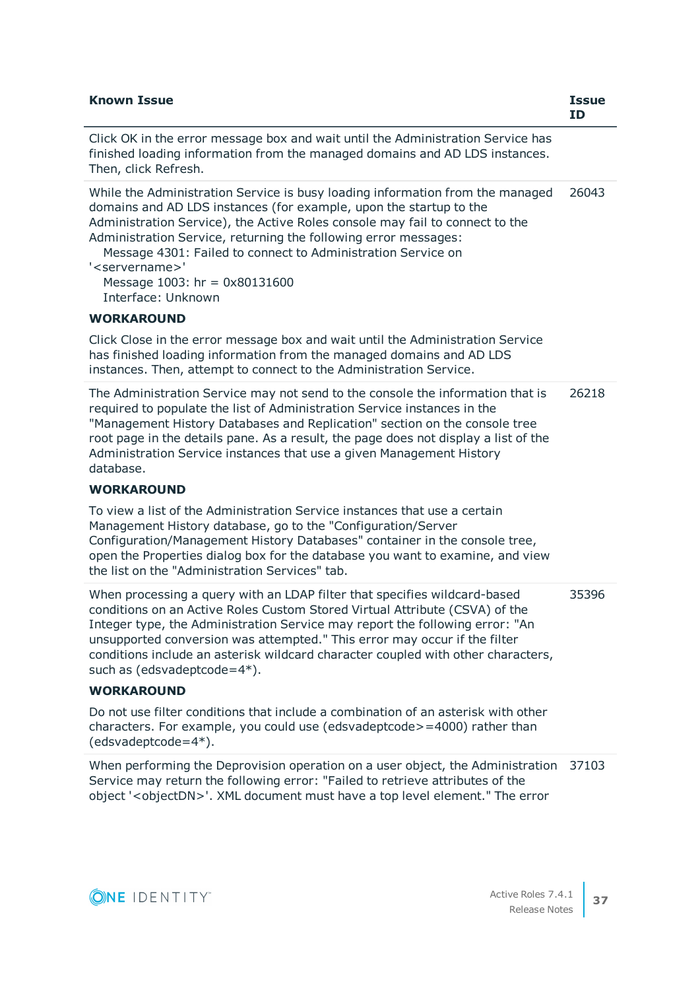| <b>Known Issue</b>                                                                                                                                                                                                                                                                                                                                                                                                                                                                  | <b>Issue</b><br><b>ID</b> |
|-------------------------------------------------------------------------------------------------------------------------------------------------------------------------------------------------------------------------------------------------------------------------------------------------------------------------------------------------------------------------------------------------------------------------------------------------------------------------------------|---------------------------|
| Click OK in the error message box and wait until the Administration Service has<br>finished loading information from the managed domains and AD LDS instances.<br>Then, click Refresh.                                                                                                                                                                                                                                                                                              |                           |
| While the Administration Service is busy loading information from the managed<br>domains and AD LDS instances (for example, upon the startup to the<br>Administration Service), the Active Roles console may fail to connect to the<br>Administration Service, returning the following error messages:<br>Message 4301: Failed to connect to Administration Service on<br>' <servername>'<br/>Message 1003: <math>hr = 0 \times 80131600</math><br/>Interface: Unknown</servername> | 26043                     |
| <b>WORKAROUND</b>                                                                                                                                                                                                                                                                                                                                                                                                                                                                   |                           |
| Click Close in the error message box and wait until the Administration Service<br>has finished loading information from the managed domains and AD LDS<br>instances. Then, attempt to connect to the Administration Service.                                                                                                                                                                                                                                                        |                           |
| The Administration Service may not send to the console the information that is<br>required to populate the list of Administration Service instances in the<br>"Management History Databases and Replication" section on the console tree<br>root page in the details pane. As a result, the page does not display a list of the<br>Administration Service instances that use a given Management History<br>database.                                                                | 26218                     |
| <b>WORKAROUND</b>                                                                                                                                                                                                                                                                                                                                                                                                                                                                   |                           |
| To view a list of the Administration Service instances that use a certain<br>Management History database, go to the "Configuration/Server<br>Configuration/Management History Databases" container in the console tree,<br>open the Properties dialog box for the database you want to examine, and view<br>the list on the "Administration Services" tab.                                                                                                                          |                           |
| When processing a query with an LDAP filter that specifies wildcard-based<br>conditions on an Active Roles Custom Stored Virtual Attribute (CSVA) of the<br>Integer type, the Administration Service may report the following error: "An<br>unsupported conversion was attempted." This error may occur if the filter<br>conditions include an asterisk wildcard character coupled with other characters,<br>such as (edsvadeptcode= $4^*$ ).                                       | 35396                     |
| <b>WORKAROUND</b>                                                                                                                                                                                                                                                                                                                                                                                                                                                                   |                           |
| Do not use filter conditions that include a combination of an asterisk with other<br>characters. For example, you could use (edsvadeptcode>=4000) rather than<br>$(edsvadeptcode=4*).$                                                                                                                                                                                                                                                                                              |                           |
| When performing the Deprovision operation on a user object, the Administration<br>Service may return the following error: "Failed to retrieve attributes of the<br>object ' <objectdn>'. XML document must have a top level element." The error</objectdn>                                                                                                                                                                                                                          | 37103                     |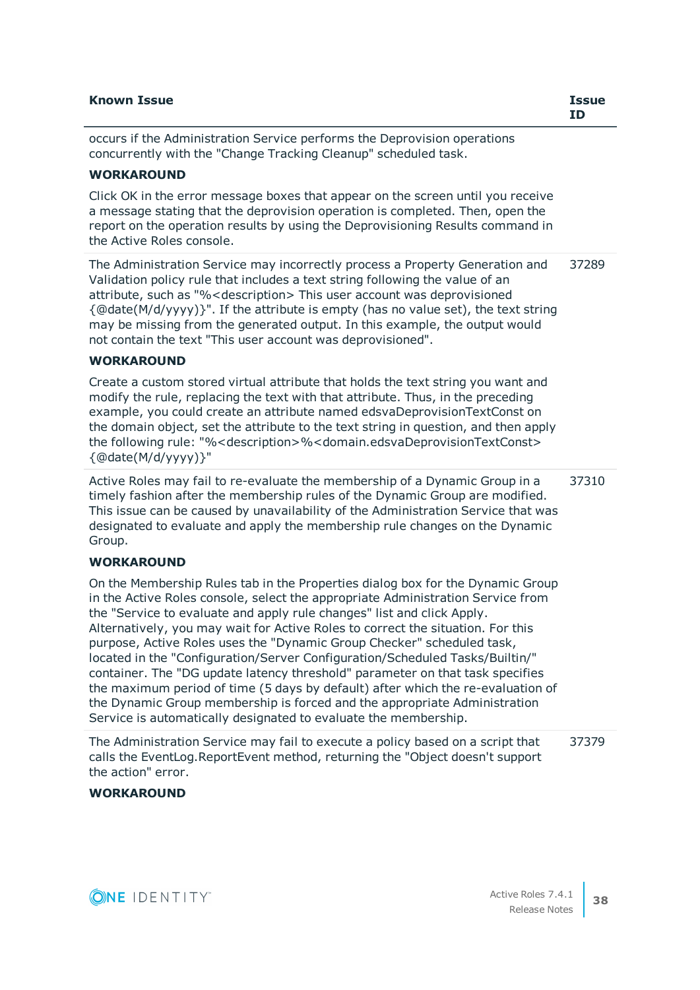| <b>Known Issue</b>                                                                                                                                                                                                                                                                                                                                                                                                                                                                                                                                                                                                                                                                                                                                                                                           | <b>Issue</b><br>ID |
|--------------------------------------------------------------------------------------------------------------------------------------------------------------------------------------------------------------------------------------------------------------------------------------------------------------------------------------------------------------------------------------------------------------------------------------------------------------------------------------------------------------------------------------------------------------------------------------------------------------------------------------------------------------------------------------------------------------------------------------------------------------------------------------------------------------|--------------------|
| occurs if the Administration Service performs the Deprovision operations<br>concurrently with the "Change Tracking Cleanup" scheduled task.                                                                                                                                                                                                                                                                                                                                                                                                                                                                                                                                                                                                                                                                  |                    |
| <b>WORKAROUND</b>                                                                                                                                                                                                                                                                                                                                                                                                                                                                                                                                                                                                                                                                                                                                                                                            |                    |
| Click OK in the error message boxes that appear on the screen until you receive<br>a message stating that the deprovision operation is completed. Then, open the<br>report on the operation results by using the Deprovisioning Results command in<br>the Active Roles console.                                                                                                                                                                                                                                                                                                                                                                                                                                                                                                                              |                    |
| The Administration Service may incorrectly process a Property Generation and<br>Validation policy rule that includes a text string following the value of an<br>attribute, such as "% <description> This user account was deprovisioned<br/><math>\{\textcircled{a}</math>date<math>(M/d/yyy)</math>. If the attribute is empty (has no value set), the text string<br/>may be missing from the generated output. In this example, the output would<br/>not contain the text "This user account was deprovisioned".</description>                                                                                                                                                                                                                                                                            | 37289              |
| <b>WORKAROUND</b>                                                                                                                                                                                                                                                                                                                                                                                                                                                                                                                                                                                                                                                                                                                                                                                            |                    |
| Create a custom stored virtual attribute that holds the text string you want and<br>modify the rule, replacing the text with that attribute. Thus, in the preceding<br>example, you could create an attribute named edsvaDeprovisionTextConst on<br>the domain object, set the attribute to the text string in question, and then apply<br>the following rule: "% <description>%<domain.edsvadeprovisiontextconst><br/>{@date(M/d/yyyy)}"</domain.edsvadeprovisiontextconst></description>                                                                                                                                                                                                                                                                                                                   |                    |
| Active Roles may fail to re-evaluate the membership of a Dynamic Group in a<br>timely fashion after the membership rules of the Dynamic Group are modified.<br>This issue can be caused by unavailability of the Administration Service that was<br>designated to evaluate and apply the membership rule changes on the Dynamic<br>Group.                                                                                                                                                                                                                                                                                                                                                                                                                                                                    | 37310              |
| <b>WORKAROUND</b>                                                                                                                                                                                                                                                                                                                                                                                                                                                                                                                                                                                                                                                                                                                                                                                            |                    |
| On the Membership Rules tab in the Properties dialog box for the Dynamic Group<br>in the Active Roles console, select the appropriate Administration Service from<br>the "Service to evaluate and apply rule changes" list and click Apply.<br>Alternatively, you may wait for Active Roles to correct the situation. For this<br>purpose, Active Roles uses the "Dynamic Group Checker" scheduled task,<br>located in the "Configuration/Server Configuration/Scheduled Tasks/Builtin/"<br>container. The "DG update latency threshold" parameter on that task specifies<br>the maximum period of time (5 days by default) after which the re-evaluation of<br>the Dynamic Group membership is forced and the appropriate Administration<br>Service is automatically designated to evaluate the membership. |                    |

The Administration Service may fail to execute a policy based on a script that calls the EventLog.ReportEvent method, returning the "Object doesn't support the action" error. 37379

# **WORKAROUND**

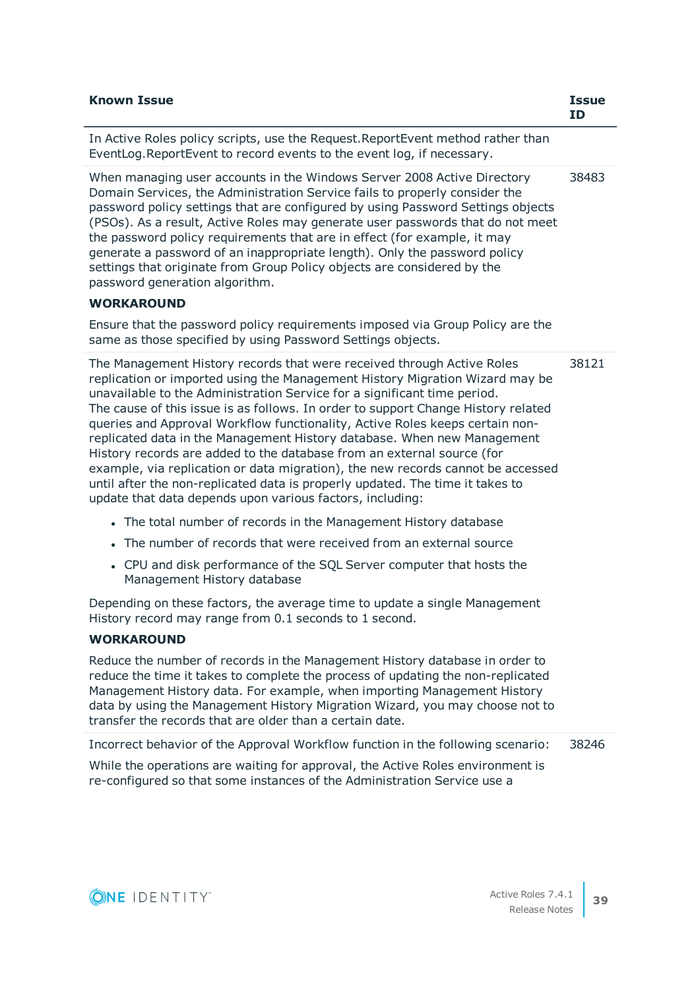| <b>Known Issue</b>                                                                                                                                                                                                                                                                                                                                                                                                                                                                                                                                                                                                                                                                                                                                                                            | <b>Issue</b><br>ID |
|-----------------------------------------------------------------------------------------------------------------------------------------------------------------------------------------------------------------------------------------------------------------------------------------------------------------------------------------------------------------------------------------------------------------------------------------------------------------------------------------------------------------------------------------------------------------------------------------------------------------------------------------------------------------------------------------------------------------------------------------------------------------------------------------------|--------------------|
| In Active Roles policy scripts, use the Request. ReportEvent method rather than<br>EventLog. ReportEvent to record events to the event log, if necessary.                                                                                                                                                                                                                                                                                                                                                                                                                                                                                                                                                                                                                                     |                    |
| When managing user accounts in the Windows Server 2008 Active Directory<br>Domain Services, the Administration Service fails to properly consider the<br>password policy settings that are configured by using Password Settings objects<br>(PSOs). As a result, Active Roles may generate user passwords that do not meet<br>the password policy requirements that are in effect (for example, it may<br>generate a password of an inappropriate length). Only the password policy<br>settings that originate from Group Policy objects are considered by the<br>password generation algorithm.                                                                                                                                                                                              | 38483              |
| <b>WORKAROUND</b>                                                                                                                                                                                                                                                                                                                                                                                                                                                                                                                                                                                                                                                                                                                                                                             |                    |
| Ensure that the password policy requirements imposed via Group Policy are the<br>same as those specified by using Password Settings objects.                                                                                                                                                                                                                                                                                                                                                                                                                                                                                                                                                                                                                                                  |                    |
| The Management History records that were received through Active Roles<br>replication or imported using the Management History Migration Wizard may be<br>unavailable to the Administration Service for a significant time period.<br>The cause of this issue is as follows. In order to support Change History related<br>queries and Approval Workflow functionality, Active Roles keeps certain non-<br>replicated data in the Management History database. When new Management<br>History records are added to the database from an external source (for<br>example, via replication or data migration), the new records cannot be accessed<br>until after the non-replicated data is properly updated. The time it takes to<br>update that data depends upon various factors, including: | 38121              |
| • The total number of records in the Management History database                                                                                                                                                                                                                                                                                                                                                                                                                                                                                                                                                                                                                                                                                                                              |                    |
| • The number of records that were received from an external source                                                                                                                                                                                                                                                                                                                                                                                                                                                                                                                                                                                                                                                                                                                            |                    |
| • CPU and disk performance of the SQL Server computer that hosts the<br>Management History database                                                                                                                                                                                                                                                                                                                                                                                                                                                                                                                                                                                                                                                                                           |                    |
| Depending on these factors, the average time to update a single Management<br>History record may range from 0.1 seconds to 1 second.                                                                                                                                                                                                                                                                                                                                                                                                                                                                                                                                                                                                                                                          |                    |
| <b>WORKAROUND</b>                                                                                                                                                                                                                                                                                                                                                                                                                                                                                                                                                                                                                                                                                                                                                                             |                    |
| Reduce the number of records in the Management History database in order to<br>reduce the time it takes to complete the process of updating the non-replicated<br>Management History data. For example, when importing Management History<br>data by using the Management History Migration Wizard, you may choose not to<br>transfer the records that are older than a certain date.                                                                                                                                                                                                                                                                                                                                                                                                         |                    |
| Incorrect behavior of the Approval Workflow function in the following scenario:                                                                                                                                                                                                                                                                                                                                                                                                                                                                                                                                                                                                                                                                                                               | 38246              |
| While the operations are waiting for approval, the Active Roles environment is<br>re-configured so that some instances of the Administration Service use a                                                                                                                                                                                                                                                                                                                                                                                                                                                                                                                                                                                                                                    |                    |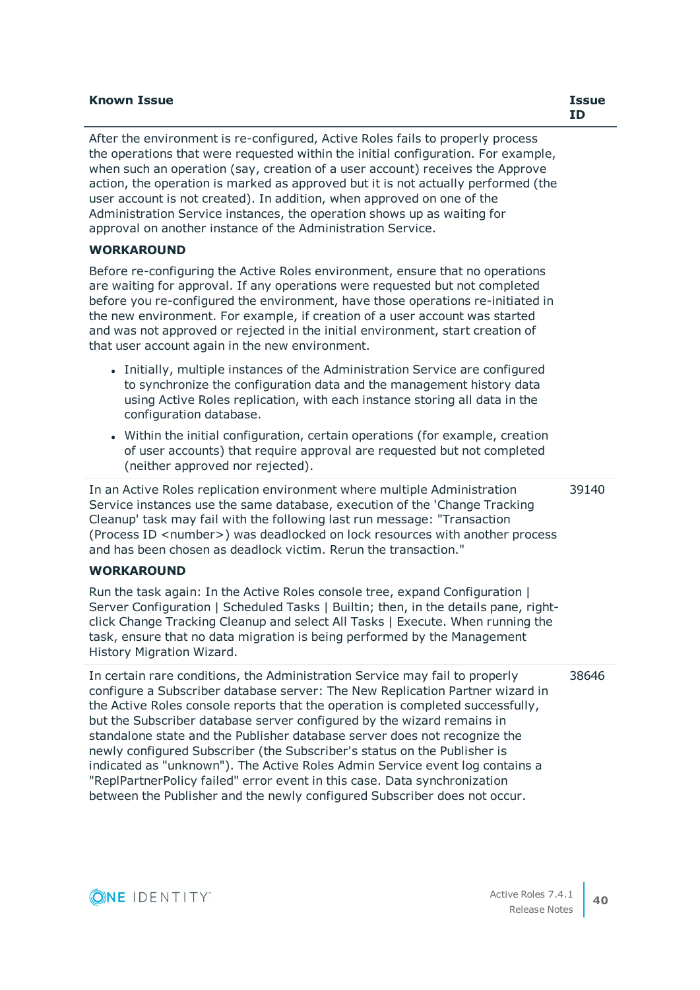### **Known Issue Issue**

After the environment is re-configured, Active Roles fails to properly process the operations that were requested within the initial configuration. For example, when such an operation (say, creation of a user account) receives the Approve action, the operation is marked as approved but it is not actually performed (the user account is not created). In addition, when approved on one of the Administration Service instances, the operation shows up as waiting for approval on another instance of the Administration Service.

## **WORKAROUND**

Before re-configuring the Active Roles environment, ensure that no operations are waiting for approval. If any operations were requested but not completed before you re-configured the environment, have those operations re-initiated in the new environment. For example, if creation of a user account was started and was not approved or rejected in the initial environment, start creation of that user account again in the new environment.

- <sup>l</sup> Initially, multiple instances of the Administration Service are configured to synchronize the configuration data and the management history data using Active Roles replication, with each instance storing all data in the configuration database.
- Within the initial configuration, certain operations (for example, creation of user accounts) that require approval are requested but not completed (neither approved nor rejected).

In an Active Roles replication environment where multiple Administration Service instances use the same database, execution of the 'Change Tracking Cleanup' task may fail with the following last run message: "Transaction (Process ID <number>) was deadlocked on lock resources with another process and has been chosen as deadlock victim. Rerun the transaction." 39140

### **WORKAROUND**

Run the task again: In the Active Roles console tree, expand Configuration | Server Configuration | Scheduled Tasks | Builtin; then, in the details pane, rightclick Change Tracking Cleanup and select All Tasks | Execute. When running the task, ensure that no data migration is being performed by the Management History Migration Wizard.

In certain rare conditions, the Administration Service may fail to properly configure a Subscriber database server: The New Replication Partner wizard in the Active Roles console reports that the operation is completed successfully, but the Subscriber database server configured by the wizard remains in standalone state and the Publisher database server does not recognize the newly configured Subscriber (the Subscriber's status on the Publisher is indicated as "unknown"). The Active Roles Admin Service event log contains a "ReplPartnerPolicy failed" error event in this case. Data synchronization between the Publisher and the newly configured Subscriber does not occur. 38646

**ID**

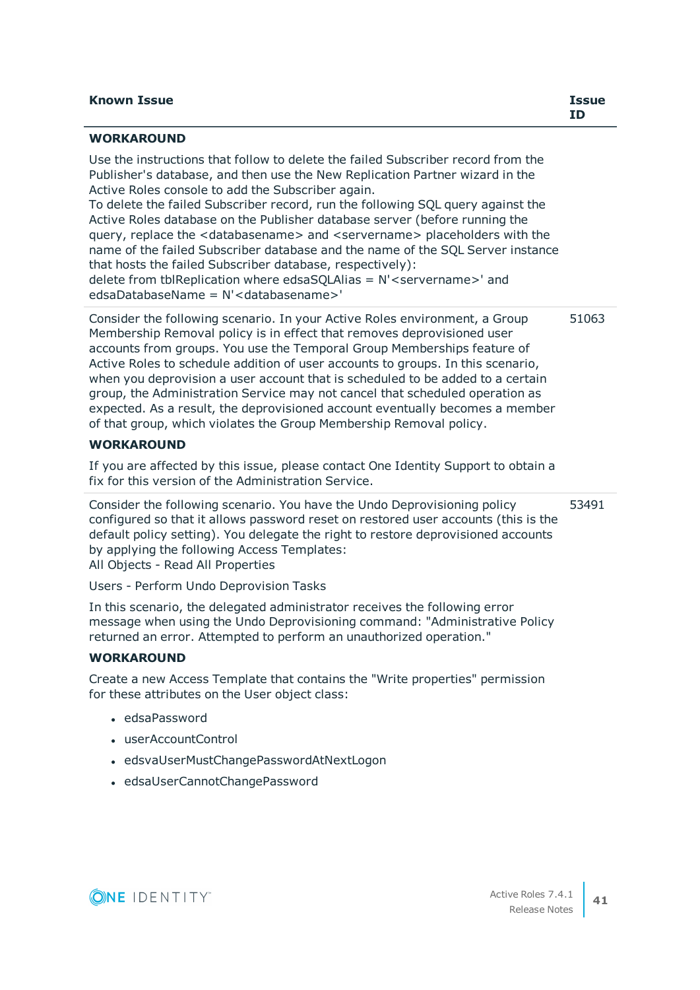| Issue |
|-------|
|       |

| <b>WORKAROUND</b>                                                                                                                                                                                                                                                                                                                                                                                                                                                                                                                                                                                                                                                                                                                                                                                     |       |
|-------------------------------------------------------------------------------------------------------------------------------------------------------------------------------------------------------------------------------------------------------------------------------------------------------------------------------------------------------------------------------------------------------------------------------------------------------------------------------------------------------------------------------------------------------------------------------------------------------------------------------------------------------------------------------------------------------------------------------------------------------------------------------------------------------|-------|
| Use the instructions that follow to delete the failed Subscriber record from the<br>Publisher's database, and then use the New Replication Partner wizard in the<br>Active Roles console to add the Subscriber again.<br>To delete the failed Subscriber record, run the following SQL query against the<br>Active Roles database on the Publisher database server (before running the<br>query, replace the <databasename> and <servername> placeholders with the<br/>name of the failed Subscriber database and the name of the SQL Server instance<br/>that hosts the failed Subscriber database, respectively):<br/>delete from tblReplication where edsaSQLAlias = <math>N'</math> &lt; servername &gt;' and<br/>edsaDatabaseName = N'<databasename>'</databasename></servername></databasename> |       |
| Consider the following scenario. In your Active Roles environment, a Group                                                                                                                                                                                                                                                                                                                                                                                                                                                                                                                                                                                                                                                                                                                            | 51063 |

Membership Removal policy is in effect that removes deprovisioned user accounts from groups. You use the Temporal Group Memberships feature of Active Roles to schedule addition of user accounts to groups. In this scenario, when you deprovision a user account that is scheduled to be added to a certain group, the Administration Service may not cancel that scheduled operation as expected. As a result, the deprovisioned account eventually becomes a member of that group, which violates the Group Membership Removal policy.

## **WORKAROUND**

If you are affected by this issue, please contact One Identity Support to obtain a fix for this version of the Administration Service.

Consider the following scenario. You have the Undo Deprovisioning policy configured so that it allows password reset on restored user accounts (this is the default policy setting). You delegate the right to restore deprovisioned accounts by applying the following Access Templates: All Objects - Read All Properties 53491

Users - Perform Undo Deprovision Tasks

In this scenario, the delegated administrator receives the following error message when using the Undo Deprovisioning command: "Administrative Policy returned an error. Attempted to perform an unauthorized operation."

# **WORKAROUND**

Create a new Access Template that contains the "Write properties" permission for these attributes on the User object class:

- <sup>l</sup> edsaPassword
- userAccountControl
- edsvaUserMustChangePasswordAtNextLogon
- edsaUserCannotChangePassword

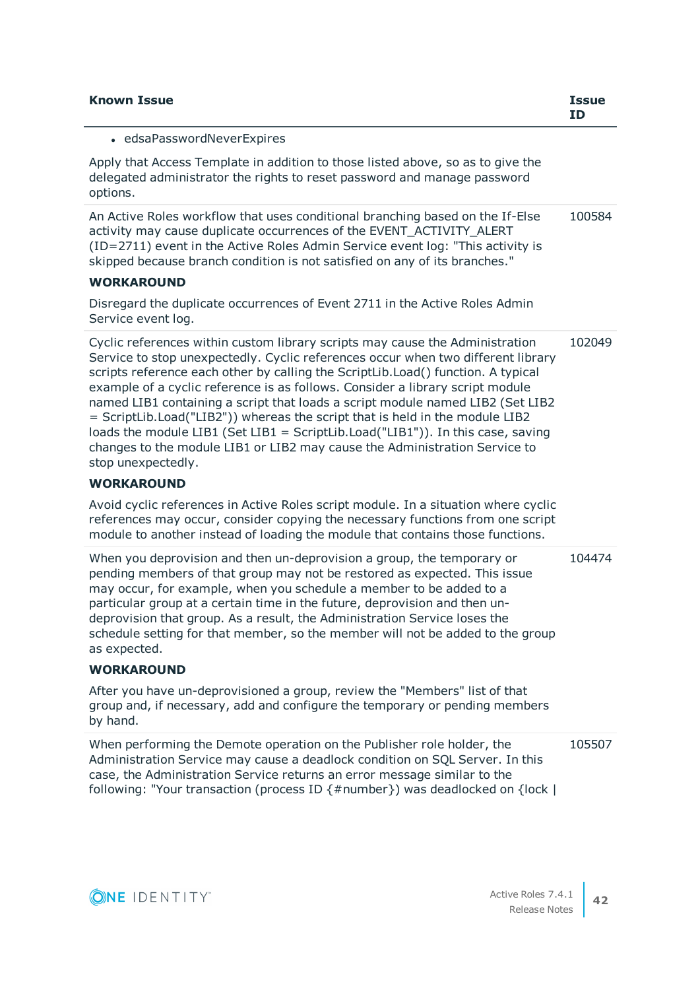| <b>Known Issue</b>                                                                                                                                                                                                                                                                                                                                                                                                                                                                                                                                                                                                                                                                             | <b>Issue</b><br><b>ID</b> |
|------------------------------------------------------------------------------------------------------------------------------------------------------------------------------------------------------------------------------------------------------------------------------------------------------------------------------------------------------------------------------------------------------------------------------------------------------------------------------------------------------------------------------------------------------------------------------------------------------------------------------------------------------------------------------------------------|---------------------------|
| • edsaPasswordNeverExpires                                                                                                                                                                                                                                                                                                                                                                                                                                                                                                                                                                                                                                                                     |                           |
| Apply that Access Template in addition to those listed above, so as to give the<br>delegated administrator the rights to reset password and manage password<br>options.                                                                                                                                                                                                                                                                                                                                                                                                                                                                                                                        |                           |
| An Active Roles workflow that uses conditional branching based on the If-Else<br>activity may cause duplicate occurrences of the EVENT_ACTIVITY_ALERT<br>(ID=2711) event in the Active Roles Admin Service event log: "This activity is<br>skipped because branch condition is not satisfied on any of its branches."                                                                                                                                                                                                                                                                                                                                                                          | 100584                    |
| <b>WORKAROUND</b>                                                                                                                                                                                                                                                                                                                                                                                                                                                                                                                                                                                                                                                                              |                           |
| Disregard the duplicate occurrences of Event 2711 in the Active Roles Admin<br>Service event log.                                                                                                                                                                                                                                                                                                                                                                                                                                                                                                                                                                                              |                           |
| Cyclic references within custom library scripts may cause the Administration<br>Service to stop unexpectedly. Cyclic references occur when two different library<br>scripts reference each other by calling the ScriptLib.Load() function. A typical<br>example of a cyclic reference is as follows. Consider a library script module<br>named LIB1 containing a script that loads a script module named LIB2 (Set LIB2<br>= ScriptLib.Load("LIB2")) whereas the script that is held in the module LIB2<br>loads the module LIB1 (Set LIB1 = ScriptLib.Load("LIB1")). In this case, saving<br>changes to the module LIB1 or LIB2 may cause the Administration Service to<br>stop unexpectedly. | 102049                    |
| <b>WORKAROUND</b>                                                                                                                                                                                                                                                                                                                                                                                                                                                                                                                                                                                                                                                                              |                           |
| Avoid cyclic references in Active Roles script module. In a situation where cyclic<br>references may occur, consider copying the necessary functions from one script<br>module to another instead of loading the module that contains those functions.                                                                                                                                                                                                                                                                                                                                                                                                                                         |                           |
| When you deprovision and then un-deprovision a group, the temporary or<br>pending members of that group may not be restored as expected. This issue<br>may occur, for example, when you schedule a member to be added to a<br>particular group at a certain time in the future, deprovision and then un-<br>deprovision that group. As a result, the Administration Service loses the<br>schedule setting for that member, so the member will not be added to the group<br>as expected.                                                                                                                                                                                                        | 104474                    |
| <b>WORKAROUND</b>                                                                                                                                                                                                                                                                                                                                                                                                                                                                                                                                                                                                                                                                              |                           |
| After you have un-deprovisioned a group, review the "Members" list of that<br>group and, if necessary, add and configure the temporary or pending members<br>by hand.                                                                                                                                                                                                                                                                                                                                                                                                                                                                                                                          |                           |
| When performing the Demote operation on the Publisher role holder, the<br>Administration Service may cause a deadlock condition on SQL Server. In this<br>case, the Administration Service returns an error message similar to the<br>following: "Your transaction (process ID {#number}) was deadlocked on {lock                                                                                                                                                                                                                                                                                                                                                                              | 105507                    |

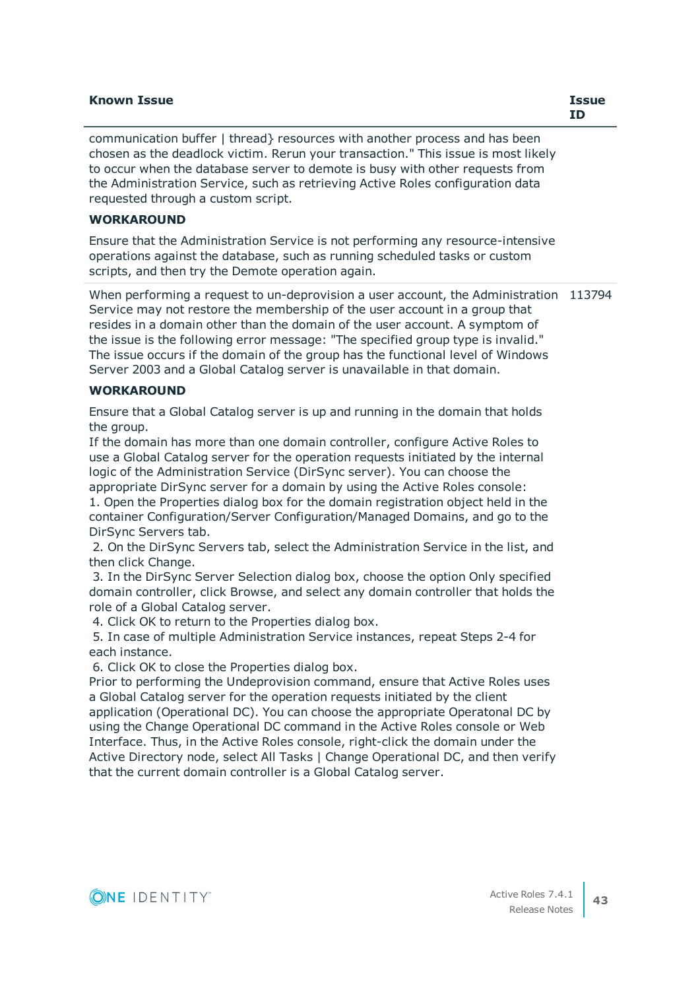### **Known Issue Issue**

communication buffer | thread} resources with another process and has been chosen as the deadlock victim. Rerun your transaction." This issue is most likely to occur when the database server to demote is busy with other requests from the Administration Service, such as retrieving Active Roles configuration data requested through a custom script.

### **WORKAROUND**

Ensure that the Administration Service is not performing any resource-intensive operations against the database, such as running scheduled tasks or custom scripts, and then try the Demote operation again.

When performing a request to un-deprovision a user account, the Administration 113794 Service may not restore the membership of the user account in a group that resides in a domain other than the domain of the user account. A symptom of the issue is the following error message: "The specified group type is invalid." The issue occurs if the domain of the group has the functional level of Windows Server 2003 and a Global Catalog server is unavailable in that domain.

### **WORKAROUND**

Ensure that a Global Catalog server is up and running in the domain that holds the group.

If the domain has more than one domain controller, configure Active Roles to use a Global Catalog server for the operation requests initiated by the internal logic of the Administration Service (DirSync server). You can choose the appropriate DirSync server for a domain by using the Active Roles console:

1. Open the Properties dialog box for the domain registration object held in the container Configuration/Server Configuration/Managed Domains, and go to the DirSync Servers tab.

 2. On the DirSync Servers tab, select the Administration Service in the list, and then click Change.

 3. In the DirSync Server Selection dialog box, choose the option Only specified domain controller, click Browse, and select any domain controller that holds the role of a Global Catalog server.

4. Click OK to return to the Properties dialog box.

 5. In case of multiple Administration Service instances, repeat Steps 2-4 for each instance.

6. Click OK to close the Properties dialog box.

Prior to performing the Undeprovision command, ensure that Active Roles uses a Global Catalog server for the operation requests initiated by the client application (Operational DC). You can choose the appropriate Operatonal DC by using the Change Operational DC command in the Active Roles console or Web Interface. Thus, in the Active Roles console, right-click the domain under the Active Directory node, select All Tasks | Change Operational DC, and then verify that the current domain controller is a Global Catalog server.

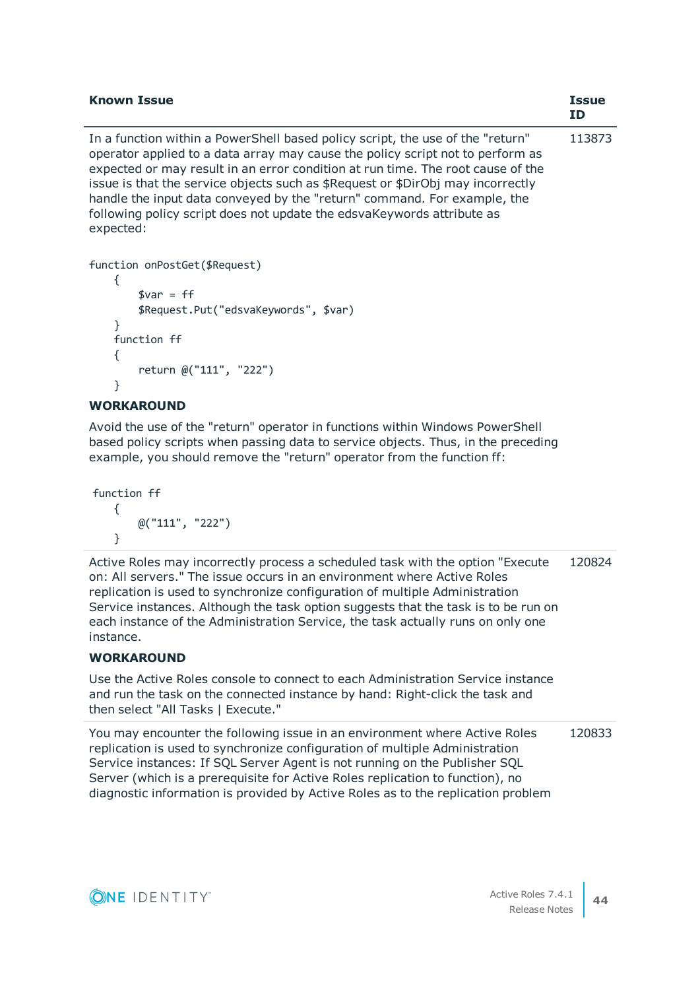| <b>Known Issue</b>                                                                                                                                                                                                                                                                                                                                                                                                                                                                                        | <b>Issue</b><br>ΙD |
|-----------------------------------------------------------------------------------------------------------------------------------------------------------------------------------------------------------------------------------------------------------------------------------------------------------------------------------------------------------------------------------------------------------------------------------------------------------------------------------------------------------|--------------------|
| In a function within a PowerShell based policy script, the use of the "return"<br>operator applied to a data array may cause the policy script not to perform as<br>expected or may result in an error condition at run time. The root cause of the<br>issue is that the service objects such as \$Request or \$DirObj may incorrectly<br>handle the input data conveyed by the "return" command. For example, the<br>following policy script does not update the edsvaKeywords attribute as<br>expected: | 113873             |

```
function onPostGet($Request)
     {
        svar = ff $Request.Put("edsvaKeywords", $var)
     }
     function ff
     {
         return @("111", "222")
     }
```
# **WORKAROUND**

Avoid the use of the "return" operator in functions within Windows PowerShell based policy scripts when passing data to service objects. Thus, in the preceding example, you should remove the "return" operator from the function ff:

```
function ff
    {
         @("111", "222")
     }
```
Active Roles may incorrectly process a scheduled task with the option "Execute on: All servers." The issue occurs in an environment where Active Roles replication is used to synchronize configuration of multiple Administration Service instances. Although the task option suggests that the task is to be run on each instance of the Administration Service, the task actually runs on only one instance. 120824

### **WORKAROUND**

Use the Active Roles console to connect to each Administration Service instance and run the task on the connected instance by hand: Right-click the task and then select "All Tasks | Execute."

You may encounter the following issue in an environment where Active Roles replication is used to synchronize configuration of multiple Administration Service instances: If SQL Server Agent is not running on the Publisher SQL Server (which is a prerequisite for Active Roles replication to function), no diagnostic information is provided by Active Roles as to the replication problem 120833

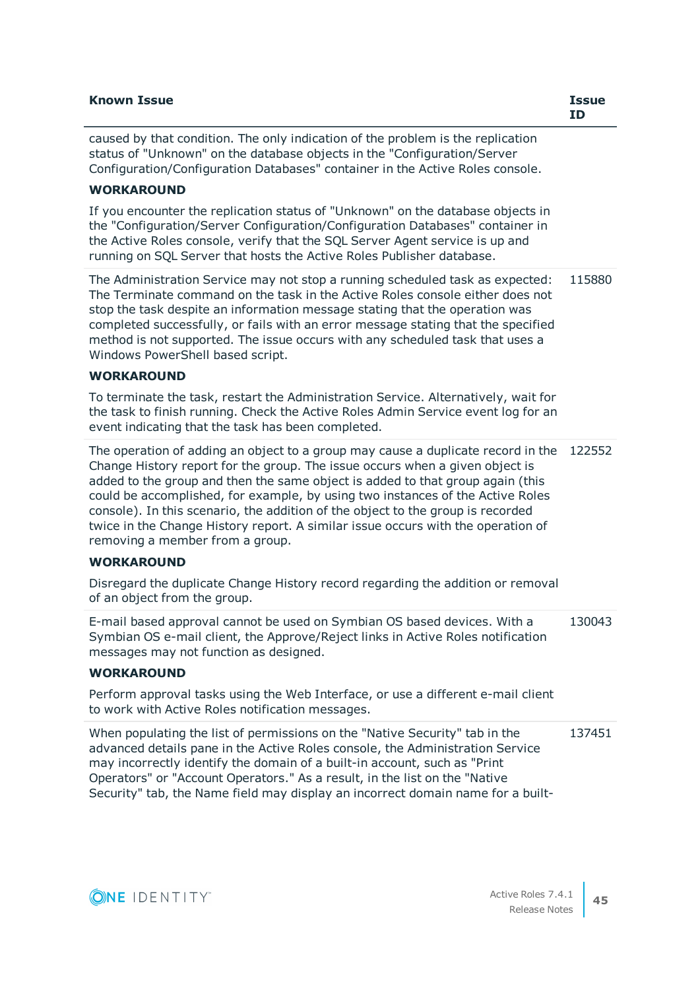| <b>Known Issue</b>                                                                                                                                                                                                                                                                                                                                                                                                                                                                                                                             | <b>Issue</b><br><b>ID</b> |
|------------------------------------------------------------------------------------------------------------------------------------------------------------------------------------------------------------------------------------------------------------------------------------------------------------------------------------------------------------------------------------------------------------------------------------------------------------------------------------------------------------------------------------------------|---------------------------|
| caused by that condition. The only indication of the problem is the replication<br>status of "Unknown" on the database objects in the "Configuration/Server<br>Configuration/Configuration Databases" container in the Active Roles console.                                                                                                                                                                                                                                                                                                   |                           |
| <b>WORKAROUND</b>                                                                                                                                                                                                                                                                                                                                                                                                                                                                                                                              |                           |
| If you encounter the replication status of "Unknown" on the database objects in<br>the "Configuration/Server Configuration/Configuration Databases" container in<br>the Active Roles console, verify that the SQL Server Agent service is up and<br>running on SQL Server that hosts the Active Roles Publisher database.                                                                                                                                                                                                                      |                           |
| The Administration Service may not stop a running scheduled task as expected:<br>The Terminate command on the task in the Active Roles console either does not<br>stop the task despite an information message stating that the operation was<br>completed successfully, or fails with an error message stating that the specified<br>method is not supported. The issue occurs with any scheduled task that uses a<br>Windows PowerShell based script.                                                                                        | 115880                    |
| <b>WORKAROUND</b>                                                                                                                                                                                                                                                                                                                                                                                                                                                                                                                              |                           |
| To terminate the task, restart the Administration Service. Alternatively, wait for<br>the task to finish running. Check the Active Roles Admin Service event log for an<br>event indicating that the task has been completed.                                                                                                                                                                                                                                                                                                                  |                           |
| The operation of adding an object to a group may cause a duplicate record in the<br>Change History report for the group. The issue occurs when a given object is<br>added to the group and then the same object is added to that group again (this<br>could be accomplished, for example, by using two instances of the Active Roles<br>console). In this scenario, the addition of the object to the group is recorded<br>twice in the Change History report. A similar issue occurs with the operation of<br>removing a member from a group. | 122552                    |
| <b>WORKAROUND</b>                                                                                                                                                                                                                                                                                                                                                                                                                                                                                                                              |                           |
| Disregard the duplicate Change History record regarding the addition or removal<br>of an object from the group.                                                                                                                                                                                                                                                                                                                                                                                                                                |                           |
| E-mail based approval cannot be used on Symbian OS based devices. With a<br>Symbian OS e-mail client, the Approve/Reject links in Active Roles notification<br>messages may not function as designed.                                                                                                                                                                                                                                                                                                                                          | 130043                    |
| <b>WORKAROUND</b>                                                                                                                                                                                                                                                                                                                                                                                                                                                                                                                              |                           |
| Perform approval tasks using the Web Interface, or use a different e-mail client<br>to work with Active Roles notification messages.                                                                                                                                                                                                                                                                                                                                                                                                           |                           |
| When populating the list of permissions on the "Native Security" tab in the<br>advanced details pane in the Active Roles console, the Administration Service<br>may incorrectly identify the domain of a built-in account, such as "Print<br>Operators" or "Account Operators." As a result, in the list on the "Native<br>Security" tab, the Name field may display an incorrect domain name for a built-                                                                                                                                     | 137451                    |

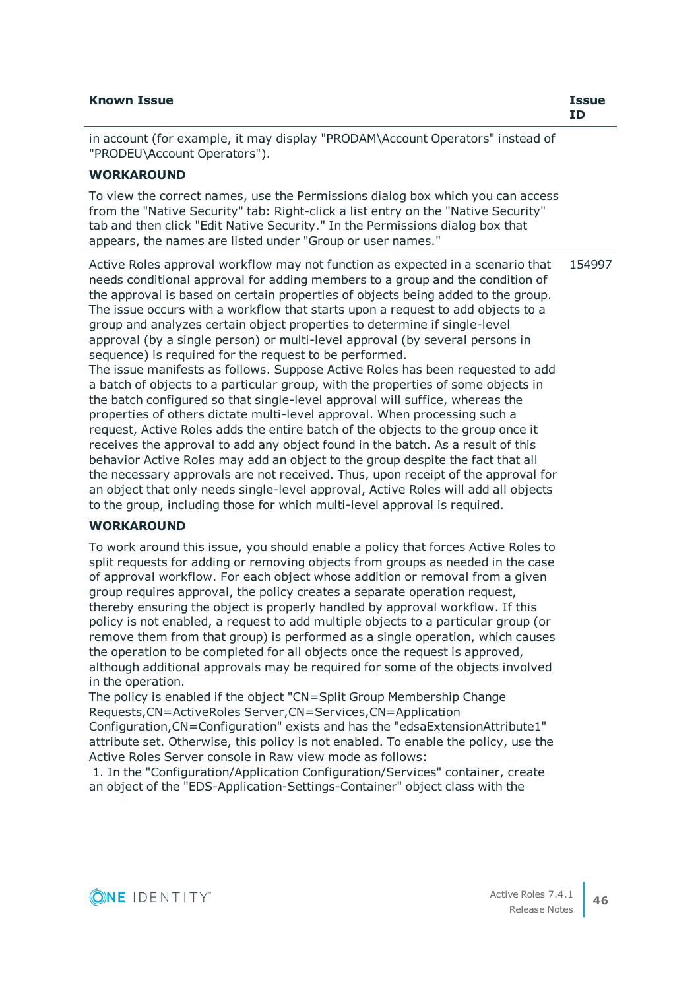| <b>Known Issue</b>                                                                                                                                                                                                                                                                                                                                                                                                  | <b>Issue</b><br>ID |
|---------------------------------------------------------------------------------------------------------------------------------------------------------------------------------------------------------------------------------------------------------------------------------------------------------------------------------------------------------------------------------------------------------------------|--------------------|
| in account (for example, it may display "PRODAM\Account Operators" instead of<br>"PRODEU\Account Operators").                                                                                                                                                                                                                                                                                                       |                    |
| <b>WORKAROUND</b>                                                                                                                                                                                                                                                                                                                                                                                                   |                    |
| To view the correct names, use the Permissions dialog box which you can access<br>from the "Native Security" tab: Right-click a list entry on the "Native Security"<br>tab and then click "Edit Native Security." In the Permissions dialog box that<br>appears, the names are listed under "Group or user names."                                                                                                  |                    |
| Active Roles approval workflow may not function as expected in a scenario that<br>needs conditional approval for adding members to a group and the condition of<br>the approval is based on certain properties of objects being added to the group.<br>The issue occurs with a workflow that starts upon a request to add objects to a<br>group and analyzes certain object properties to determine if single-level | 154997             |

sequence) is required for the request to be performed. The issue manifests as follows. Suppose Active Roles has been requested to add a batch of objects to a particular group, with the properties of some objects in the batch configured so that single-level approval will suffice, whereas the properties of others dictate multi-level approval. When processing such a request, Active Roles adds the entire batch of the objects to the group once it receives the approval to add any object found in the batch. As a result of this behavior Active Roles may add an object to the group despite the fact that all the necessary approvals are not received. Thus, upon receipt of the approval for an object that only needs single-level approval, Active Roles will add all objects to the group, including those for which multi-level approval is required.

approval (by a single person) or multi-level approval (by several persons in

### **WORKAROUND**

To work around this issue, you should enable a policy that forces Active Roles to split requests for adding or removing objects from groups as needed in the case of approval workflow. For each object whose addition or removal from a given group requires approval, the policy creates a separate operation request, thereby ensuring the object is properly handled by approval workflow. If this policy is not enabled, a request to add multiple objects to a particular group (or remove them from that group) is performed as a single operation, which causes the operation to be completed for all objects once the request is approved, although additional approvals may be required for some of the objects involved in the operation.

The policy is enabled if the object "CN=Split Group Membership Change Requests,CN=ActiveRoles Server,CN=Services,CN=Application Configuration,CN=Configuration" exists and has the "edsaExtensionAttribute1" attribute set. Otherwise, this policy is not enabled. To enable the policy, use the Active Roles Server console in Raw view mode as follows:

 1. In the "Configuration/Application Configuration/Services" container, create an object of the "EDS-Application-Settings-Container" object class with the

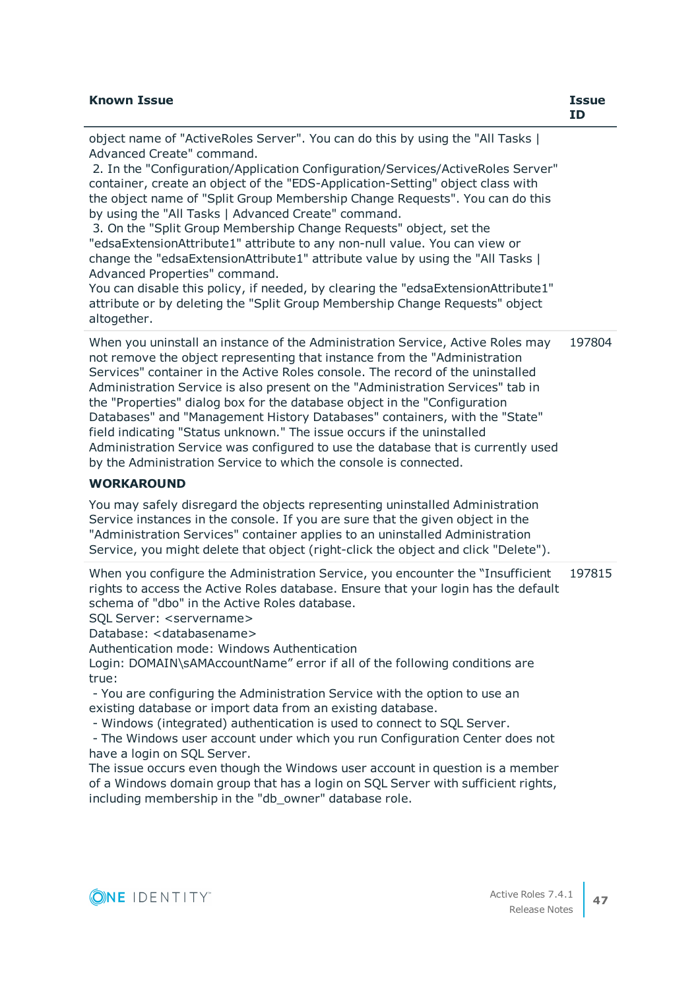| <b>Known Issue</b>                                                                                                                                                                                                                                                                                                                                                                                                                                                                                                                                                                                                                                                                                                                                                                                                                                                                 | <b>Issue</b><br><b>ID</b> |
|------------------------------------------------------------------------------------------------------------------------------------------------------------------------------------------------------------------------------------------------------------------------------------------------------------------------------------------------------------------------------------------------------------------------------------------------------------------------------------------------------------------------------------------------------------------------------------------------------------------------------------------------------------------------------------------------------------------------------------------------------------------------------------------------------------------------------------------------------------------------------------|---------------------------|
| object name of "ActiveRoles Server". You can do this by using the "All Tasks  <br>Advanced Create" command.<br>2. In the "Configuration/Application Configuration/Services/ActiveRoles Server"<br>container, create an object of the "EDS-Application-Setting" object class with<br>the object name of "Split Group Membership Change Requests". You can do this<br>by using the "All Tasks   Advanced Create" command.<br>3. On the "Split Group Membership Change Requests" object, set the<br>"edsaExtensionAttribute1" attribute to any non-null value. You can view or<br>change the "edsaExtensionAttribute1" attribute value by using the "All Tasks  <br>Advanced Properties" command.<br>You can disable this policy, if needed, by clearing the "edsaExtensionAttribute1"<br>attribute or by deleting the "Split Group Membership Change Requests" object<br>altogether. |                           |
| When you uninstall an instance of the Administration Service, Active Roles may<br>not remove the object representing that instance from the "Administration"<br>Services" container in the Active Roles console. The record of the uninstalled<br>Administration Service is also present on the "Administration Services" tab in<br>the "Properties" dialog box for the database object in the "Configuration<br>Databases" and "Management History Databases" containers, with the "State"<br>field indicating "Status unknown." The issue occurs if the uninstalled<br>Administration Service was configured to use the database that is currently used<br>by the Administration Service to which the console is connected.                                                                                                                                                      | 197804                    |
| <b>WORKAROUND</b>                                                                                                                                                                                                                                                                                                                                                                                                                                                                                                                                                                                                                                                                                                                                                                                                                                                                  |                           |

You may safely disregard the objects representing uninstalled Administration Service instances in the console. If you are sure that the given object in the "Administration Services" container applies to an uninstalled Administration Service, you might delete that object (right-click the object and click "Delete").

When you configure the Administration Service, you encounter the "Insufficient rights to access the Active Roles database. Ensure that your login has the default schema of "dbo" in the Active Roles database. 197815

SQL Server: <servername>

Database: <databasename>

Authentication mode: Windows Authentication

Login: DOMAIN\sAMAccountName" error if all of the following conditions are true:

 - You are configuring the Administration Service with the option to use an existing database or import data from an existing database.

- Windows (integrated) authentication is used to connect to SQL Server.

 - The Windows user account under which you run Configuration Center does not have a login on SOL Server.

The issue occurs even though the Windows user account in question is a member of a Windows domain group that has a login on SQL Server with sufficient rights, including membership in the "db\_owner" database role.

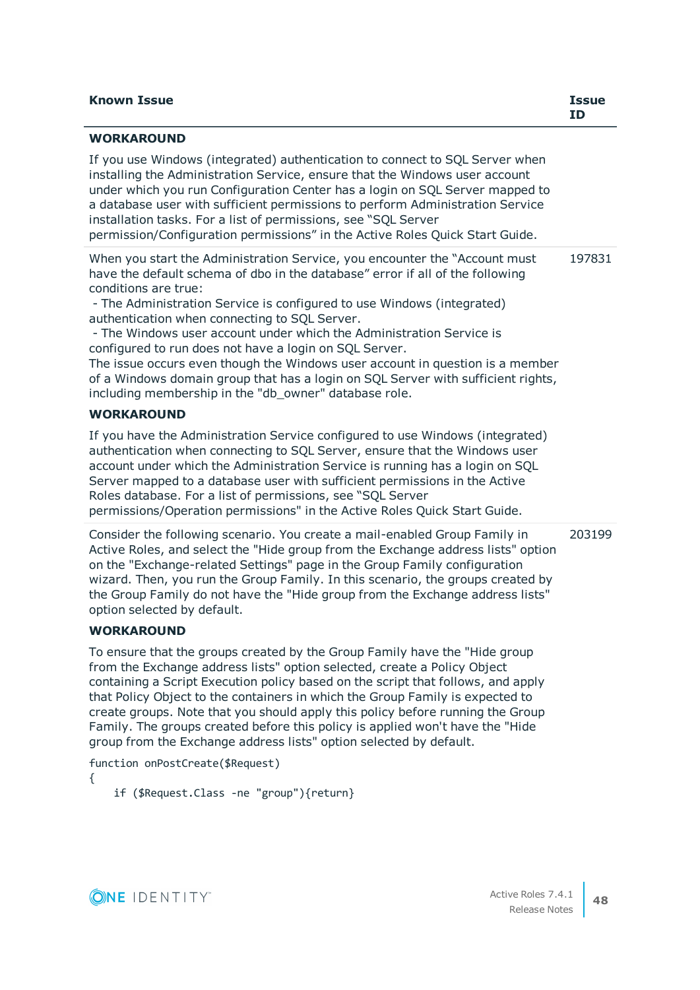| <b>Known Issue</b> | Issue<br>ΙD |
|--------------------|-------------|
| <b>WORKAROUND</b>  |             |

If you use Windows (integrated) authentication to connect to SQL Server when installing the Administration Service, ensure that the Windows user account under which you run Configuration Center has a login on SQL Server mapped to a database user with sufficient permissions to perform Administration Service installation tasks. For a list of permissions, see "SQL Server permission/Configuration permissions" in the Active Roles Quick Start Guide.

When you start the Administration Service, you encounter the "Account must have the default schema of dbo in the database" error if all of the following conditions are true: 197831

 - The Administration Service is configured to use Windows (integrated) authentication when connecting to SQL Server.

 - The Windows user account under which the Administration Service is configured to run does not have a login on SQL Server.

The issue occurs even though the Windows user account in question is a member of a Windows domain group that has a login on SQL Server with sufficient rights, including membership in the "db\_owner" database role.

# **WORKAROUND**

If you have the Administration Service configured to use Windows (integrated) authentication when connecting to SQL Server, ensure that the Windows user account under which the Administration Service is running has a login on SQL Server mapped to a database user with sufficient permissions in the Active Roles database. For a list of permissions, see "SQL Server permissions/Operation permissions" in the Active Roles Quick Start Guide.

203199

Consider the following scenario. You create a mail-enabled Group Family in Active Roles, and select the "Hide group from the Exchange address lists" option on the "Exchange-related Settings" page in the Group Family configuration wizard. Then, you run the Group Family. In this scenario, the groups created by the Group Family do not have the "Hide group from the Exchange address lists" option selected by default.

# **WORKAROUND**

To ensure that the groups created by the Group Family have the "Hide group from the Exchange address lists" option selected, create a Policy Object containing a Script Execution policy based on the script that follows, and apply that Policy Object to the containers in which the Group Family is expected to create groups. Note that you should apply this policy before running the Group Family. The groups created before this policy is applied won't have the "Hide group from the Exchange address lists" option selected by default.

function onPostCreate(\$Request) { if (\$Request.Class -ne "group"){return}

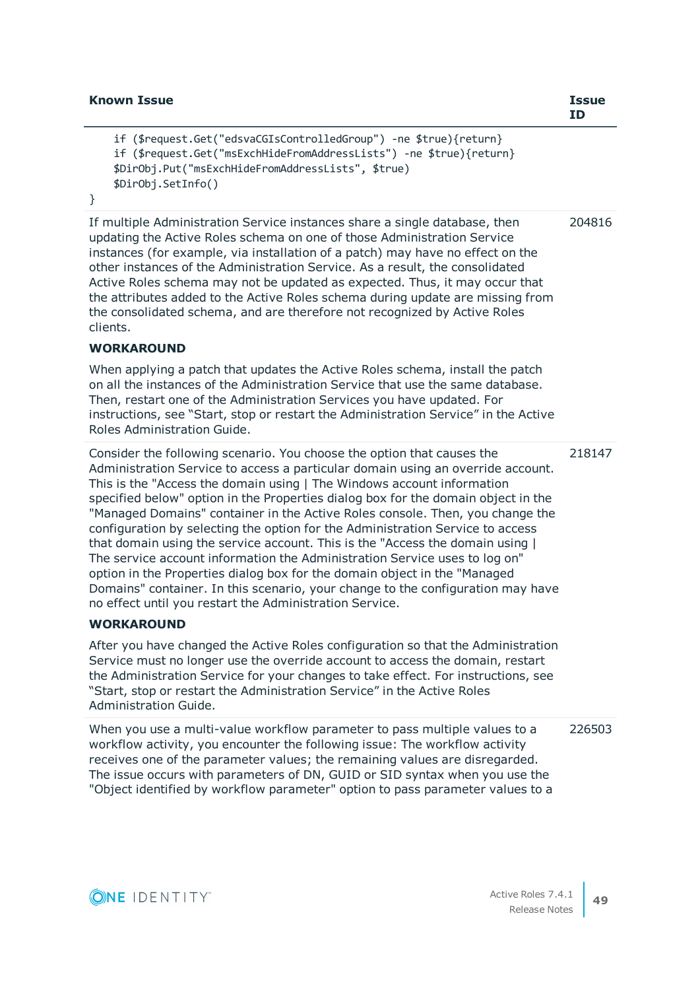}

```
 if ($request.Get("edsvaCGIsControlledGroup") -ne $true){return}
 if ($request.Get("msExchHideFromAddressLists") -ne $true){return}
 $DirObj.Put("msExchHideFromAddressLists", $true)
 $DirObj.SetInfo()
```
204816

If multiple Administration Service instances share a single database, then updating the Active Roles schema on one of those Administration Service instances (for example, via installation of a patch) may have no effect on the other instances of the Administration Service. As a result, the consolidated Active Roles schema may not be updated as expected. Thus, it may occur that the attributes added to the Active Roles schema during update are missing from the consolidated schema, and are therefore not recognized by Active Roles clients.

## **WORKAROUND**

When applying a patch that updates the Active Roles schema, install the patch on all the instances of the Administration Service that use the same database. Then, restart one of the Administration Services you have updated. For instructions, see "Start, stop or restart the Administration Service" in the Active Roles Administration Guide.

Consider the following scenario. You choose the option that causes the Administration Service to access a particular domain using an override account. This is the "Access the domain using | The Windows account information specified below" option in the Properties dialog box for the domain object in the "Managed Domains" container in the Active Roles console. Then, you change the configuration by selecting the option for the Administration Service to access that domain using the service account. This is the "Access the domain using | The service account information the Administration Service uses to log on" option in the Properties dialog box for the domain object in the "Managed Domains" container. In this scenario, your change to the configuration may have no effect until you restart the Administration Service. 218147

## **WORKAROUND**

After you have changed the Active Roles configuration so that the Administration Service must no longer use the override account to access the domain, restart the Administration Service for your changes to take effect. For instructions, see "Start, stop or restart the Administration Service" in the Active Roles Administration Guide.

When you use a multi-value workflow parameter to pass multiple values to a workflow activity, you encounter the following issue: The workflow activity receives one of the parameter values; the remaining values are disregarded. The issue occurs with parameters of DN, GUID or SID syntax when you use the "Object identified by workflow parameter" option to pass parameter values to a 226503

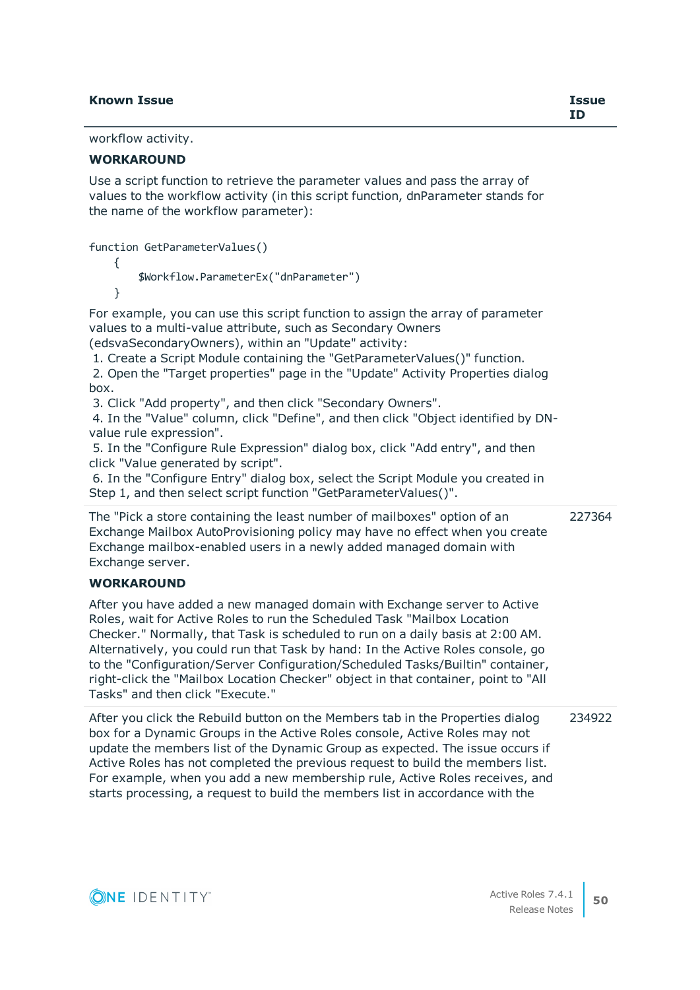### **Known Issue Issue**

workflow activity.

### **WORKAROUND**

Use a script function to retrieve the parameter values and pass the array of values to the workflow activity (in this script function, dnParameter stands for the name of the workflow parameter):

function GetParameterValues()

{

\$Workflow.ParameterEx("dnParameter")

}

For example, you can use this script function to assign the array of parameter values to a multi-value attribute, such as Secondary Owners (edsvaSecondaryOwners), within an "Update" activity:

 1. Create a Script Module containing the "GetParameterValues()" function. 2. Open the "Target properties" page in the "Update" Activity Properties dialog

box. 3. Click "Add property", and then click "Secondary Owners".

 4. In the "Value" column, click "Define", and then click "Object identified by DNvalue rule expression".

 5. In the "Configure Rule Expression" dialog box, click "Add entry", and then click "Value generated by script".

 6. In the "Configure Entry" dialog box, select the Script Module you created in Step 1, and then select script function "GetParameterValues()".

The "Pick a store containing the least number of mailboxes" option of an Exchange Mailbox AutoProvisioning policy may have no effect when you create Exchange mailbox-enabled users in a newly added managed domain with Exchange server. 227364

### **WORKAROUND**

After you have added a new managed domain with Exchange server to Active Roles, wait for Active Roles to run the Scheduled Task "Mailbox Location Checker." Normally, that Task is scheduled to run on a daily basis at 2:00 AM. Alternatively, you could run that Task by hand: In the Active Roles console, go to the "Configuration/Server Configuration/Scheduled Tasks/Builtin" container, right-click the "Mailbox Location Checker" object in that container, point to "All Tasks" and then click "Execute."

After you click the Rebuild button on the Members tab in the Properties dialog box for a Dynamic Groups in the Active Roles console, Active Roles may not update the members list of the Dynamic Group as expected. The issue occurs if Active Roles has not completed the previous request to build the members list. For example, when you add a new membership rule, Active Roles receives, and starts processing, a request to build the members list in accordance with the 234922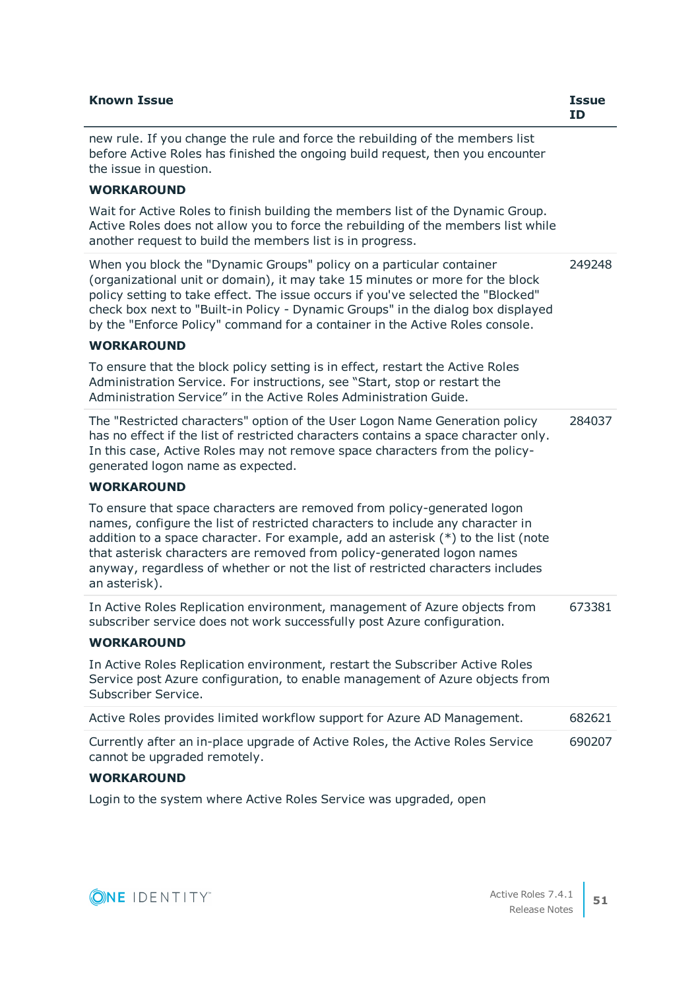| <b>Known Issue</b>                                                                                                                                                                                                                                                                                                                                                                                                             | <b>Issue</b><br><b>ID</b> |
|--------------------------------------------------------------------------------------------------------------------------------------------------------------------------------------------------------------------------------------------------------------------------------------------------------------------------------------------------------------------------------------------------------------------------------|---------------------------|
| new rule. If you change the rule and force the rebuilding of the members list<br>before Active Roles has finished the ongoing build request, then you encounter<br>the issue in question.                                                                                                                                                                                                                                      |                           |
| <b>WORKAROUND</b>                                                                                                                                                                                                                                                                                                                                                                                                              |                           |
| Wait for Active Roles to finish building the members list of the Dynamic Group.<br>Active Roles does not allow you to force the rebuilding of the members list while<br>another request to build the members list is in progress.                                                                                                                                                                                              |                           |
| When you block the "Dynamic Groups" policy on a particular container<br>(organizational unit or domain), it may take 15 minutes or more for the block<br>policy setting to take effect. The issue occurs if you've selected the "Blocked"<br>check box next to "Built-in Policy - Dynamic Groups" in the dialog box displayed<br>by the "Enforce Policy" command for a container in the Active Roles console.                  | 249248                    |
| <b>WORKAROUND</b>                                                                                                                                                                                                                                                                                                                                                                                                              |                           |
| To ensure that the block policy setting is in effect, restart the Active Roles<br>Administration Service. For instructions, see "Start, stop or restart the<br>Administration Service" in the Active Roles Administration Guide.                                                                                                                                                                                               |                           |
| The "Restricted characters" option of the User Logon Name Generation policy<br>has no effect if the list of restricted characters contains a space character only.<br>In this case, Active Roles may not remove space characters from the policy-<br>generated logon name as expected.                                                                                                                                         | 284037                    |
| <b>WORKAROUND</b>                                                                                                                                                                                                                                                                                                                                                                                                              |                           |
| To ensure that space characters are removed from policy-generated logon<br>names, configure the list of restricted characters to include any character in<br>addition to a space character. For example, add an asterisk $(*)$ to the list (note<br>that asterisk characters are removed from policy-generated logon names<br>anyway, regardless of whether or not the list of restricted characters includes<br>an asterisk). |                           |
| In Active Roles Replication environment, management of Azure objects from<br>subscriber service does not work successfully post Azure configuration.                                                                                                                                                                                                                                                                           | 673381                    |
| <b>WORKAROUND</b>                                                                                                                                                                                                                                                                                                                                                                                                              |                           |
| In Active Roles Replication environment, restart the Subscriber Active Roles<br>Service post Azure configuration, to enable management of Azure objects from<br>Subscriber Service.                                                                                                                                                                                                                                            |                           |
| Active Roles provides limited workflow support for Azure AD Management.                                                                                                                                                                                                                                                                                                                                                        | 682621                    |
| Currently after an in-place upgrade of Active Roles, the Active Roles Service<br>cannot be upgraded remotely.                                                                                                                                                                                                                                                                                                                  | 690207                    |
| <b>WORKAROUND</b>                                                                                                                                                                                                                                                                                                                                                                                                              |                           |

Login to the system where Active Roles Service was upgraded, open

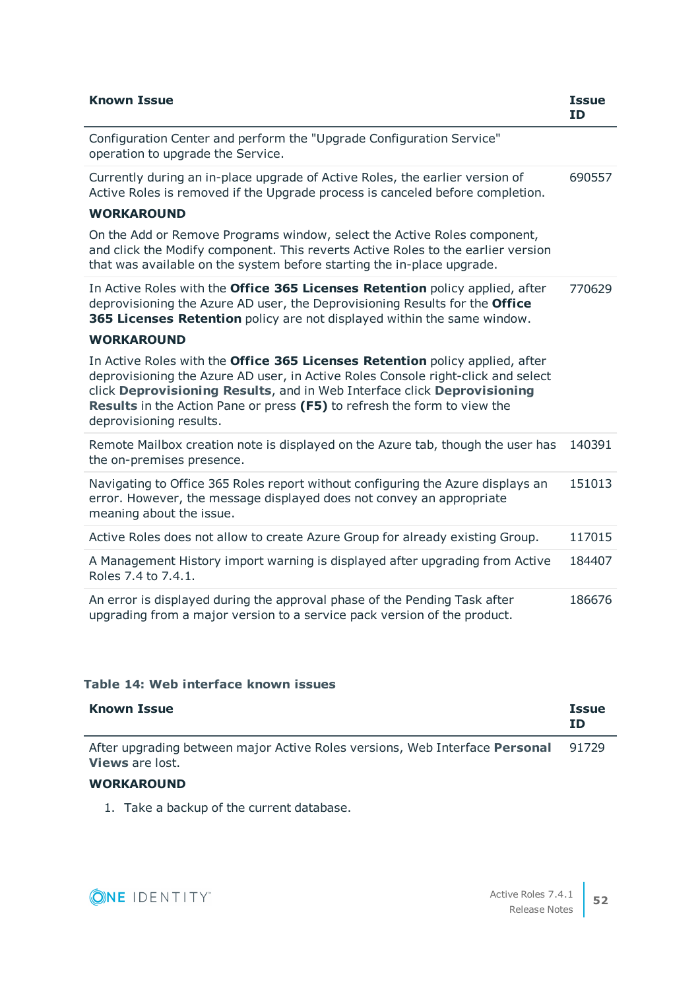| <b>Known Issue</b>                                                                                                                                                                                                                                                                                                                                 | <b>Issue</b><br><b>ID</b> |
|----------------------------------------------------------------------------------------------------------------------------------------------------------------------------------------------------------------------------------------------------------------------------------------------------------------------------------------------------|---------------------------|
| Configuration Center and perform the "Upgrade Configuration Service"<br>operation to upgrade the Service.                                                                                                                                                                                                                                          |                           |
| Currently during an in-place upgrade of Active Roles, the earlier version of<br>Active Roles is removed if the Upgrade process is canceled before completion.                                                                                                                                                                                      | 690557                    |
| <b>WORKAROUND</b>                                                                                                                                                                                                                                                                                                                                  |                           |
| On the Add or Remove Programs window, select the Active Roles component,<br>and click the Modify component. This reverts Active Roles to the earlier version<br>that was available on the system before starting the in-place upgrade.                                                                                                             |                           |
| In Active Roles with the Office 365 Licenses Retention policy applied, after<br>deprovisioning the Azure AD user, the Deprovisioning Results for the Office<br>365 Licenses Retention policy are not displayed within the same window.                                                                                                             | 770629                    |
| <b>WORKAROUND</b>                                                                                                                                                                                                                                                                                                                                  |                           |
| In Active Roles with the Office 365 Licenses Retention policy applied, after<br>deprovisioning the Azure AD user, in Active Roles Console right-click and select<br>click Deprovisioning Results, and in Web Interface click Deprovisioning<br>Results in the Action Pane or press (F5) to refresh the form to view the<br>deprovisioning results. |                           |
| Remote Mailbox creation note is displayed on the Azure tab, though the user has<br>the on-premises presence.                                                                                                                                                                                                                                       | 140391                    |
| Navigating to Office 365 Roles report without configuring the Azure displays an<br>error. However, the message displayed does not convey an appropriate<br>meaning about the issue.                                                                                                                                                                | 151013                    |
| Active Roles does not allow to create Azure Group for already existing Group.                                                                                                                                                                                                                                                                      | 117015                    |
| A Management History import warning is displayed after upgrading from Active<br>Roles 7.4 to 7.4.1.                                                                                                                                                                                                                                                | 184407                    |
| An error is displayed during the approval phase of the Pending Task after<br>upgrading from a major version to a service pack version of the product.                                                                                                                                                                                              | 186676                    |

### **Table 14: Web interface known issues**

| <b>Known Issue</b>                                                                                           | <b>Issue</b><br>ΙD |
|--------------------------------------------------------------------------------------------------------------|--------------------|
| After upgrading between major Active Roles versions, Web Interface <b>Personal</b><br><b>Views</b> are lost. | 91729              |
|                                                                                                              |                    |

# **WORKAROUND**

1. Take a backup of the current database.

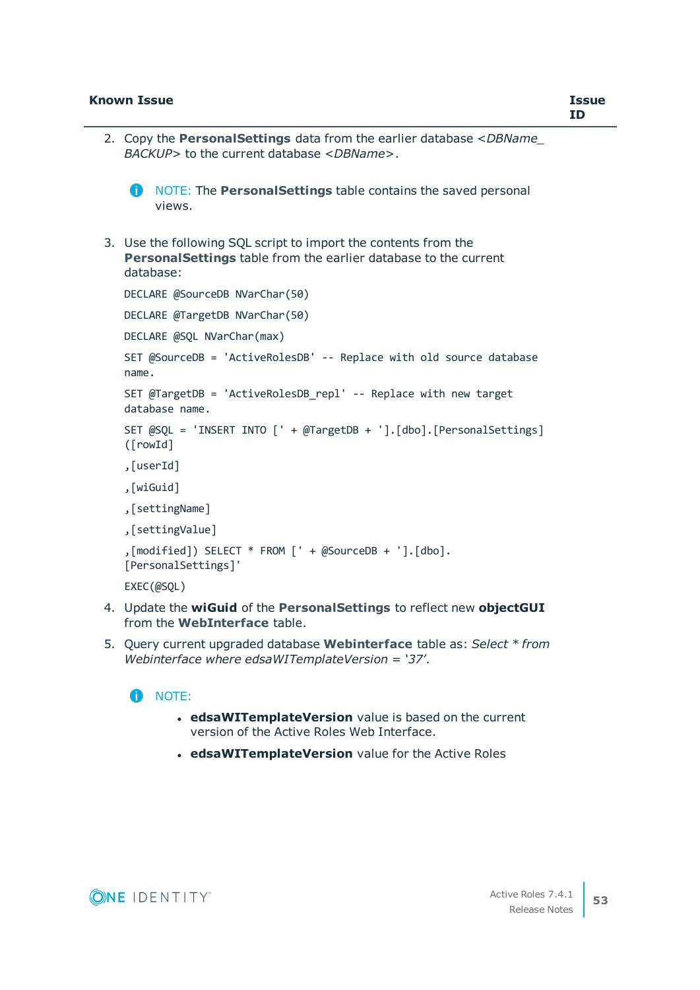- 2. Copy the **PersonalSettings** data from the earlier database <*DBName\_ BACKUP*> to the current database <*DBName*>.
	- **n** NOTE: The **Personal Settings** table contains the saved personal views.
- 3. Use the following SQL script to import the contents from the **PersonalSettings** table from the earlier database to the current database:

```
DECLARE @SourceDB NVarChar(50)
DECLARE @TargetDB NVarChar(50)
DECLARE @SQL NVarChar(max)
SET @SourceDB = 'ActiveRolesDB' -- Replace with old source database
name.
SET @TargetDB = 'ActiveRolesDB_repl' -- Replace with new target
database name.
SET @SQL = 'INSERT INTO [' + @TargetDB + '].[dbo].[PersonalSettings]
([rowId]
,[userId]
,[wiGuid]
,[settingName]
,[settingValue]
,[modified]) SELECT * FROM [' + @SourceDB + '].[dbo].
[PersonalSettings]'
EXEC(@SQL)
```
- 4. Update the **wiGuid** of the **PersonalSettings** to reflect new **objectGUI** from the **WebInterface** table.
- 5. Query current upgraded database **Webinterface** table as: *Select \* from Webinterface where edsaWITemplateVersion = '37'*.

### **n** NOTE:

- **edsaWITemplateVersion** value is based on the current version of the Active Roles Web Interface.
- **edsaWITemplateVersion** value for the Active Roles

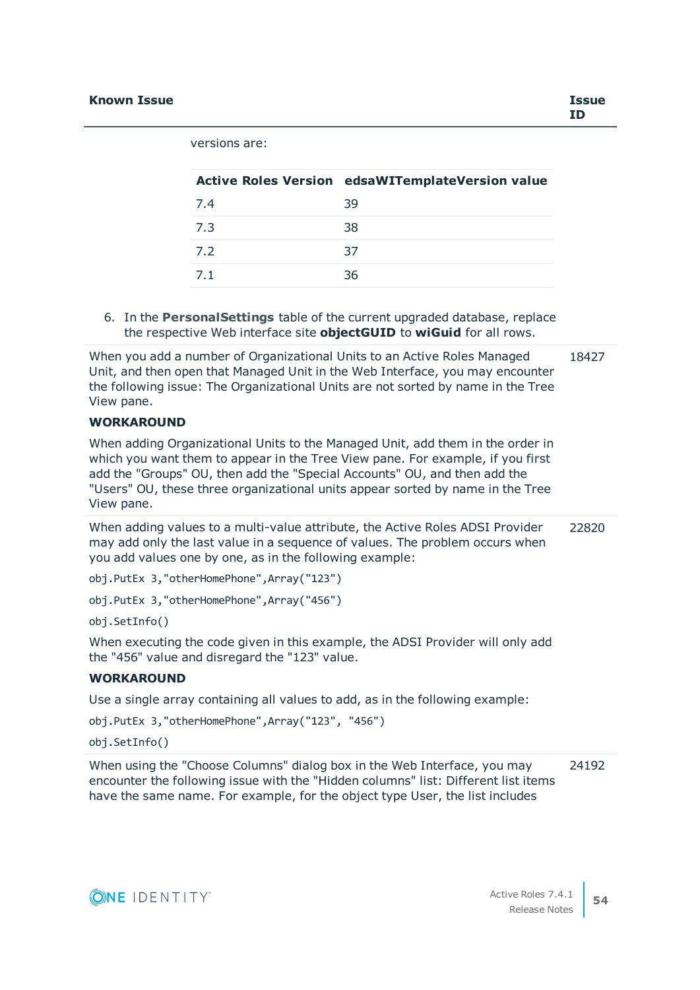versions are:

|     | Active Roles Version edsaWITemplateVersion value |
|-----|--------------------------------------------------|
| 7.4 | 39                                               |
| 7.3 | 38                                               |
| 7.2 | 37                                               |
| 7.1 | 36                                               |

6. In the **PersonalSettings** table of the current upgraded database, replace the respective Web interface site **objectGUID** to **wiGuid** for all rows.

When you add a number of Organizational Units to an Active Roles Managed Unit, and then open that Managed Unit in the Web Interface, you may encounter the following issue: The Organizational Units are not sorted by name in the Tree View pane. 18427

### **WORKAROUND**

When adding Organizational Units to the Managed Unit, add them in the order in which you want them to appear in the Tree View pane. For example, if you first add the "Groups" OU, then add the "Special Accounts" OU, and then add the "Users" OU, these three organizational units appear sorted by name in the Tree View pane.

When adding values to a multi-value attribute, the Active Roles ADSI Provider may add only the last value in a sequence of values. The problem occurs when you add values one by one, as in the following example: 22820

obj.PutEx 3,"otherHomePhone",Array("123")

obj.PutEx 3,"otherHomePhone",Array("456")

obj.SetInfo()

When executing the code given in this example, the ADSI Provider will only add the "456" value and disregard the "123" value.

### **WORKAROUND**

Use a single array containing all values to add, as in the following example:

obj.PutEx 3,"otherHomePhone",Array("123", "456")

obj.SetInfo()

When using the "Choose Columns" dialog box in the Web Interface, you may encounter the following issue with the "Hidden columns" list: Different list items have the same name. For example, for the object type User, the list includes 24192

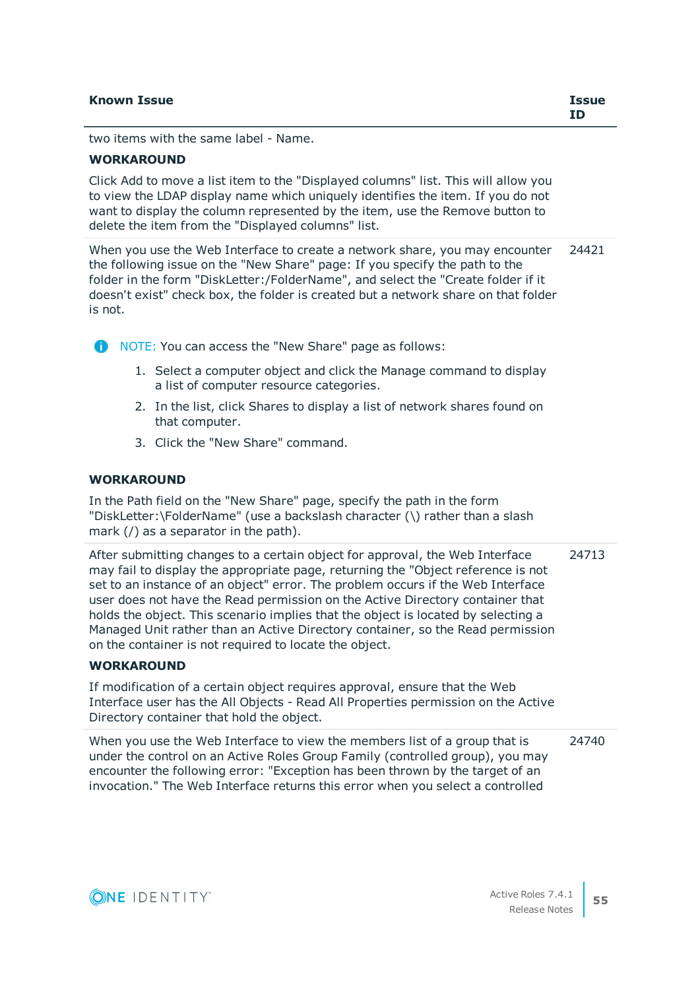two items with the same label - Name.

## **WORKAROUND**

Click Add to move a list item to the "Displayed columns" list. This will allow you to view the LDAP display name which uniquely identifies the item. If you do not want to display the column represented by the item, use the Remove button to delete the item from the "Displayed columns" list.

When you use the Web Interface to create a network share, you may encounter the following issue on the "New Share" page: If you specify the path to the folder in the form "DiskLetter:/FolderName", and select the "Create folder if it doesn't exist" check box, the folder is created but a network share on that folder is not. 24421

**CO** NOTE: You can access the "New Share" page as follows:

- 1. Select a computer object and click the Manage command to display a list of computer resource categories.
- 2. In the list, click Shares to display a list of network shares found on that computer.
- 3. Click the "New Share" command.

## **WORKAROUND**

In the Path field on the "New Share" page, specify the path in the form "DiskLetter:\FolderName" (use a backslash character (\) rather than a slash mark (/) as a separator in the path).

After submitting changes to a certain object for approval, the Web Interface may fail to display the appropriate page, returning the "Object reference is not set to an instance of an object" error. The problem occurs if the Web Interface user does not have the Read permission on the Active Directory container that holds the object. This scenario implies that the object is located by selecting a Managed Unit rather than an Active Directory container, so the Read permission on the container is not required to locate the object. 24713

## **WORKAROUND**

If modification of a certain object requires approval, ensure that the Web Interface user has the All Objects - Read All Properties permission on the Active Directory container that hold the object.

When you use the Web Interface to view the members list of a group that is under the control on an Active Roles Group Family (controlled group), you may encounter the following error: "Exception has been thrown by the target of an invocation." The Web Interface returns this error when you select a controlled 24740

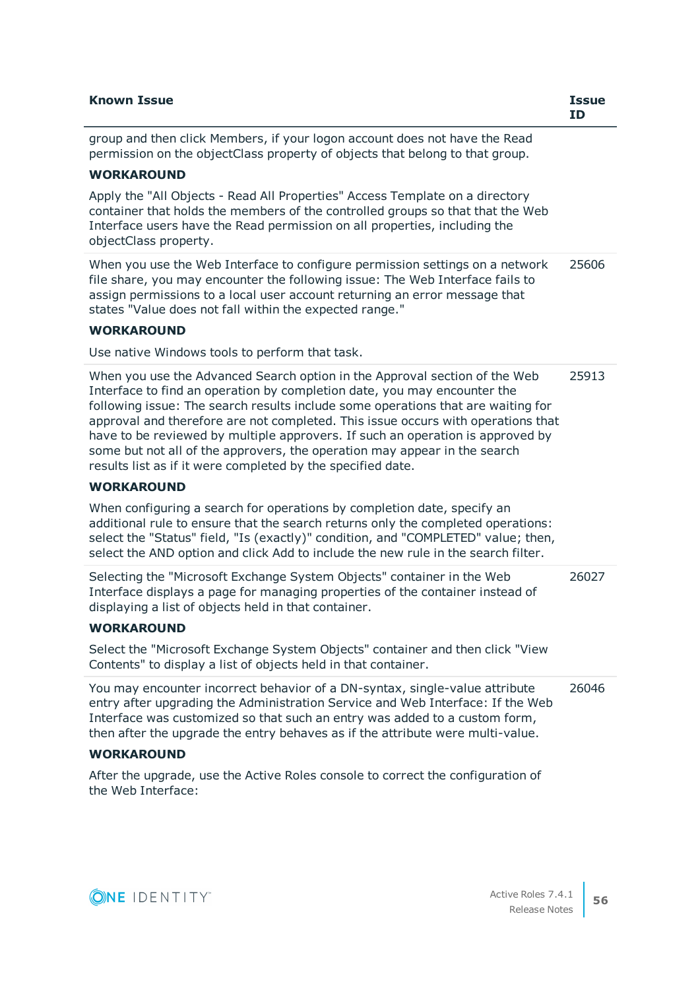| <b>Known Issue</b>                                                                                                                                                                                                                                                                                                                                                                                                                                                                                                                                           | <b>Issue</b><br><b>ID</b> |
|--------------------------------------------------------------------------------------------------------------------------------------------------------------------------------------------------------------------------------------------------------------------------------------------------------------------------------------------------------------------------------------------------------------------------------------------------------------------------------------------------------------------------------------------------------------|---------------------------|
| group and then click Members, if your logon account does not have the Read<br>permission on the objectClass property of objects that belong to that group.                                                                                                                                                                                                                                                                                                                                                                                                   |                           |
| <b>WORKAROUND</b>                                                                                                                                                                                                                                                                                                                                                                                                                                                                                                                                            |                           |
| Apply the "All Objects - Read All Properties" Access Template on a directory<br>container that holds the members of the controlled groups so that that the Web<br>Interface users have the Read permission on all properties, including the<br>objectClass property.                                                                                                                                                                                                                                                                                         |                           |
| When you use the Web Interface to configure permission settings on a network<br>file share, you may encounter the following issue: The Web Interface fails to<br>assign permissions to a local user account returning an error message that<br>states "Value does not fall within the expected range."                                                                                                                                                                                                                                                       | 25606                     |
| <b>WORKAROUND</b>                                                                                                                                                                                                                                                                                                                                                                                                                                                                                                                                            |                           |
| Use native Windows tools to perform that task.                                                                                                                                                                                                                                                                                                                                                                                                                                                                                                               |                           |
| When you use the Advanced Search option in the Approval section of the Web<br>Interface to find an operation by completion date, you may encounter the<br>following issue: The search results include some operations that are waiting for<br>approval and therefore are not completed. This issue occurs with operations that<br>have to be reviewed by multiple approvers. If such an operation is approved by<br>some but not all of the approvers, the operation may appear in the search<br>results list as if it were completed by the specified date. | 25913                     |
| <b>WORKAROUND</b>                                                                                                                                                                                                                                                                                                                                                                                                                                                                                                                                            |                           |
| When configuring a search for operations by completion date, specify an<br>additional rule to ensure that the search returns only the completed operations:<br>select the "Status" field, "Is (exactly)" condition, and "COMPLETED" value; then,<br>select the AND option and click Add to include the new rule in the search filter.                                                                                                                                                                                                                        |                           |
| Selecting the "Microsoft Exchange System Objects" container in the Web<br>Interface displays a page for managing properties of the container instead of<br>displaying a list of objects held in that container.                                                                                                                                                                                                                                                                                                                                              | 26027                     |
| <b>WORKAROUND</b>                                                                                                                                                                                                                                                                                                                                                                                                                                                                                                                                            |                           |
| Select the "Microsoft Exchange System Objects" container and then click "View<br>Contents" to display a list of objects held in that container.                                                                                                                                                                                                                                                                                                                                                                                                              |                           |
| You may encounter incorrect behavior of a DN-syntax, single-value attribute<br>entry after upgrading the Administration Service and Web Interface: If the Web<br>Interface was customized so that such an entry was added to a custom form,<br>then after the upgrade the entry behaves as if the attribute were multi-value.                                                                                                                                                                                                                                | 26046                     |
| <b>WORKAROUND</b>                                                                                                                                                                                                                                                                                                                                                                                                                                                                                                                                            |                           |
| After the ungrade use the Active Roles console to correct the configuration of                                                                                                                                                                                                                                                                                                                                                                                                                                                                               |                           |

After the upgrade, use the Active Roles console to correct the configuration of the Web Interface:

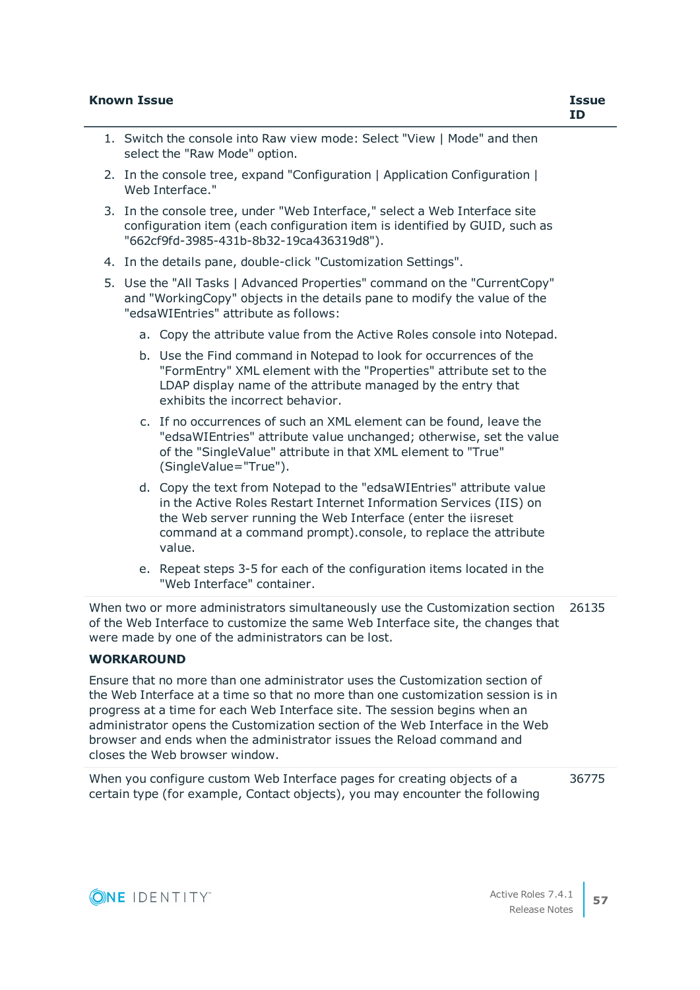- 2. In the console tree, expand "Configuration | Application Configuration | Web Interface."
- 3. In the console tree, under "Web Interface," select a Web Interface site configuration item (each configuration item is identified by GUID, such as "662cf9fd-3985-431b-8b32-19ca436319d8").
- 4. In the details pane, double-click "Customization Settings".
- 5. Use the "All Tasks | Advanced Properties" command on the "CurrentCopy" and "WorkingCopy" objects in the details pane to modify the value of the "edsaWIEntries" attribute as follows:
	- a. Copy the attribute value from the Active Roles console into Notepad.
	- b. Use the Find command in Notepad to look for occurrences of the "FormEntry" XML element with the "Properties" attribute set to the LDAP display name of the attribute managed by the entry that exhibits the incorrect behavior.
	- c. If no occurrences of such an XML element can be found, leave the "edsaWIEntries" attribute value unchanged; otherwise, set the value of the "SingleValue" attribute in that XML element to "True" (SingleValue="True").
	- d. Copy the text from Notepad to the "edsaWIEntries" attribute value in the Active Roles Restart Internet Information Services (IIS) on the Web server running the Web Interface (enter the iisreset command at a command prompt).console, to replace the attribute value.
	- e. Repeat steps 3-5 for each of the configuration items located in the "Web Interface" container.

When two or more administrators simultaneously use the Customization section 26135 of the Web Interface to customize the same Web Interface site, the changes that were made by one of the administrators can be lost.

### **WORKAROUND**

Ensure that no more than one administrator uses the Customization section of the Web Interface at a time so that no more than one customization session is in progress at a time for each Web Interface site. The session begins when an administrator opens the Customization section of the Web Interface in the Web browser and ends when the administrator issues the Reload command and closes the Web browser window.

When you configure custom Web Interface pages for creating objects of a certain type (for example, Contact objects), you may encounter the following 36775

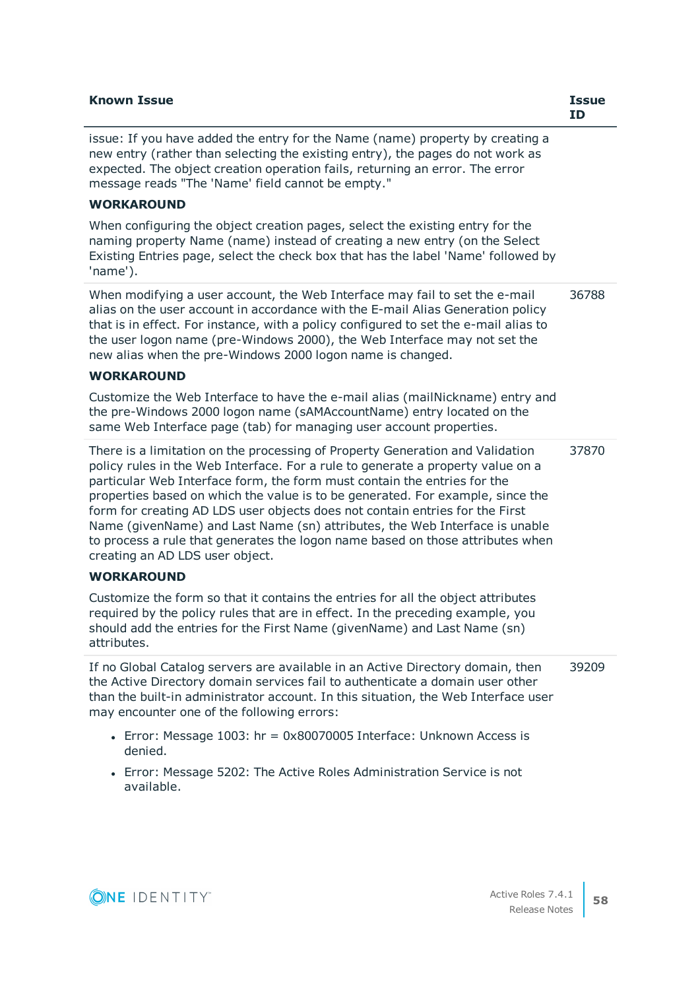| <b>Known Issue</b>                                                                                                                                                                                                                                                                                                                                                                                                                                                                                                                                                                                                 | <b>Issue</b><br><b>ID</b> |
|--------------------------------------------------------------------------------------------------------------------------------------------------------------------------------------------------------------------------------------------------------------------------------------------------------------------------------------------------------------------------------------------------------------------------------------------------------------------------------------------------------------------------------------------------------------------------------------------------------------------|---------------------------|
| issue: If you have added the entry for the Name (name) property by creating a<br>new entry (rather than selecting the existing entry), the pages do not work as<br>expected. The object creation operation fails, returning an error. The error<br>message reads "The 'Name' field cannot be empty."<br><b>WORKAROUND</b>                                                                                                                                                                                                                                                                                          |                           |
|                                                                                                                                                                                                                                                                                                                                                                                                                                                                                                                                                                                                                    |                           |
| When configuring the object creation pages, select the existing entry for the<br>naming property Name (name) instead of creating a new entry (on the Select<br>Existing Entries page, select the check box that has the label 'Name' followed by<br>'name').                                                                                                                                                                                                                                                                                                                                                       |                           |
| When modifying a user account, the Web Interface may fail to set the e-mail<br>alias on the user account in accordance with the E-mail Alias Generation policy<br>that is in effect. For instance, with a policy configured to set the e-mail alias to<br>the user logon name (pre-Windows 2000), the Web Interface may not set the<br>new alias when the pre-Windows 2000 logon name is changed.                                                                                                                                                                                                                  | 36788                     |
| <b>WORKAROUND</b>                                                                                                                                                                                                                                                                                                                                                                                                                                                                                                                                                                                                  |                           |
| Customize the Web Interface to have the e-mail alias (mailNickname) entry and<br>the pre-Windows 2000 logon name (sAMAccountName) entry located on the<br>same Web Interface page (tab) for managing user account properties.                                                                                                                                                                                                                                                                                                                                                                                      |                           |
| There is a limitation on the processing of Property Generation and Validation<br>policy rules in the Web Interface. For a rule to generate a property value on a<br>particular Web Interface form, the form must contain the entries for the<br>properties based on which the value is to be generated. For example, since the<br>form for creating AD LDS user objects does not contain entries for the First<br>Name (givenName) and Last Name (sn) attributes, the Web Interface is unable<br>to process a rule that generates the logon name based on those attributes when<br>creating an AD LDS user object. | 37870                     |
| <b>WORKAROUND</b>                                                                                                                                                                                                                                                                                                                                                                                                                                                                                                                                                                                                  |                           |
| Customize the form so that it contains the entries for all the object attributes<br>required by the policy rules that are in effect. In the preceding example, you<br>should add the entries for the First Name (givenName) and Last Name (sn)<br>attributes.                                                                                                                                                                                                                                                                                                                                                      |                           |
| If no Global Catalog servers are available in an Active Directory domain, then<br>the Active Directory domain services fail to authenticate a domain user other<br>than the built-in administrator account. In this situation, the Web Interface user<br>may encounter one of the following errors:                                                                                                                                                                                                                                                                                                                | 39209                     |
| • Error: Message 1003: hr = 0x80070005 Interface: Unknown Access is<br>denied.                                                                                                                                                                                                                                                                                                                                                                                                                                                                                                                                     |                           |
| • Error: Message 5202: The Active Roles Administration Service is not<br>available.                                                                                                                                                                                                                                                                                                                                                                                                                                                                                                                                |                           |

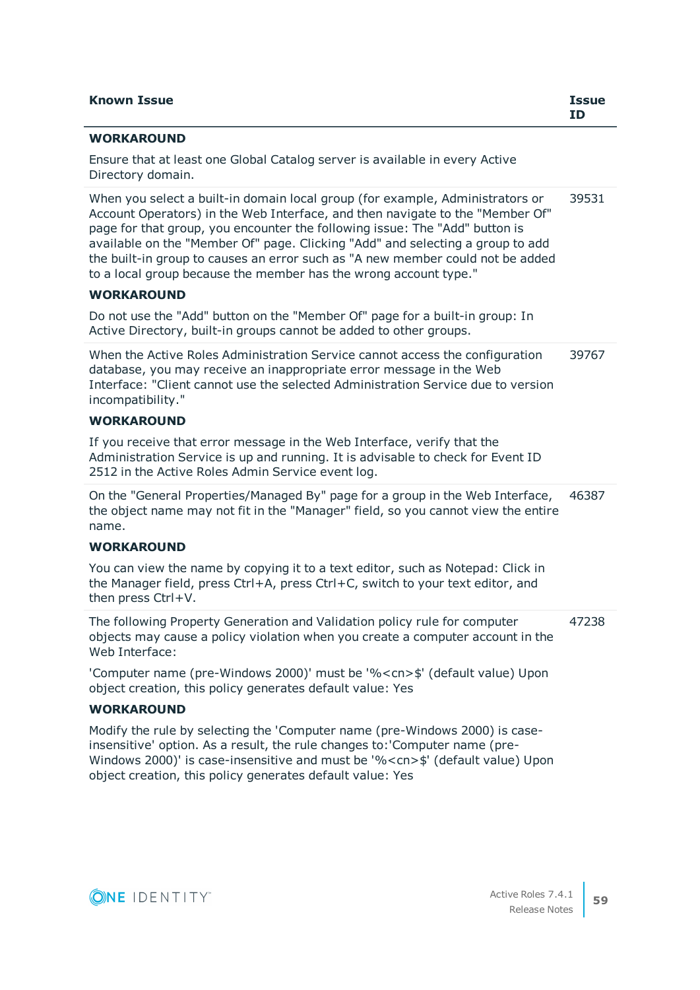| <b>Known Issue</b>                                                                                                                                                                                                                                                                                                                                                                                                                                                                    | <b>Issue</b><br><b>ID</b> |
|---------------------------------------------------------------------------------------------------------------------------------------------------------------------------------------------------------------------------------------------------------------------------------------------------------------------------------------------------------------------------------------------------------------------------------------------------------------------------------------|---------------------------|
| <b>WORKAROUND</b>                                                                                                                                                                                                                                                                                                                                                                                                                                                                     |                           |
| Ensure that at least one Global Catalog server is available in every Active<br>Directory domain.                                                                                                                                                                                                                                                                                                                                                                                      |                           |
| When you select a built-in domain local group (for example, Administrators or<br>Account Operators) in the Web Interface, and then navigate to the "Member Of"<br>page for that group, you encounter the following issue: The "Add" button is<br>available on the "Member Of" page. Clicking "Add" and selecting a group to add<br>the built-in group to causes an error such as "A new member could not be added<br>to a local group because the member has the wrong account type." | 39531                     |
| <b>WORKAROUND</b>                                                                                                                                                                                                                                                                                                                                                                                                                                                                     |                           |
| Do not use the "Add" button on the "Member Of" page for a built-in group: In<br>Active Directory, built-in groups cannot be added to other groups.                                                                                                                                                                                                                                                                                                                                    |                           |
| When the Active Roles Administration Service cannot access the configuration<br>database, you may receive an inappropriate error message in the Web<br>Interface: "Client cannot use the selected Administration Service due to version<br>incompatibility."                                                                                                                                                                                                                          | 39767                     |
| <b>WORKAROUND</b>                                                                                                                                                                                                                                                                                                                                                                                                                                                                     |                           |
| If you receive that error message in the Web Interface, verify that the<br>Administration Service is up and running. It is advisable to check for Event ID<br>2512 in the Active Roles Admin Service event log.                                                                                                                                                                                                                                                                       |                           |
| On the "General Properties/Managed By" page for a group in the Web Interface,<br>the object name may not fit in the "Manager" field, so you cannot view the entire<br>name.                                                                                                                                                                                                                                                                                                           | 46387                     |
| <b>WORKAROUND</b>                                                                                                                                                                                                                                                                                                                                                                                                                                                                     |                           |
| You can view the name by copying it to a text editor, such as Notepad: Click in<br>the Manager field, press Ctrl+A, press Ctrl+C, switch to your text editor, and<br>then press Ctrl+V.                                                                                                                                                                                                                                                                                               |                           |
| The following Property Generation and Validation policy rule for computer<br>objects may cause a policy violation when you create a computer account in the<br>Web Interface:                                                                                                                                                                                                                                                                                                         | 47238                     |
| 'Computer name (pre-Windows 2000)' must be '% <cn>\$' (default value) Upon<br/>object creation, this policy generates default value: Yes</cn>                                                                                                                                                                                                                                                                                                                                         |                           |
| <b>WORKAROUND</b>                                                                                                                                                                                                                                                                                                                                                                                                                                                                     |                           |
| Modify the rule by selecting the 'Computer name (pre-Windows 2000) is case-<br>insensitive' option. As a result, the rule changes to: 'Computer name (pre-<br>Windows 2000)' is case-insensitive and must be '% < cn>\$' (default value) Upon<br>object creation, this policy generates default value: Yes                                                                                                                                                                            |                           |

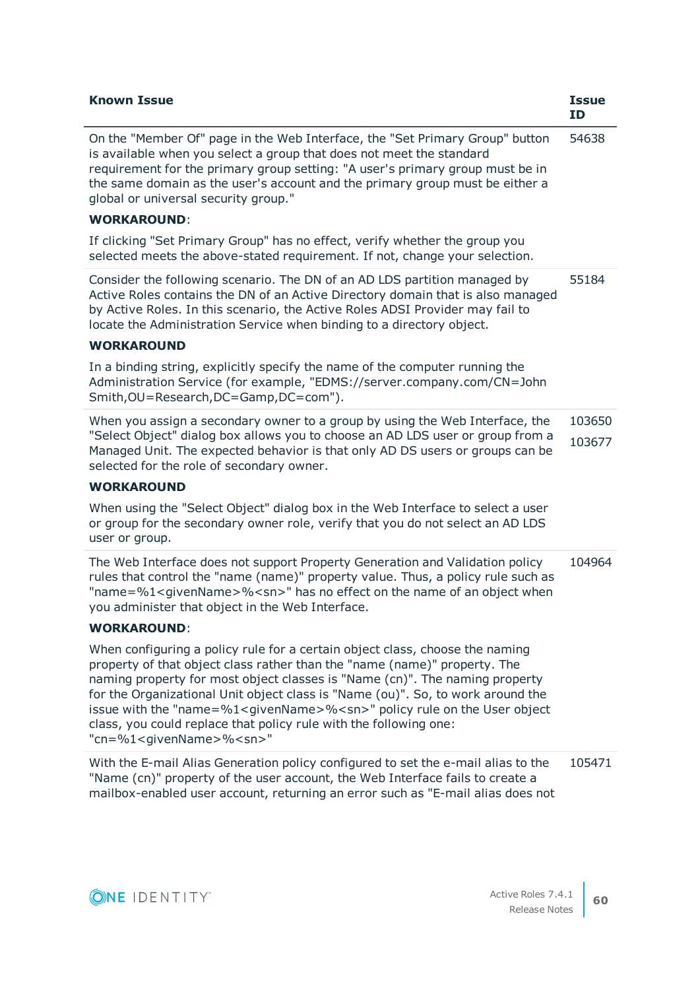| <b>Known Issue</b>                                                                                                                                                                                                                                                                                                                                                                                                                                                                                                                          | <b>Issue</b><br>ID |
|---------------------------------------------------------------------------------------------------------------------------------------------------------------------------------------------------------------------------------------------------------------------------------------------------------------------------------------------------------------------------------------------------------------------------------------------------------------------------------------------------------------------------------------------|--------------------|
| On the "Member Of" page in the Web Interface, the "Set Primary Group" button<br>is available when you select a group that does not meet the standard<br>requirement for the primary group setting: "A user's primary group must be in<br>the same domain as the user's account and the primary group must be either a<br>global or universal security group."                                                                                                                                                                               | 54638              |
| <b>WORKAROUND:</b>                                                                                                                                                                                                                                                                                                                                                                                                                                                                                                                          |                    |
| If clicking "Set Primary Group" has no effect, verify whether the group you<br>selected meets the above-stated requirement. If not, change your selection.                                                                                                                                                                                                                                                                                                                                                                                  |                    |
| Consider the following scenario. The DN of an AD LDS partition managed by<br>Active Roles contains the DN of an Active Directory domain that is also managed<br>by Active Roles. In this scenario, the Active Roles ADSI Provider may fail to<br>locate the Administration Service when binding to a directory object.                                                                                                                                                                                                                      | 55184              |
| <b>WORKAROUND</b>                                                                                                                                                                                                                                                                                                                                                                                                                                                                                                                           |                    |
| In a binding string, explicitly specify the name of the computer running the<br>Administration Service (for example, "EDMS://server.company.com/CN=John<br>Smith, OU=Research, DC=Gamp, DC=com").                                                                                                                                                                                                                                                                                                                                           |                    |
| When you assign a secondary owner to a group by using the Web Interface, the<br>"Select Object" dialog box allows you to choose an AD LDS user or group from a<br>Managed Unit. The expected behavior is that only AD DS users or groups can be<br>selected for the role of secondary owner.                                                                                                                                                                                                                                                | 103650<br>103677   |
| <b>WORKAROUND</b>                                                                                                                                                                                                                                                                                                                                                                                                                                                                                                                           |                    |
| When using the "Select Object" dialog box in the Web Interface to select a user<br>or group for the secondary owner role, verify that you do not select an AD LDS<br>user or group.                                                                                                                                                                                                                                                                                                                                                         |                    |
| The Web Interface does not support Property Generation and Validation policy<br>rules that control the "name (name)" property value. Thus, a policy rule such as<br>"name=%1 <givenname>%<sn>" has no effect on the name of an object when<br/>you administer that object in the Web Interface.</sn></givenname>                                                                                                                                                                                                                            | 104964             |
| <b>WORKAROUND:</b>                                                                                                                                                                                                                                                                                                                                                                                                                                                                                                                          |                    |
| When configuring a policy rule for a certain object class, choose the naming<br>property of that object class rather than the "name (name)" property. The<br>naming property for most object classes is "Name (cn)". The naming property<br>for the Organizational Unit object class is "Name (ou)". So, to work around the<br>issue with the "name=%1 <givenname>%<sn>" policy rule on the User object<br/>class, you could replace that policy rule with the following one:<br/>"cn=%1<givenname>%<sn>"</sn></givenname></sn></givenname> |                    |
| With the E-mail Alias Generation policy configured to set the e-mail alias to the<br>"Name (cn)" property of the user account, the Web Interface fails to create a<br>mailbox-enabled user account, returning an error such as "E-mail alias does not                                                                                                                                                                                                                                                                                       | 105471             |

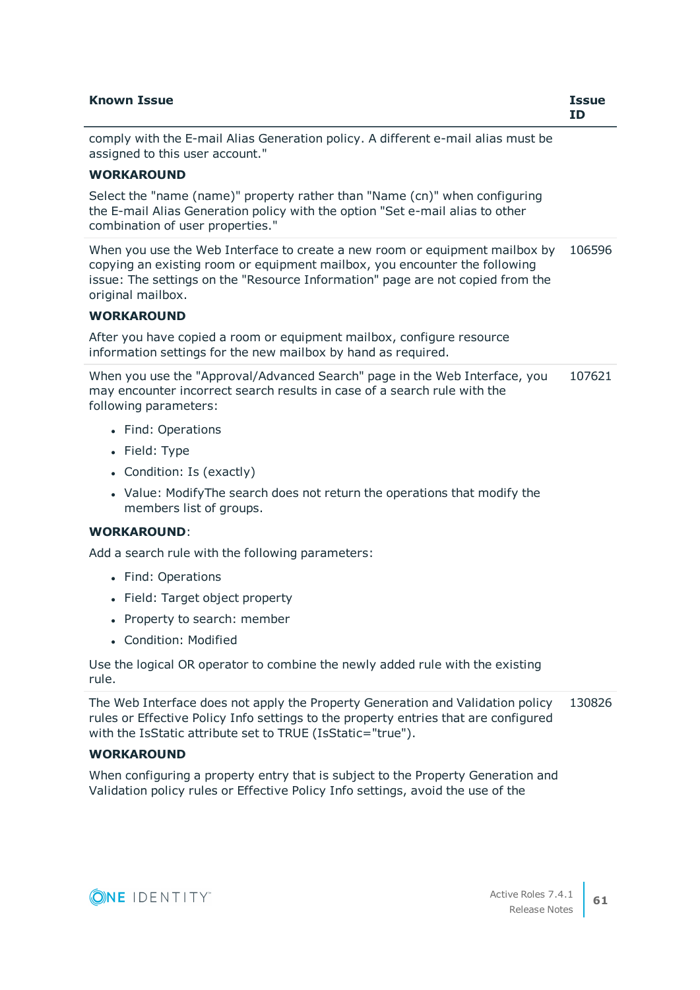| <b>Known Issue</b>                                                                                                                                          | <b>Issue</b><br>ΙD |
|-------------------------------------------------------------------------------------------------------------------------------------------------------------|--------------------|
| comply with the E-mail Alias Generation policy. A different e-mail alias must be<br>assigned to this user account."                                         |                    |
| <b>WORKAROUND</b>                                                                                                                                           |                    |
| Select the "name (name)" property rather than "Name (cn)" when configuring<br>the E-mail Alias Generation policy with the ontion "Set e-mail alias to other |                    |

the E-mail Alias Generation policy with the option "Set e-mail alias to other combination of user properties."

When you use the Web Interface to create a new room or equipment mailbox by 106596 copying an existing room or equipment mailbox, you encounter the following issue: The settings on the "Resource Information" page are not copied from the original mailbox.

### **WORKAROUND**

After you have copied a room or equipment mailbox, configure resource information settings for the new mailbox by hand as required.

When you use the "Approval/Advanced Search" page in the Web Interface, you may encounter incorrect search results in case of a search rule with the following parameters: 107621

- Find: Operations
- Field: Type
- Condition: Is (exactly)
- Value: ModifyThe search does not return the operations that modify the members list of groups.

### **WORKAROUND**:

Add a search rule with the following parameters:

- Find: Operations
- Field: Target object property
- Property to search: member
- **.** Condition: Modified

Use the logical OR operator to combine the newly added rule with the existing rule.

The Web Interface does not apply the Property Generation and Validation policy rules or Effective Policy Info settings to the property entries that are configured with the IsStatic attribute set to TRUE (IsStatic="true"). 130826

### **WORKAROUND**

When configuring a property entry that is subject to the Property Generation and Validation policy rules or Effective Policy Info settings, avoid the use of the

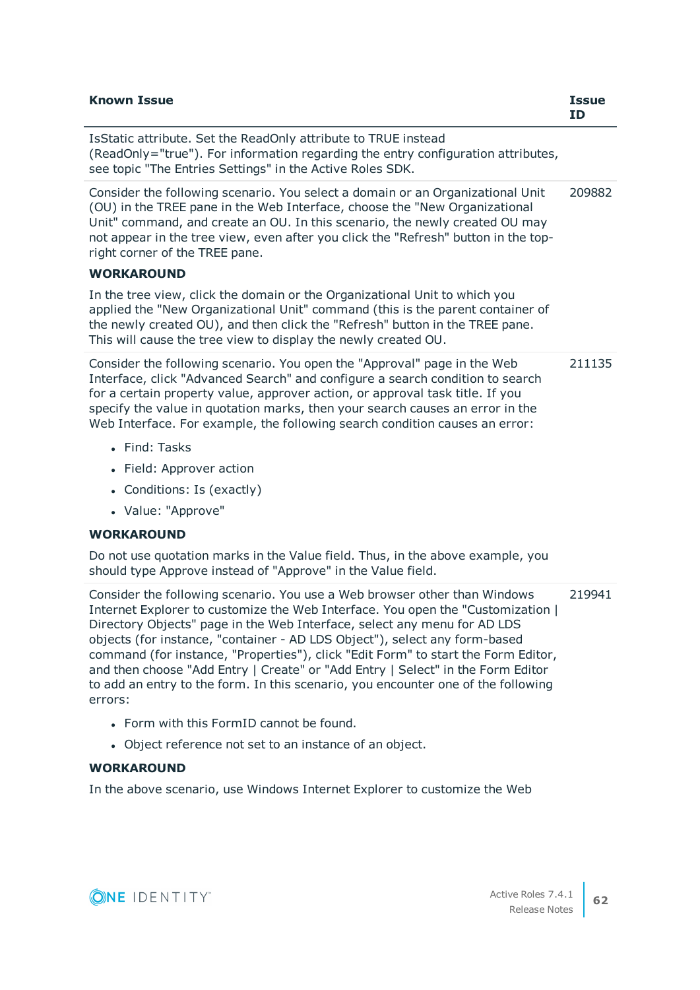| <b>Known Issue</b>                                                                                                                                                                                                                                                                                                                                                                                         | <b>Issue</b><br><b>ID</b> |
|------------------------------------------------------------------------------------------------------------------------------------------------------------------------------------------------------------------------------------------------------------------------------------------------------------------------------------------------------------------------------------------------------------|---------------------------|
| IsStatic attribute. Set the ReadOnly attribute to TRUE instead<br>(ReadOnly="true"). For information regarding the entry configuration attributes,<br>see topic "The Entries Settings" in the Active Roles SDK.                                                                                                                                                                                            |                           |
| Consider the following scenario. You select a domain or an Organizational Unit<br>(OU) in the TREE pane in the Web Interface, choose the "New Organizational<br>Unit" command, and create an OU. In this scenario, the newly created OU may<br>not appear in the tree view, even after you click the "Refresh" button in the top-<br>right corner of the TREE pane.                                        | 209882                    |
| <b>WORKAROUND</b>                                                                                                                                                                                                                                                                                                                                                                                          |                           |
| In the tree view, click the domain or the Organizational Unit to which you<br>applied the "New Organizational Unit" command (this is the parent container of<br>the newly created OU), and then click the "Refresh" button in the TREE pane.<br>This will cause the tree view to display the newly created OU.                                                                                             |                           |
| Consider the following scenario. You open the "Approval" page in the Web<br>Interface, click "Advanced Search" and configure a search condition to search<br>for a certain property value, approver action, or approval task title. If you<br>specify the value in quotation marks, then your search causes an error in the<br>Web Interface. For example, the following search condition causes an error: | 211135                    |
| • Find: Tasks                                                                                                                                                                                                                                                                                                                                                                                              |                           |
| • Field: Approver action                                                                                                                                                                                                                                                                                                                                                                                   |                           |
| Conditions: Is (exactly)<br>$\bullet$                                                                                                                                                                                                                                                                                                                                                                      |                           |
| • Value: "Approve"                                                                                                                                                                                                                                                                                                                                                                                         |                           |
| <b>WORKAROUND</b>                                                                                                                                                                                                                                                                                                                                                                                          |                           |
| Do not use quotation marks in the Value field. Thus, in the above example, you<br>should type Approve instead of "Approve" in the Value field.                                                                                                                                                                                                                                                             |                           |
| Consider the following scenario. You use a Web browser other than Windows                                                                                                                                                                                                                                                                                                                                  | 219941                    |

Internet Explorer to customize the Web Interface. You open the "Customization | Directory Objects" page in the Web Interface, select any menu for AD LDS objects (for instance, "container - AD LDS Object"), select any form-based command (for instance, "Properties"), click "Edit Form" to start the Form Editor, and then choose "Add Entry | Create" or "Add Entry | Select" in the Form Editor to add an entry to the form. In this scenario, you encounter one of the following errors:

- Form with this FormID cannot be found.
- Object reference not set to an instance of an object.

# **WORKAROUND**

In the above scenario, use Windows Internet Explorer to customize the Web

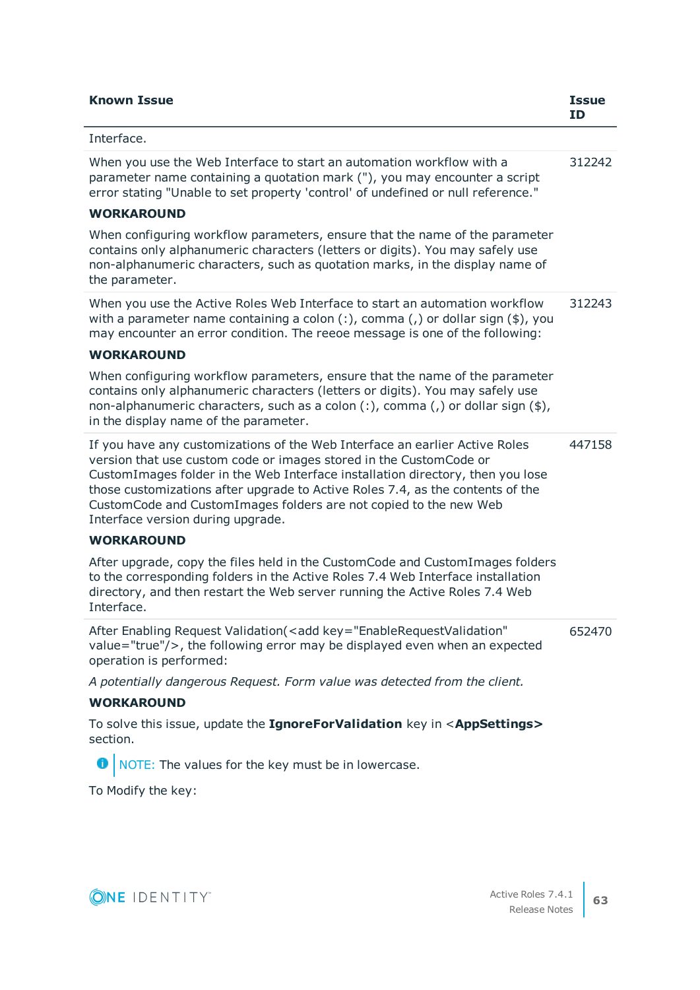| <b>Known Issue</b>                                                                                                                                                                                                                                                                                                                                                                                                              | <b>Issue</b><br>ID |
|---------------------------------------------------------------------------------------------------------------------------------------------------------------------------------------------------------------------------------------------------------------------------------------------------------------------------------------------------------------------------------------------------------------------------------|--------------------|
| Interface.                                                                                                                                                                                                                                                                                                                                                                                                                      |                    |
| When you use the Web Interface to start an automation workflow with a<br>parameter name containing a quotation mark ("), you may encounter a script<br>error stating "Unable to set property 'control' of undefined or null reference."                                                                                                                                                                                         | 312242             |
| <b>WORKAROUND</b>                                                                                                                                                                                                                                                                                                                                                                                                               |                    |
| When configuring workflow parameters, ensure that the name of the parameter<br>contains only alphanumeric characters (letters or digits). You may safely use<br>non-alphanumeric characters, such as quotation marks, in the display name of<br>the parameter.                                                                                                                                                                  |                    |
| When you use the Active Roles Web Interface to start an automation workflow<br>with a parameter name containing a colon $(:)$ , comma $(,)$ or dollar sign $(*)$ , you<br>may encounter an error condition. The reeoe message is one of the following:<br><b>WORKAROUND</b>                                                                                                                                                     | 312243             |
|                                                                                                                                                                                                                                                                                                                                                                                                                                 |                    |
| When configuring workflow parameters, ensure that the name of the parameter<br>contains only alphanumeric characters (letters or digits). You may safely use<br>non-alphanumeric characters, such as a colon (:), comma (,) or dollar sign (\$),<br>in the display name of the parameter.                                                                                                                                       |                    |
| If you have any customizations of the Web Interface an earlier Active Roles<br>version that use custom code or images stored in the CustomCode or<br>CustomImages folder in the Web Interface installation directory, then you lose<br>those customizations after upgrade to Active Roles 7.4, as the contents of the<br>CustomCode and CustomImages folders are not copied to the new Web<br>Interface version during upgrade. | 447158             |
| <b>WORKAROUND</b>                                                                                                                                                                                                                                                                                                                                                                                                               |                    |
| After upgrade, copy the files held in the CustomCode and CustomImages folders<br>to the corresponding folders in the Active Roles 7.4 Web Interface installation<br>directory, and then restart the Web server running the Active Roles 7.4 Web<br>Interface.                                                                                                                                                                   |                    |
| After Enabling Request Validation( <add <br="" key="EnableRequestValidation">value="true"/&gt;, the following error may be displayed even when an expected<br/>operation is performed:</add>                                                                                                                                                                                                                                    | 652470             |
| A potentially dangerous Request. Form value was detected from the client.                                                                                                                                                                                                                                                                                                                                                       |                    |
| <b>WORKAROUND</b>                                                                                                                                                                                                                                                                                                                                                                                                               |                    |
| To solve this issue, update the IgnoreForValidation key in <appsettings><br/>section.</appsettings>                                                                                                                                                                                                                                                                                                                             |                    |
| O NOTE: The values for the key must be in lowercase.                                                                                                                                                                                                                                                                                                                                                                            |                    |
| To Modify the key:                                                                                                                                                                                                                                                                                                                                                                                                              |                    |

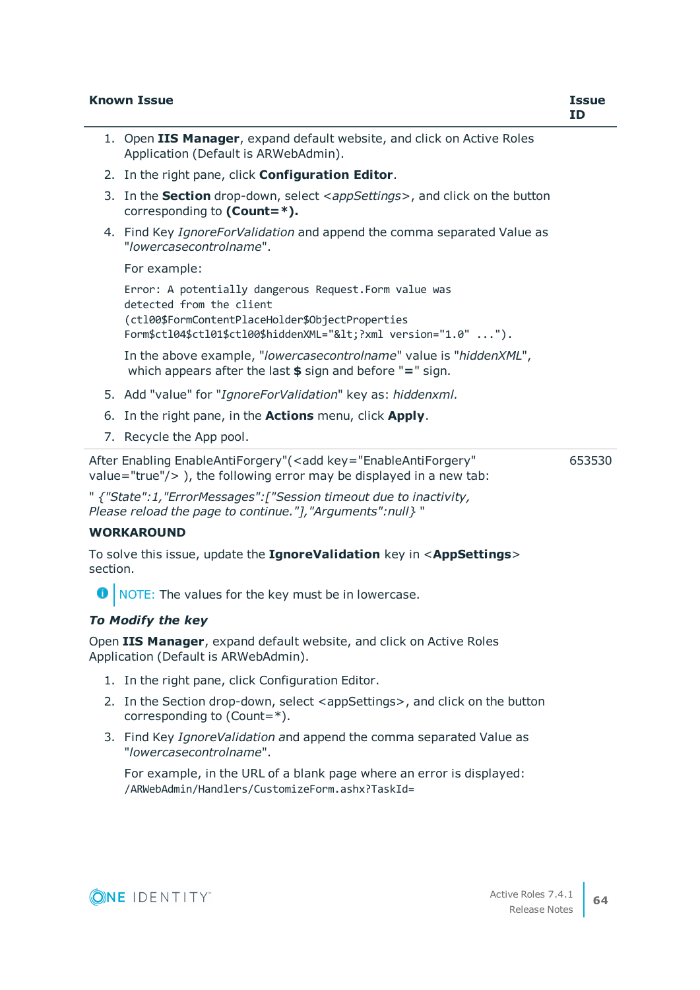|          | <b>Known Issue</b>                                                                                                                                                                                                   | <b>Issue</b><br>ID |
|----------|----------------------------------------------------------------------------------------------------------------------------------------------------------------------------------------------------------------------|--------------------|
|          | 1. Open IIS Manager, expand default website, and click on Active Roles<br>Application (Default is ARWebAdmin).                                                                                                       |                    |
|          | 2. In the right pane, click Configuration Editor.                                                                                                                                                                    |                    |
|          | 3. In the <b>Section</b> drop-down, select <appsettings>, and click on the button<br/>corresponding to <math>(Count = *)</math>.</appsettings>                                                                       |                    |
|          | 4. Find Key IgnoreForValidation and append the comma separated Value as<br>"lowercasecontrolname".                                                                                                                   |                    |
|          | For example:                                                                                                                                                                                                         |                    |
|          | Error: A potentially dangerous Request. Form value was<br>detected from the client<br>(ctl00\$FormContentPlaceHolder\$ObjectProperties<br>Form\$ctl04\$ctl01\$ctl00\$hiddenXML=" xml version="1.0" ").</td <td></td> |                    |
|          | In the above example, "/owercasecontrolname" value is "hiddenXML",<br>which appears after the last $$$ sign and before "=" sign.                                                                                     |                    |
|          | 5. Add "value" for "IgnoreForValidation" key as: hiddenxml.                                                                                                                                                          |                    |
|          | 6. In the right pane, in the <b>Actions</b> menu, click <b>Apply</b> .                                                                                                                                               |                    |
|          | 7. Recycle the App pool.                                                                                                                                                                                             |                    |
|          | After Enabling EnableAntiForgery"( <add <br="" key="EnableAntiForgery">value="true"/<math>&gt;</math>), the following error may be displayed in a new tab:</add>                                                     | 653530             |
|          | " {"State":1, "ErrorMessages": ["Session timeout due to inactivity,<br>Please reload the page to continue."], "Arguments":null} "                                                                                    |                    |
|          | <b>WORKAROUND</b>                                                                                                                                                                                                    |                    |
| section. | To solve this issue, update the IgnoreValidation key in <appsettings></appsettings>                                                                                                                                  |                    |
|          | NOTE: The values for the key must be in lowercase.                                                                                                                                                                   |                    |
|          | <b>To Modify the key</b>                                                                                                                                                                                             |                    |
|          | Open IIS Manager, expand default website, and click on Active Roles<br>Application (Default is ARWebAdmin).                                                                                                          |                    |
|          | 1. In the right pane, click Configuration Editor.                                                                                                                                                                    |                    |
|          | 2. In the Section drop-down, select <appsettings>, and click on the button<br/>corresponding to (Count=<math>*</math>).</appsettings>                                                                                |                    |
|          | 3. Find Key IgnoreValidation and append the comma separated Value as<br>"lowercasecontrolname".                                                                                                                      |                    |
|          | For example, in the URL of a blank page where an error is displayed:<br>/ARWebAdmin/Handlers/CustomizeForm.ashx?TaskId=                                                                                              |                    |
|          |                                                                                                                                                                                                                      |                    |
|          | Active Roles 7.4.1<br>NE IDENTITY®<br><b>Release Notes</b>                                                                                                                                                           | 64                 |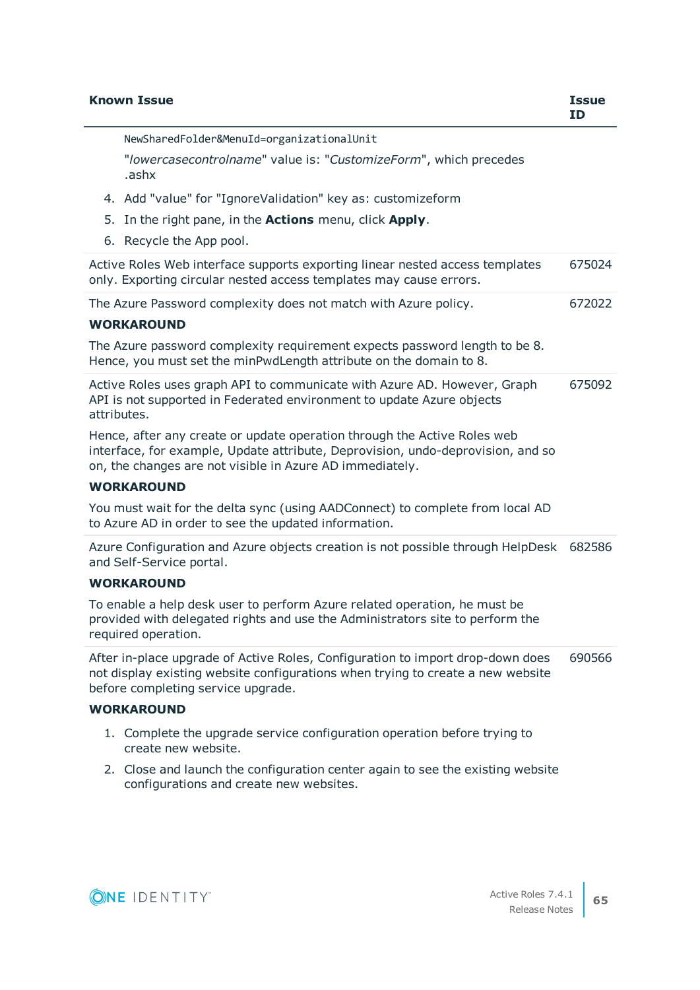| <b>Known Issue</b>                                                                                                                                                                                                      | <b>Issue</b><br><b>ID</b> |
|-------------------------------------------------------------------------------------------------------------------------------------------------------------------------------------------------------------------------|---------------------------|
| NewSharedFolder&MenuId=organizationalUnit                                                                                                                                                                               |                           |
| "lowercasecontrolname" value is: "CustomizeForm", which precedes<br>.ashx                                                                                                                                               |                           |
| 4. Add "value" for "IgnoreValidation" key as: customizeform                                                                                                                                                             |                           |
| 5. In the right pane, in the <b>Actions</b> menu, click <b>Apply</b> .                                                                                                                                                  |                           |
| 6. Recycle the App pool.                                                                                                                                                                                                |                           |
| Active Roles Web interface supports exporting linear nested access templates<br>only. Exporting circular nested access templates may cause errors.                                                                      | 675024                    |
| The Azure Password complexity does not match with Azure policy.                                                                                                                                                         | 672022                    |
| <b>WORKAROUND</b>                                                                                                                                                                                                       |                           |
| The Azure password complexity requirement expects password length to be 8.<br>Hence, you must set the minPwdLength attribute on the domain to 8.                                                                        |                           |
| Active Roles uses graph API to communicate with Azure AD. However, Graph<br>API is not supported in Federated environment to update Azure objects<br>attributes.                                                        | 675092                    |
| Hence, after any create or update operation through the Active Roles web<br>interface, for example, Update attribute, Deprovision, undo-deprovision, and so<br>on, the changes are not visible in Azure AD immediately. |                           |
| <b>WORKAROUND</b>                                                                                                                                                                                                       |                           |
| You must wait for the delta sync (using AADConnect) to complete from local AD<br>to Azure AD in order to see the updated information.                                                                                   |                           |
| Azure Configuration and Azure objects creation is not possible through HelpDesk<br>and Self-Service portal.                                                                                                             | 682586                    |
| <b>WORKAROUND</b>                                                                                                                                                                                                       |                           |
| To enable a help desk user to perform Azure related operation, he must be<br>provided with delegated rights and use the Administrators site to perform the<br>required operation.                                       |                           |
| After in-place upgrade of Active Roles, Configuration to import drop-down does<br>not display existing website configurations when trying to create a new website<br>before completing service upgrade.                 | 690566                    |
| <b>WORKAROUND</b>                                                                                                                                                                                                       |                           |
| 1. Complete the upgrade service configuration operation before trying to<br>create new website.                                                                                                                         |                           |
| 2. Close and launch the configuration center again to see the existing website                                                                                                                                          |                           |

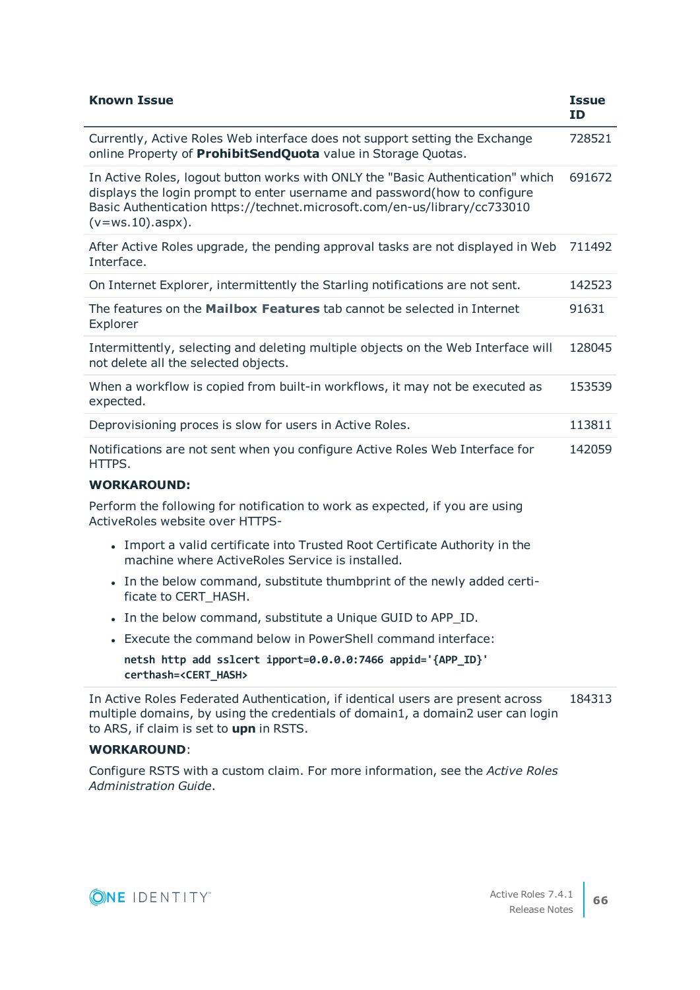| <b>Known Issue</b>                                                                                                                                                                                                                                               | <b>Issue</b><br><b>ID</b> |
|------------------------------------------------------------------------------------------------------------------------------------------------------------------------------------------------------------------------------------------------------------------|---------------------------|
| Currently, Active Roles Web interface does not support setting the Exchange<br>online Property of ProhibitSendQuota value in Storage Quotas.                                                                                                                     | 728521                    |
| In Active Roles, logout button works with ONLY the "Basic Authentication" which<br>displays the login prompt to enter username and password(how to configure<br>Basic Authentication https://technet.microsoft.com/en-us/library/cc733010<br>$(v=ws.10)$ .aspx). | 691672                    |
| After Active Roles upgrade, the pending approval tasks are not displayed in Web<br>Interface.                                                                                                                                                                    | 711492                    |
| On Internet Explorer, intermittently the Starling notifications are not sent.                                                                                                                                                                                    | 142523                    |
| The features on the Mailbox Features tab cannot be selected in Internet<br>Explorer                                                                                                                                                                              | 91631                     |
| Intermittently, selecting and deleting multiple objects on the Web Interface will<br>not delete all the selected objects.                                                                                                                                        | 128045                    |
| When a workflow is copied from built-in workflows, it may not be executed as<br>expected.                                                                                                                                                                        | 153539                    |
| Deprovisioning proces is slow for users in Active Roles.                                                                                                                                                                                                         | 113811                    |
| Notifications are not sent when you configure Active Roles Web Interface for<br>HTTPS.                                                                                                                                                                           | 142059                    |
| <b>WORKAROUND:</b>                                                                                                                                                                                                                                               |                           |
| Perform the following for notification to work as expected, if you are using<br>ActiveRoles website over HTTPS-                                                                                                                                                  |                           |
| • Import a valid certificate into Trusted Root Certificate Authority in the<br>machine where ActiveRoles Service is installed.                                                                                                                                   |                           |
| • In the below command, substitute thumbprint of the newly added certi-<br>ficate to CERT_HASH.                                                                                                                                                                  |                           |
| • In the below command, substitute a Unique GUID to APP_ID.                                                                                                                                                                                                      |                           |
| • Execute the command below in PowerShell command interface:                                                                                                                                                                                                     |                           |
| netsh http add sslcert ipport=0.0.0.0:7466 appid='{APP_ID}'<br>certhash= <cert hash=""></cert>                                                                                                                                                                   |                           |
| In Active Roles Federated Authentication, if identical users are present across<br>multiple domains, by using the credentials of domain1, a domain2 user can login<br>to ARS, if claim is set to upn in RSTS.                                                    | 184313                    |
| <b>WORKAROUND:</b>                                                                                                                                                                                                                                               |                           |
| Configure RSTS with a custom claim. For more information, see the Active Roles                                                                                                                                                                                   |                           |

*Administration Guide*.

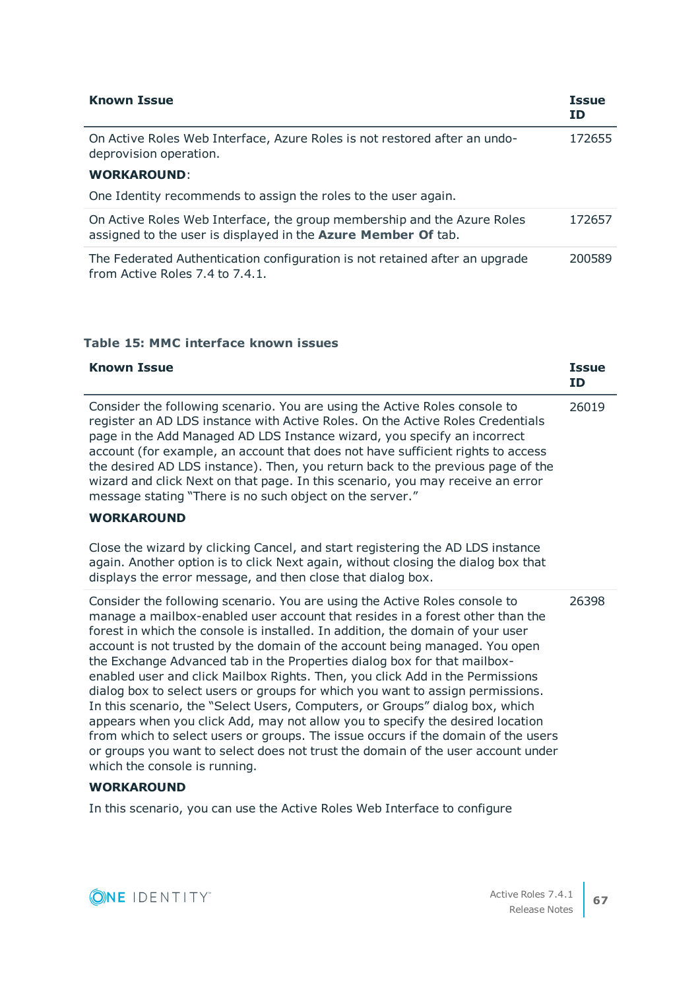| <b>Known Issue</b>                                                                                                                       | <b>Issue</b><br><b>ID</b> |
|------------------------------------------------------------------------------------------------------------------------------------------|---------------------------|
| On Active Roles Web Interface, Azure Roles is not restored after an undo-<br>deprovision operation.                                      | 172655                    |
| <b>WORKAROUND:</b>                                                                                                                       |                           |
| One Identity recommends to assign the roles to the user again.                                                                           |                           |
| On Active Roles Web Interface, the group membership and the Azure Roles<br>assigned to the user is displayed in the Azure Member Of tab. | 172657                    |
| The Federated Authentication configuration is not retained after an upgrade<br>from Active Roles 7.4 to 7.4.1.                           | 200589                    |

# **Table 15: MMC interface known issues**

| <b>Known Issue</b>                                                                                                                                                                                                                                                                                                                                                                                                                                                                                                                                                                                                                                                                                                                                                                                                                                                                                                                                     | <b>Issue</b><br><b>ID</b> |
|--------------------------------------------------------------------------------------------------------------------------------------------------------------------------------------------------------------------------------------------------------------------------------------------------------------------------------------------------------------------------------------------------------------------------------------------------------------------------------------------------------------------------------------------------------------------------------------------------------------------------------------------------------------------------------------------------------------------------------------------------------------------------------------------------------------------------------------------------------------------------------------------------------------------------------------------------------|---------------------------|
| Consider the following scenario. You are using the Active Roles console to<br>register an AD LDS instance with Active Roles. On the Active Roles Credentials<br>page in the Add Managed AD LDS Instance wizard, you specify an incorrect<br>account (for example, an account that does not have sufficient rights to access<br>the desired AD LDS instance). Then, you return back to the previous page of the<br>wizard and click Next on that page. In this scenario, you may receive an error<br>message stating "There is no such object on the server."                                                                                                                                                                                                                                                                                                                                                                                           | 26019                     |
| <b>WORKAROUND</b>                                                                                                                                                                                                                                                                                                                                                                                                                                                                                                                                                                                                                                                                                                                                                                                                                                                                                                                                      |                           |
| Close the wizard by clicking Cancel, and start registering the AD LDS instance<br>again. Another option is to click Next again, without closing the dialog box that<br>displays the error message, and then close that dialog box.                                                                                                                                                                                                                                                                                                                                                                                                                                                                                                                                                                                                                                                                                                                     |                           |
| Consider the following scenario. You are using the Active Roles console to<br>manage a mailbox-enabled user account that resides in a forest other than the<br>forest in which the console is installed. In addition, the domain of your user<br>account is not trusted by the domain of the account being managed. You open<br>the Exchange Advanced tab in the Properties dialog box for that mailbox-<br>enabled user and click Mailbox Rights. Then, you click Add in the Permissions<br>dialog box to select users or groups for which you want to assign permissions.<br>In this scenario, the "Select Users, Computers, or Groups" dialog box, which<br>appears when you click Add, may not allow you to specify the desired location<br>from which to select users or groups. The issue occurs if the domain of the users<br>or groups you want to select does not trust the domain of the user account under<br>which the console is running. | 26398                     |

# **WORKAROUND**

In this scenario, you can use the Active Roles Web Interface to configure

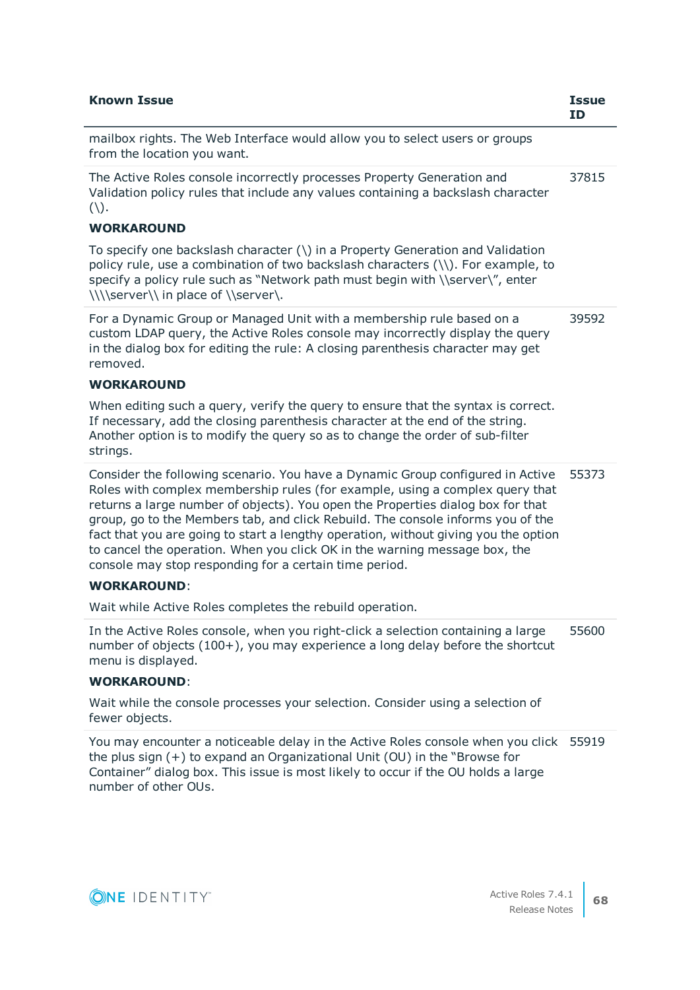| <b>Known Issue</b>                                                                                                                                                                                                                                                                                                                                                                                                                                                                                                                                                  | <b>Issue</b><br><b>ID</b> |
|---------------------------------------------------------------------------------------------------------------------------------------------------------------------------------------------------------------------------------------------------------------------------------------------------------------------------------------------------------------------------------------------------------------------------------------------------------------------------------------------------------------------------------------------------------------------|---------------------------|
| mailbox rights. The Web Interface would allow you to select users or groups<br>from the location you want.                                                                                                                                                                                                                                                                                                                                                                                                                                                          |                           |
| The Active Roles console incorrectly processes Property Generation and<br>Validation policy rules that include any values containing a backslash character<br>$( \setminus ).$                                                                                                                                                                                                                                                                                                                                                                                      | 37815                     |
| <b>WORKAROUND</b>                                                                                                                                                                                                                                                                                                                                                                                                                                                                                                                                                   |                           |
| To specify one backslash character (\) in a Property Generation and Validation<br>policy rule, use a combination of two backslash characters (\\). For example, to<br>specify a policy rule such as "Network path must begin with \\server\", enter<br>\\\\server\\ in place of \\server\.                                                                                                                                                                                                                                                                          |                           |
| For a Dynamic Group or Managed Unit with a membership rule based on a<br>custom LDAP query, the Active Roles console may incorrectly display the query<br>in the dialog box for editing the rule: A closing parenthesis character may get<br>removed.                                                                                                                                                                                                                                                                                                               | 39592                     |
| <b>WORKAROUND</b>                                                                                                                                                                                                                                                                                                                                                                                                                                                                                                                                                   |                           |
| When editing such a query, verify the query to ensure that the syntax is correct.<br>If necessary, add the closing parenthesis character at the end of the string.<br>Another option is to modify the query so as to change the order of sub-filter<br>strings.                                                                                                                                                                                                                                                                                                     |                           |
| Consider the following scenario. You have a Dynamic Group configured in Active<br>Roles with complex membership rules (for example, using a complex query that<br>returns a large number of objects). You open the Properties dialog box for that<br>group, go to the Members tab, and click Rebuild. The console informs you of the<br>fact that you are going to start a lengthy operation, without giving you the option<br>to cancel the operation. When you click OK in the warning message box, the<br>console may stop responding for a certain time period. | 55373                     |
| <b>WORKAROUND:</b>                                                                                                                                                                                                                                                                                                                                                                                                                                                                                                                                                  |                           |
| Wait while Active Roles completes the rebuild operation.                                                                                                                                                                                                                                                                                                                                                                                                                                                                                                            |                           |
| In the Active Roles console, when you right-click a selection containing a large<br>number of objects (100+), you may experience a long delay before the shortcut<br>menu is displayed.                                                                                                                                                                                                                                                                                                                                                                             | 55600                     |
| <b>WORKAROUND:</b>                                                                                                                                                                                                                                                                                                                                                                                                                                                                                                                                                  |                           |
| Wait while the console processes your selection. Consider using a selection of<br>fewer objects.                                                                                                                                                                                                                                                                                                                                                                                                                                                                    |                           |
| You may encounter a noticeable delay in the Active Roles console when you click 55919<br>the plus sign $(+)$ to expand an Organizational Unit (OU) in the "Browse for<br>Container" dialog box. This issue is most likely to occur if the OU holds a large                                                                                                                                                                                                                                                                                                          |                           |

number of other OUs.

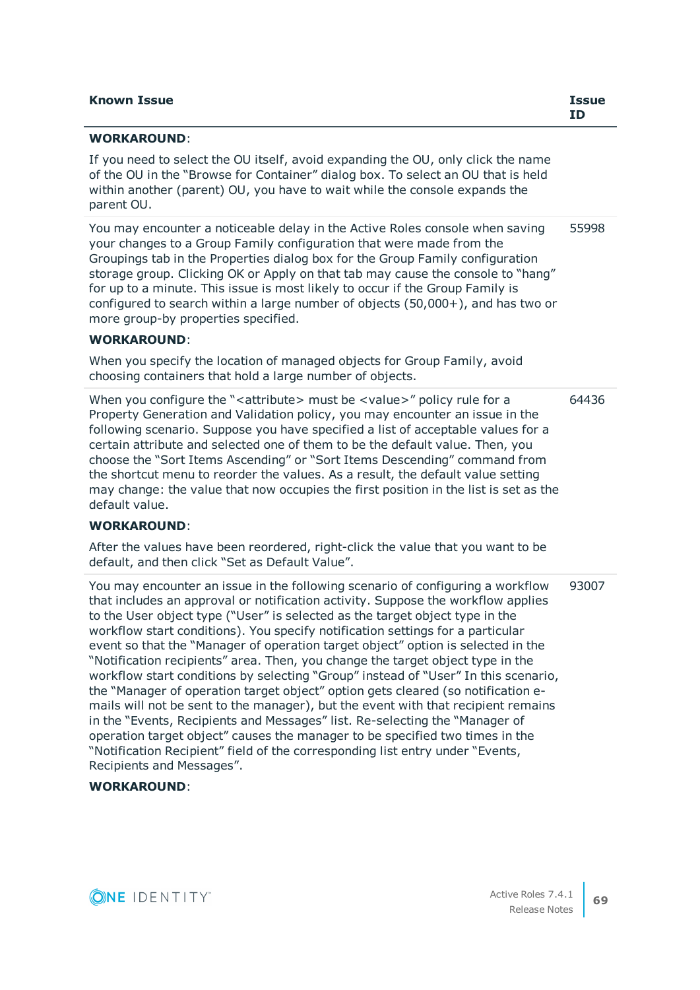| <b>Known Issue</b> | <b>Issue</b> |
|--------------------|--------------|
|                    | ID           |

### **WORKAROUND**:

If you need to select the OU itself, avoid expanding the OU, only click the name of the OU in the "Browse for Container" dialog box. To select an OU that is held within another (parent) OU, you have to wait while the console expands the parent OU.

You may encounter a noticeable delay in the Active Roles console when saving your changes to a Group Family configuration that were made from the Groupings tab in the Properties dialog box for the Group Family configuration storage group. Clicking OK or Apply on that tab may cause the console to "hang" for up to a minute. This issue is most likely to occur if the Group Family is configured to search within a large number of objects (50,000+), and has two or more group-by properties specified. 55998

#### **WORKAROUND**:

When you specify the location of managed objects for Group Family, avoid choosing containers that hold a large number of objects.

When you configure the "<attribute> must be <value>" policy rule for a Property Generation and Validation policy, you may encounter an issue in the following scenario. Suppose you have specified a list of acceptable values for a certain attribute and selected one of them to be the default value. Then, you choose the "Sort Items Ascending" or "Sort Items Descending" command from the shortcut menu to reorder the values. As a result, the default value setting may change: the value that now occupies the first position in the list is set as the default value. 64436

## **WORKAROUND**:

After the values have been reordered, right-click the value that you want to be default, and then click "Set as Default Value".

You may encounter an issue in the following scenario of configuring a workflow that includes an approval or notification activity. Suppose the workflow applies to the User object type ("User" is selected as the target object type in the workflow start conditions). You specify notification settings for a particular event so that the "Manager of operation target object" option is selected in the "Notification recipients" area. Then, you change the target object type in the workflow start conditions by selecting "Group" instead of "User" In this scenario, the "Manager of operation target object" option gets cleared (so notification emails will not be sent to the manager), but the event with that recipient remains in the "Events, Recipients and Messages" list. Re-selecting the "Manager of operation target object" causes the manager to be specified two times in the "Notification Recipient" field of the corresponding list entry under "Events, Recipients and Messages". 93007

### **WORKAROUND**:

**ONE IDENTITY** 

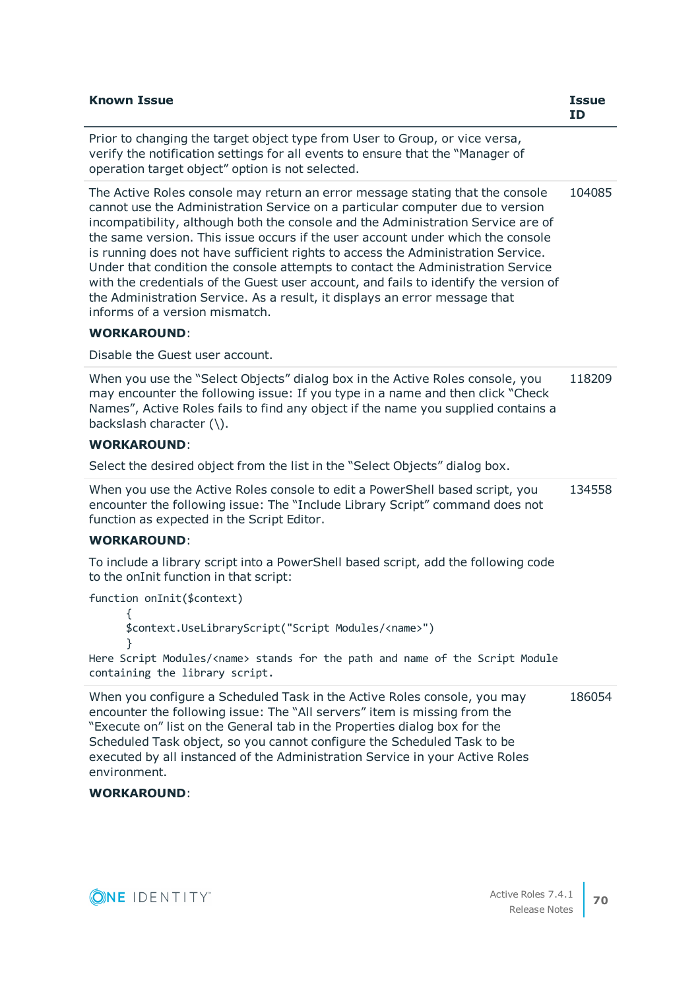| <b>Known Issue</b>                                                                                                                                                                                                                                                                                                                                                                                                                                                                                                                                                                                                                                                                                                                         | <b>Issue</b><br><b>ID</b> |
|--------------------------------------------------------------------------------------------------------------------------------------------------------------------------------------------------------------------------------------------------------------------------------------------------------------------------------------------------------------------------------------------------------------------------------------------------------------------------------------------------------------------------------------------------------------------------------------------------------------------------------------------------------------------------------------------------------------------------------------------|---------------------------|
| Prior to changing the target object type from User to Group, or vice versa,<br>verify the notification settings for all events to ensure that the "Manager of<br>operation target object" option is not selected.                                                                                                                                                                                                                                                                                                                                                                                                                                                                                                                          |                           |
| The Active Roles console may return an error message stating that the console<br>cannot use the Administration Service on a particular computer due to version<br>incompatibility, although both the console and the Administration Service are of<br>the same version. This issue occurs if the user account under which the console<br>is running does not have sufficient rights to access the Administration Service.<br>Under that condition the console attempts to contact the Administration Service<br>with the credentials of the Guest user account, and fails to identify the version of<br>the Administration Service. As a result, it displays an error message that<br>informs of a version mismatch.<br><b>WORKAROUND:</b> | 104085                    |
| Disable the Guest user account.                                                                                                                                                                                                                                                                                                                                                                                                                                                                                                                                                                                                                                                                                                            |                           |
| When you use the "Select Objects" dialog box in the Active Roles console, you<br>may encounter the following issue: If you type in a name and then click "Check<br>Names", Active Roles fails to find any object if the name you supplied contains a<br>backslash character (\).<br><b>WORKAROUND:</b>                                                                                                                                                                                                                                                                                                                                                                                                                                     | 118209                    |
| Select the desired object from the list in the "Select Objects" dialog box.                                                                                                                                                                                                                                                                                                                                                                                                                                                                                                                                                                                                                                                                |                           |
| When you use the Active Roles console to edit a PowerShell based script, you<br>encounter the following issue: The "Include Library Script" command does not<br>function as expected in the Script Editor.                                                                                                                                                                                                                                                                                                                                                                                                                                                                                                                                 | 134558                    |
| <b>WORKAROUND:</b>                                                                                                                                                                                                                                                                                                                                                                                                                                                                                                                                                                                                                                                                                                                         |                           |
| To include a library script into a PowerShell based script, add the following code<br>to the onInit function in that script:                                                                                                                                                                                                                                                                                                                                                                                                                                                                                                                                                                                                               |                           |
| function onInit(\$context)<br>₹<br>\$context.UseLibraryScript("Script Modules/ <name>")</name>                                                                                                                                                                                                                                                                                                                                                                                                                                                                                                                                                                                                                                             |                           |
|                                                                                                                                                                                                                                                                                                                                                                                                                                                                                                                                                                                                                                                                                                                                            |                           |
| Here Script Modules/ <name> stands for the path and name of the Script Module<br/>containing the library script.</name>                                                                                                                                                                                                                                                                                                                                                                                                                                                                                                                                                                                                                    |                           |
| When you configure a Scheduled Task in the Active Roles console, you may<br>encounter the following issue: The "All servers" item is missing from the<br>"Execute on" list on the General tab in the Properties dialog box for the<br>Scheduled Task object, so you cannot configure the Scheduled Task to be<br>executed by all instanced of the Administration Service in your Active Roles<br>environment.<br><b>WORKAROUND:</b>                                                                                                                                                                                                                                                                                                        | 186054                    |

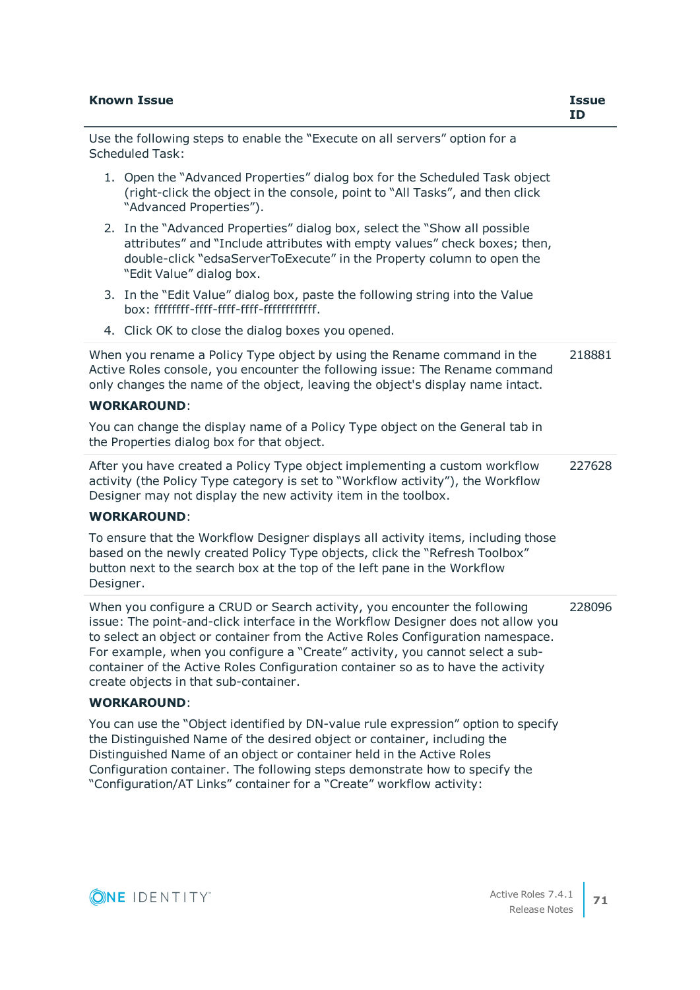| <b>Known Issue</b>                                                                                                                                                                                                                                                                                                                                                                                                                                             | <b>Issue</b><br><b>ID</b> |
|----------------------------------------------------------------------------------------------------------------------------------------------------------------------------------------------------------------------------------------------------------------------------------------------------------------------------------------------------------------------------------------------------------------------------------------------------------------|---------------------------|
| Use the following steps to enable the "Execute on all servers" option for a<br><b>Scheduled Task:</b>                                                                                                                                                                                                                                                                                                                                                          |                           |
| 1. Open the "Advanced Properties" dialog box for the Scheduled Task object<br>(right-click the object in the console, point to "All Tasks", and then click<br>"Advanced Properties").                                                                                                                                                                                                                                                                          |                           |
| 2. In the "Advanced Properties" dialog box, select the "Show all possible<br>attributes" and "Include attributes with empty values" check boxes; then,<br>double-click "edsaServerToExecute" in the Property column to open the<br>"Edit Value" dialog box.                                                                                                                                                                                                    |                           |
| 3. In the "Edit Value" dialog box, paste the following string into the Value                                                                                                                                                                                                                                                                                                                                                                                   |                           |
| 4. Click OK to close the dialog boxes you opened.                                                                                                                                                                                                                                                                                                                                                                                                              |                           |
| When you rename a Policy Type object by using the Rename command in the<br>Active Roles console, you encounter the following issue: The Rename command<br>only changes the name of the object, leaving the object's display name intact.                                                                                                                                                                                                                       | 218881                    |
| <b>WORKAROUND:</b>                                                                                                                                                                                                                                                                                                                                                                                                                                             |                           |
| You can change the display name of a Policy Type object on the General tab in<br>the Properties dialog box for that object.                                                                                                                                                                                                                                                                                                                                    |                           |
| After you have created a Policy Type object implementing a custom workflow<br>activity (the Policy Type category is set to "Workflow activity"), the Workflow<br>Designer may not display the new activity item in the toolbox.                                                                                                                                                                                                                                | 227628                    |
| <b>WORKAROUND:</b>                                                                                                                                                                                                                                                                                                                                                                                                                                             |                           |
| To ensure that the Workflow Designer displays all activity items, including those<br>based on the newly created Policy Type objects, click the "Refresh Toolbox"<br>button next to the search box at the top of the left pane in the Workflow<br>Designer.                                                                                                                                                                                                     |                           |
| When you configure a CRUD or Search activity, you encounter the following<br>issue: The point-and-click interface in the Workflow Designer does not allow you<br>to select an object or container from the Active Roles Configuration namespace.<br>For example, when you configure a "Create" activity, you cannot select a sub-<br>container of the Active Roles Configuration container so as to have the activity<br>create objects in that sub-container. | 228096                    |
| <b>WORKAROUND:</b>                                                                                                                                                                                                                                                                                                                                                                                                                                             |                           |
| You can use the "Object identified by DN-value rule expression" option to specify<br>the Distinguished Name of the desired object or container, including the<br>Distinguished Name of an object or container held in the Active Roles<br>Configuration container. The following steps demonstrate how to specify the<br>"Configuration/AT Links" container for a "Create" workflow activity:                                                                  |                           |

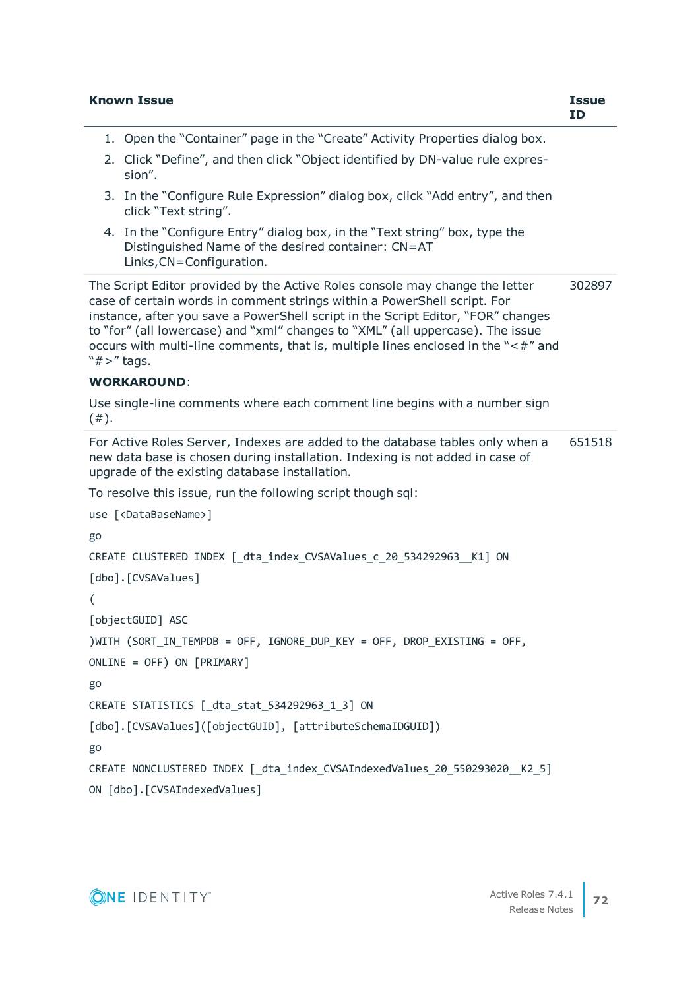|      | <b>Known Issue</b>                                                                                                                                                                                                                                                                                                                                                                                                                    | <b>Issue</b><br>ID |
|------|---------------------------------------------------------------------------------------------------------------------------------------------------------------------------------------------------------------------------------------------------------------------------------------------------------------------------------------------------------------------------------------------------------------------------------------|--------------------|
|      | 1. Open the "Container" page in the "Create" Activity Properties dialog box.                                                                                                                                                                                                                                                                                                                                                          |                    |
|      | 2. Click "Define", and then click "Object identified by DN-value rule expres-<br>sion".                                                                                                                                                                                                                                                                                                                                               |                    |
|      | 3. In the "Configure Rule Expression" dialog box, click "Add entry", and then<br>click "Text string".                                                                                                                                                                                                                                                                                                                                 |                    |
|      | 4. In the "Configure Entry" dialog box, in the "Text string" box, type the<br>Distinguished Name of the desired container: CN=AT<br>Links, CN=Configuration.                                                                                                                                                                                                                                                                          |                    |
|      | The Script Editor provided by the Active Roles console may change the letter<br>case of certain words in comment strings within a PowerShell script. For<br>instance, after you save a PowerShell script in the Script Editor, "FOR" changes<br>to "for" (all lowercase) and "xml" changes to "XML" (all uppercase). The issue<br>occurs with multi-line comments, that is, multiple lines enclosed in the "<#" and<br>" $#$ >" tags. | 302897             |
|      | <b>WORKAROUND:</b>                                                                                                                                                                                                                                                                                                                                                                                                                    |                    |
| (#). | Use single-line comments where each comment line begins with a number sign                                                                                                                                                                                                                                                                                                                                                            |                    |
|      | For Active Roles Server, Indexes are added to the database tables only when a<br>new data base is chosen during installation. Indexing is not added in case of<br>upgrade of the existing database installation.                                                                                                                                                                                                                      | 651518             |
|      | To resolve this issue, run the following script though sql:                                                                                                                                                                                                                                                                                                                                                                           |                    |
|      | use [ <databasename>]</databasename>                                                                                                                                                                                                                                                                                                                                                                                                  |                    |
| go   |                                                                                                                                                                                                                                                                                                                                                                                                                                       |                    |
|      | CREATE CLUSTERED INDEX [_dta_index_CVSAValues_c_20_534292963__K1] ON<br>[dbo]. [CVSAValues]                                                                                                                                                                                                                                                                                                                                           |                    |
| (    |                                                                                                                                                                                                                                                                                                                                                                                                                                       |                    |
|      | [objectGUID] ASC                                                                                                                                                                                                                                                                                                                                                                                                                      |                    |
|      | )WITH (SORT_IN_TEMPDB = OFF, IGNORE_DUP_KEY = OFF, DROP_EXISTING = OFF,                                                                                                                                                                                                                                                                                                                                                               |                    |
|      | ONLINE = OFF) ON [PRIMARY]                                                                                                                                                                                                                                                                                                                                                                                                            |                    |
| go   |                                                                                                                                                                                                                                                                                                                                                                                                                                       |                    |
|      | CREATE STATISTICS [_dta_stat_534292963_1_3] ON                                                                                                                                                                                                                                                                                                                                                                                        |                    |
|      | [dbo].[CVSAValues]([objectGUID], [attributeSchemaIDGUID])                                                                                                                                                                                                                                                                                                                                                                             |                    |
| go   |                                                                                                                                                                                                                                                                                                                                                                                                                                       |                    |
|      | CREATE NONCLUSTERED INDEX   dta index CVSAIndexedValues 20 550293020 K2 5]                                                                                                                                                                                                                                                                                                                                                            |                    |
|      | ON [dbo]. [CVSAIndexedValues]                                                                                                                                                                                                                                                                                                                                                                                                         |                    |
|      |                                                                                                                                                                                                                                                                                                                                                                                                                                       |                    |

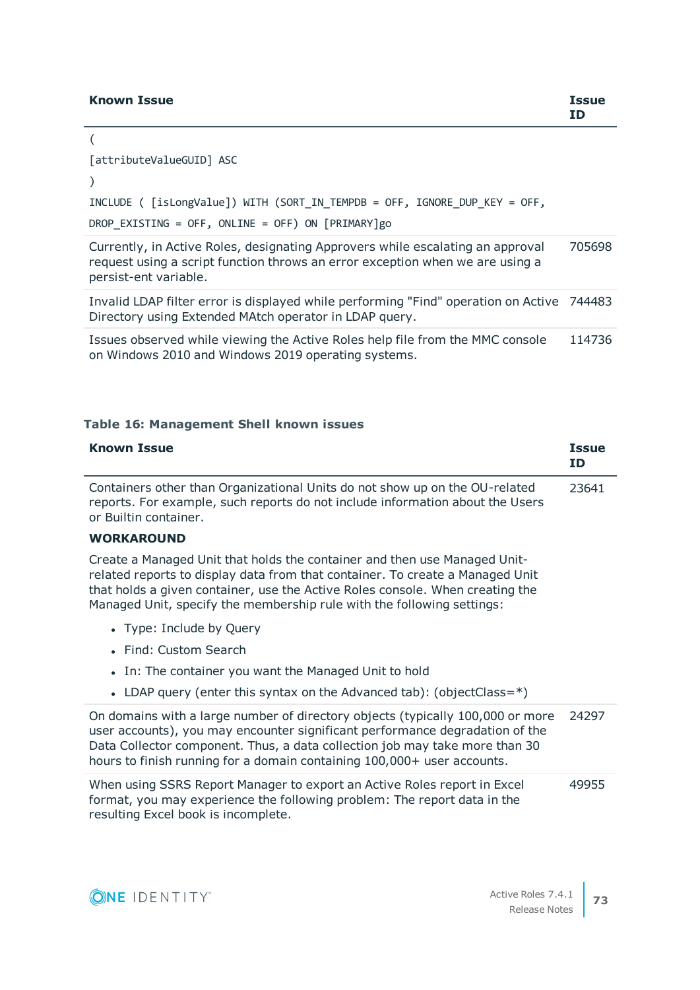### **Known Issue Issue**

### [attributeValueGUID] ASC

### )

(

### INCLUDE ( [isLongValue]) WITH (SORT\_IN\_TEMPDB = OFF, IGNORE\_DUP\_KEY = OFF,

DROP\_EXISTING = OFF, ONLINE = OFF) ON [PRIMARY]go

Currently, in Active Roles, designating Approvers while escalating an approval request using a script function throws an error exception when we are using a persist-ent variable. 705698

Invalid LDAP filter error is displayed while performing "Find" operation on Active 744483 Directory using Extended MAtch operator in LDAP query.

Issues observed while viewing the Active Roles help file from the MMC console on Windows 2010 and Windows 2019 operating systems. 114736

### **Table 16: Management Shell known issues**

| <b>Known Issue</b>                                                                                                                                                                                                                                                                                                       | <b>Issue</b><br><b>ID</b> |
|--------------------------------------------------------------------------------------------------------------------------------------------------------------------------------------------------------------------------------------------------------------------------------------------------------------------------|---------------------------|
| Containers other than Organizational Units do not show up on the OU-related<br>reports. For example, such reports do not include information about the Users<br>or Builtin container.                                                                                                                                    | 23641                     |
| <b>WORKAROUND</b>                                                                                                                                                                                                                                                                                                        |                           |
| Create a Managed Unit that holds the container and then use Managed Unit-<br>related reports to display data from that container. To create a Managed Unit<br>that holds a given container, use the Active Roles console. When creating the<br>Managed Unit, specify the membership rule with the following settings:    |                           |
| • Type: Include by Query                                                                                                                                                                                                                                                                                                 |                           |
| • Find: Custom Search                                                                                                                                                                                                                                                                                                    |                           |
| In: The container you want the Managed Unit to hold<br>$\bullet$                                                                                                                                                                                                                                                         |                           |
| • LDAP query (enter this syntax on the Advanced tab): (object Class= $*)$                                                                                                                                                                                                                                                |                           |
| On domains with a large number of directory objects (typically 100,000 or more<br>user accounts), you may encounter significant performance degradation of the<br>Data Collector component. Thus, a data collection job may take more than 30<br>hours to finish running for a domain containing 100,000+ user accounts. | 24297                     |
| When using SSRS Report Manager to export an Active Roles report in Excel<br>format, you may experience the following problem: The report data in the<br>resulting Excel book is incomplete.                                                                                                                              | 49955                     |

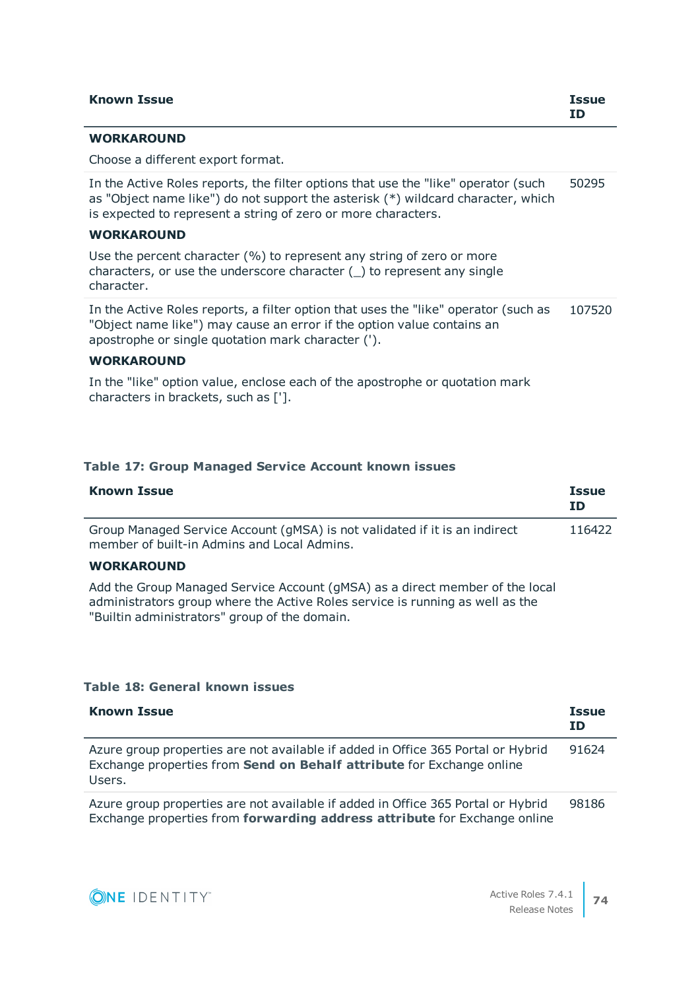| <b>Known Issue</b>                                                                                                                                                                                                                      | <b>Issue</b><br>ΙD |
|-----------------------------------------------------------------------------------------------------------------------------------------------------------------------------------------------------------------------------------------|--------------------|
| <b>WORKAROUND</b>                                                                                                                                                                                                                       |                    |
| Choose a different export format.                                                                                                                                                                                                       |                    |
| In the Active Roles reports, the filter options that use the "like" operator (such<br>as "Object name like") do not support the asterisk (*) wildcard character, which<br>is expected to represent a string of zero or more characters. | 50295              |
| <b>WORKAROUND</b>                                                                                                                                                                                                                       |                    |
| Use the percent character $(\% )$ to represent any string of zero or more<br>characters, or use the underscore character () to represent any single<br>character.                                                                       |                    |
| In the Active Roles reports, a filter option that uses the "like" operator (such as<br>"Object name like") may cause an error if the option value contains an<br>apostrophe or single quotation mark character (').                     | 107520             |

### **WORKAROUND**

In the "like" option value, enclose each of the apostrophe or quotation mark characters in brackets, such as ['].

### **Table 17: Group Managed Service Account known issues**

| <b>Known Issue</b>                                                                                                        | <b>Issue</b><br>ID |
|---------------------------------------------------------------------------------------------------------------------------|--------------------|
| Group Managed Service Account (gMSA) is not validated if it is an indirect<br>member of built-in Admins and Local Admins. | 116422             |

### **WORKAROUND**

Add the Group Managed Service Account (gMSA) as a direct member of the local administrators group where the Active Roles service is running as well as the "Builtin administrators" group of the domain.

### **Table 18: General known issues**

| <b>Known Issue</b>                                                                                                                                                  | <b>Issue</b><br><b>ID</b> |
|---------------------------------------------------------------------------------------------------------------------------------------------------------------------|---------------------------|
| Azure group properties are not available if added in Office 365 Portal or Hybrid<br>Exchange properties from Send on Behalf attribute for Exchange online<br>Users. | 91624                     |
| Azure group properties are not available if added in Office 365 Portal or Hybrid<br>Exchange properties from forwarding address attribute for Exchange online       | 98186                     |

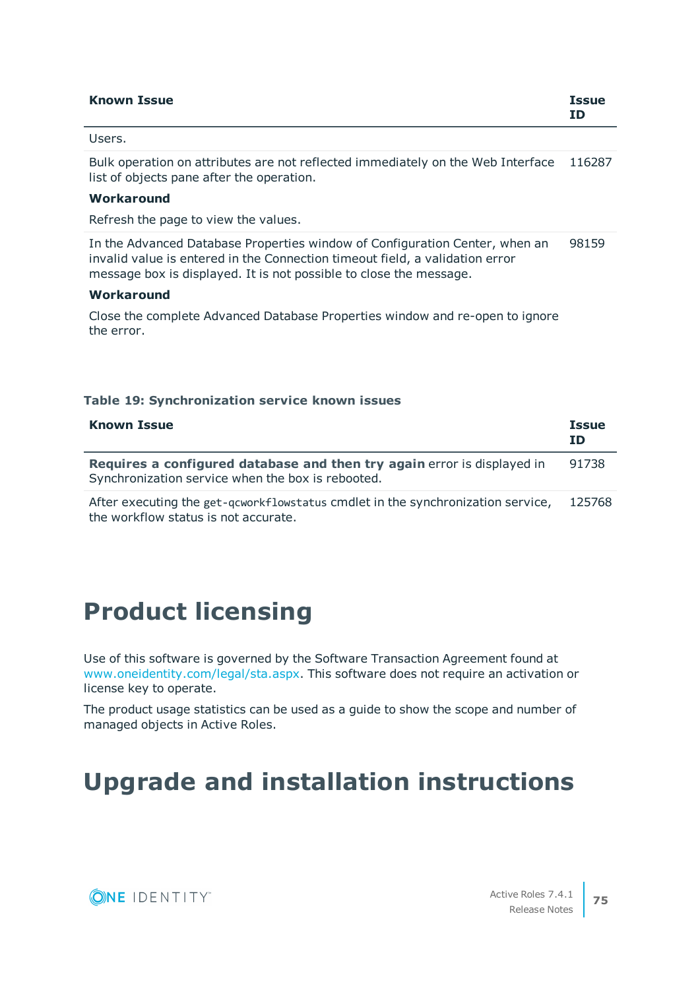| <b>Known Issue</b> | <b>Issue</b><br><b>ID</b> |
|--------------------|---------------------------|
| Users.             |                           |

Bulk operation on attributes are not reflected immediately on the Web Interface 116287 list of objects pane after the operation.

### **Workaround**

Refresh the page to view the values.

In the Advanced Database Properties window of Configuration Center, when an invalid value is entered in the Connection timeout field, a validation error message box is displayed. It is not possible to close the message. 98159

### **Workaround**

Close the complete Advanced Database Properties window and re-open to ignore the error.

### **Table 19: Synchronization service known issues**

| <b>Known Issue</b>                                                                                                           | <b>Issue</b><br>ΙD |
|------------------------------------------------------------------------------------------------------------------------------|--------------------|
| Requires a configured database and then try again error is displayed in<br>Synchronization service when the box is rebooted. | 91738              |
| After executing the get-gcworkflowstatus cmdlet in the synchronization service,<br>the workflow status is not accurate.      | 125768             |

## **Product licensing**

Use of this software is governed by the Software Transaction Agreement found at [www.oneidentity.com/legal/sta.aspx](http://www.oneidentity.com/legal/sta.aspx). This software does not require an activation or license key to operate.

The product usage statistics can be used as a guide to show the scope and number of managed objects in Active Roles.

# **Upgrade and installation instructions**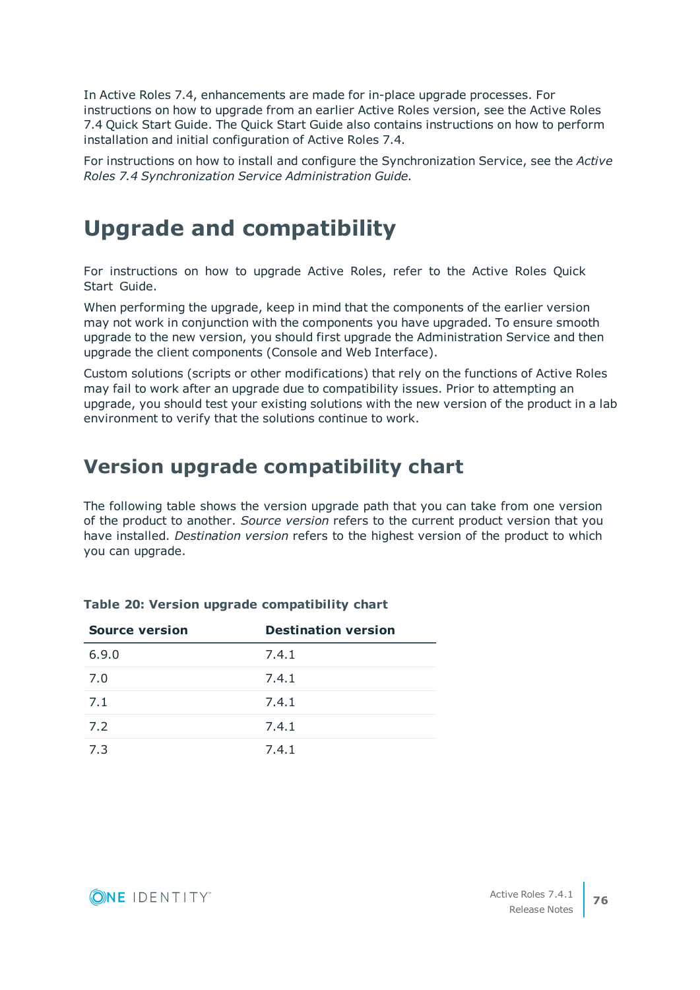In Active Roles 7.4, enhancements are made for in-place upgrade processes. For instructions on how to upgrade from an earlier Active Roles version, see the Active Roles 7.4 Quick Start Guide. The Quick Start Guide also contains instructions on how to perform installation and initial configuration of Active Roles 7.4.

For instructions on how to install and configure the Synchronization Service, see the *Active Roles 7.4 Synchronization Service Administration Guide.*

## **Upgrade and compatibility**

For instructions on how to upgrade Active Roles, refer to the Active Roles Quick Start Guide.

When performing the upgrade, keep in mind that the components of the earlier version may not work in conjunction with the components you have upgraded. To ensure smooth upgrade to the new version, you should first upgrade the Administration Service and then upgrade the client components (Console and Web Interface).

Custom solutions (scripts or other modifications) that rely on the functions of Active Roles may fail to work after an upgrade due to compatibility issues. Prior to attempting an upgrade, you should test your existing solutions with the new version of the product in a lab environment to verify that the solutions continue to work.

### **Version upgrade compatibility chart**

The following table shows the version upgrade path that you can take from one version of the product to another. *Source version* refers to the current product version that you have installed. *Destination version* refers to the highest version of the product to which you can upgrade.

| <b>Source version</b> | <b>Destination version</b> |
|-----------------------|----------------------------|
| 6.9.0                 | 7.4.1                      |
| 7.0                   | 7.4.1                      |
| 7.1                   | 7.4.1                      |
| 7.2                   | 7.4.1                      |
| 7.3                   | 7.4.1                      |

### **Table 20: Version upgrade compatibility chart**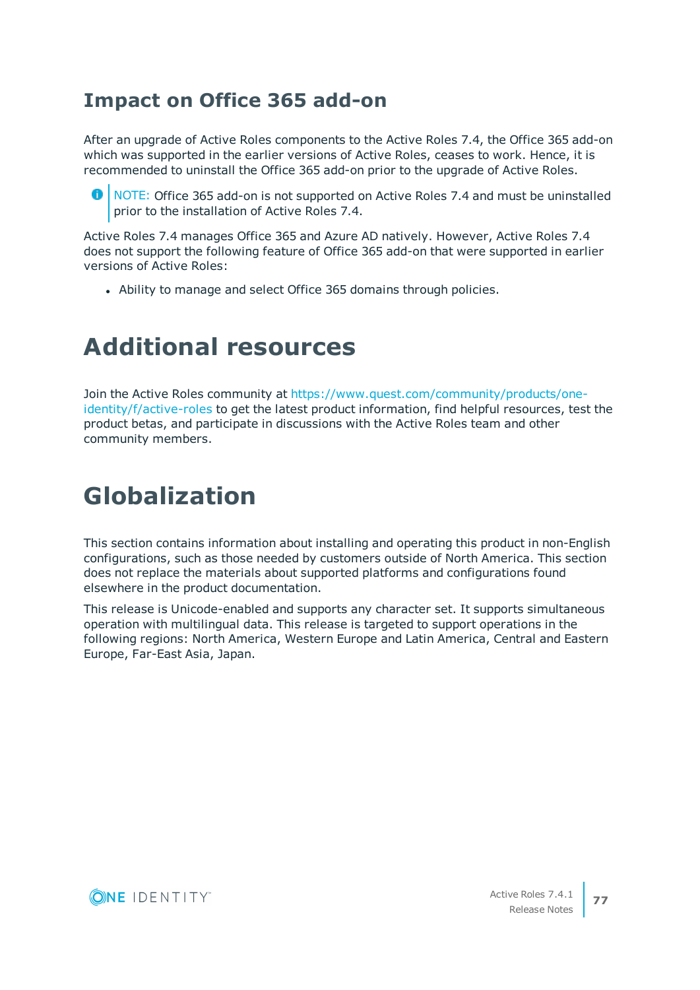### **Impact on Office 365 add-on**

After an upgrade of Active Roles components to the Active Roles 7.4, the Office 365 add-on which was supported in the earlier versions of Active Roles, ceases to work. Hence, it is recommended to uninstall the Office 365 add-on prior to the upgrade of Active Roles.

**O** NOTE: Office 365 add-on is not supported on Active Roles 7.4 and must be uninstalled prior to the installation of Active Roles 7.4.

Active Roles 7.4 manages Office 365 and Azure AD natively. However, Active Roles 7.4 does not support the following feature of Office 365 add-on that were supported in earlier versions of Active Roles:

• Ability to manage and select Office 365 domains through policies.

# **Additional resources**

Join the Active Roles community at [https://www.quest.com/community/products/one](https://www.quest.com/community/products/one-identity/f/active-roles)[identity/f/active-roles](https://www.quest.com/community/products/one-identity/f/active-roles) to get the latest product information, find helpful resources, test the product betas, and participate in discussions with the Active Roles team and other community members.

# **Globalization**

This section contains information about installing and operating this product in non-English configurations, such as those needed by customers outside of North America. This section does not replace the materials about supported platforms and configurations found elsewhere in the product documentation.

This release is Unicode-enabled and supports any character set. It supports simultaneous operation with multilingual data. This release is targeted to support operations in the following regions: North America, Western Europe and Latin America, Central and Eastern Europe, Far-East Asia, Japan.

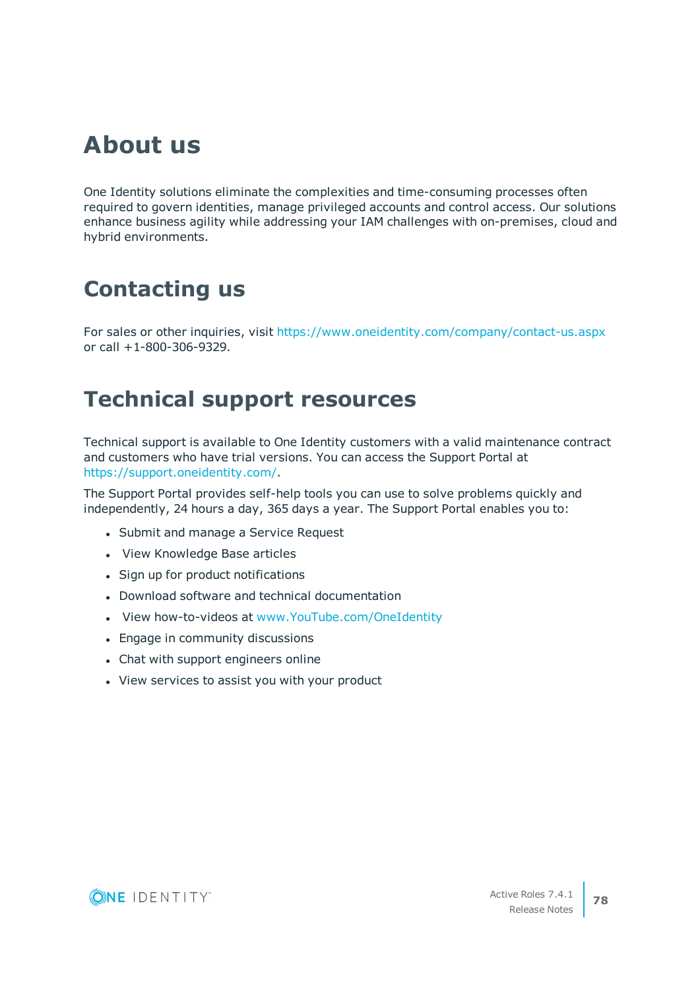# **About us**

One Identity solutions eliminate the complexities and time-consuming processes often required to govern identities, manage privileged accounts and control access. Our solutions enhance business agility while addressing your IAM challenges with on-premises, cloud and hybrid environments.

## **Contacting us**

For sales or other inquiries, visit <https://www.oneidentity.com/company/contact-us.aspx> or call +1-800-306-9329.

## **Technical support resources**

Technical support is available to One Identity customers with a valid maintenance contract and customers who have trial versions. You can access the Support Portal at [https://support.oneidentity.com/.](https://support.oneidentity.com/)

The Support Portal provides self-help tools you can use to solve problems quickly and independently, 24 hours a day, 365 days a year. The Support Portal enables you to:

- Submit and manage a Service Request
- View Knowledge Base articles
- Sign up for product notifications
- Download software and technical documentation
- . View how-to-videos at [www.YouTube.com/OneIdentity](http://www.youtube.com/OneIdentity)
- Engage in community discussions
- Chat with support engineers online
- View services to assist you with your product